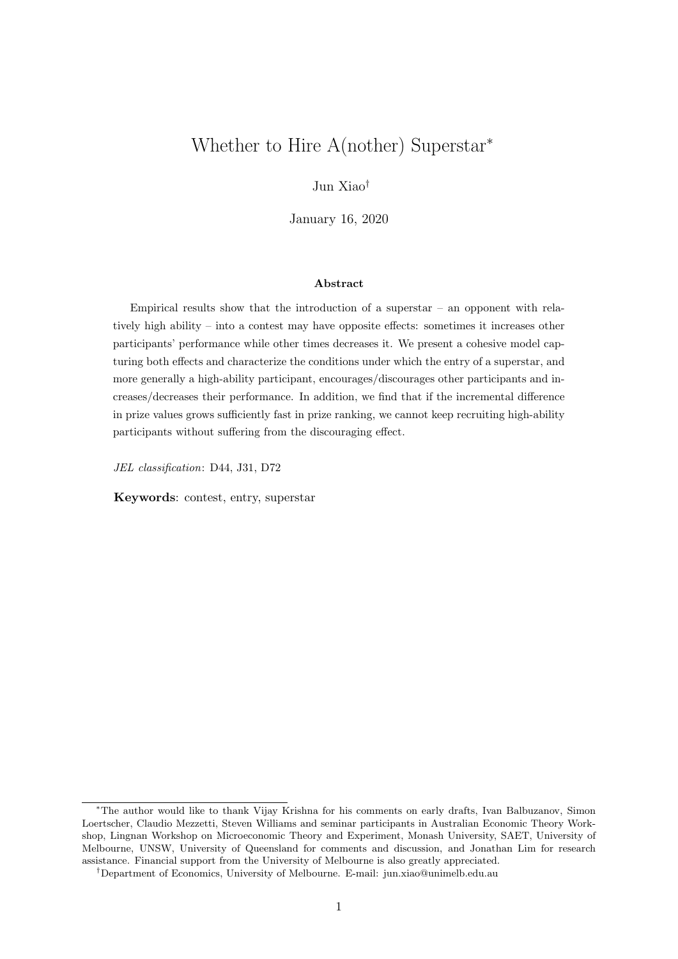# Whether to Hire A(nother) Superstar<sup>∗</sup>

Jun Xiao†

January 16, 2020

#### Abstract

Empirical results show that the introduction of a superstar  $-$  an opponent with relatively high ability – into a contest may have opposite effects: sometimes it increases other participants' performance while other times decreases it. We present a cohesive model capturing both effects and characterize the conditions under which the entry of a superstar, and more generally a high-ability participant, encourages/discourages other participants and increases/decreases their performance. In addition, we find that if the incremental difference in prize values grows sufficiently fast in prize ranking, we cannot keep recruiting high-ability participants without suffering from the discouraging effect.

JEL classification: D44, J31, D72

Keywords: contest, entry, superstar

<sup>∗</sup>The author would like to thank Vijay Krishna for his comments on early drafts, Ivan Balbuzanov, Simon Loertscher, Claudio Mezzetti, Steven Williams and seminar participants in Australian Economic Theory Workshop, Lingnan Workshop on Microeconomic Theory and Experiment, Monash University, SAET, University of Melbourne, UNSW, University of Queensland for comments and discussion, and Jonathan Lim for research assistance. Financial support from the University of Melbourne is also greatly appreciated.

<sup>†</sup>Department of Economics, University of Melbourne. E-mail: jun.xiao@unimelb.edu.au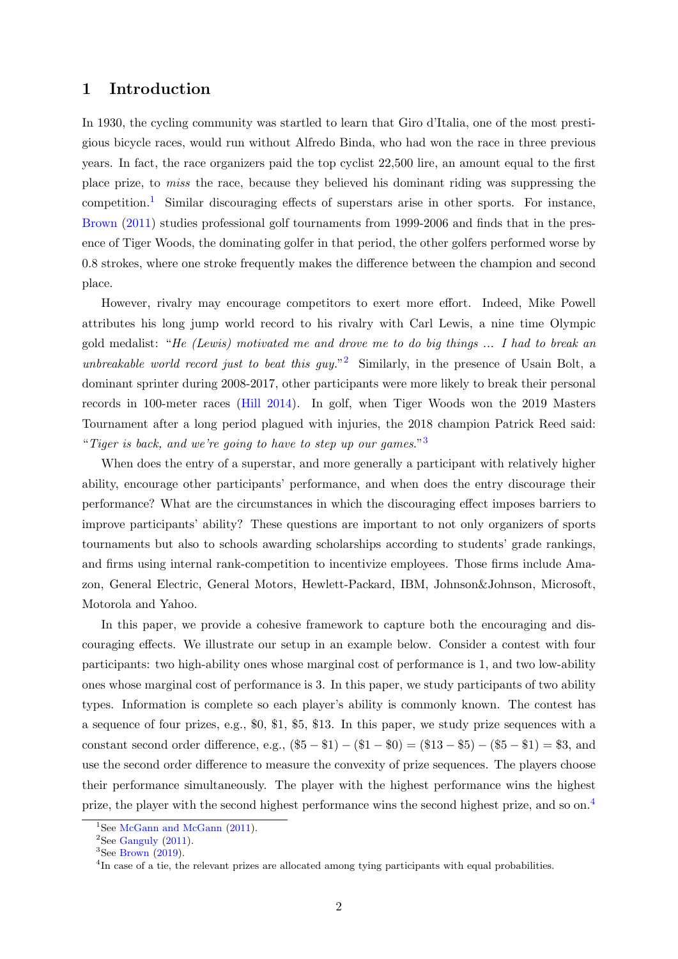## 1 Introduction

In 1930, the cycling community was startled to learn that Giro d'Italia, one of the most prestigious bicycle races, would run without Alfredo Binda, who had won the race in three previous years. In fact, the race organizers paid the top cyclist 22,500 lire, an amount equal to the first place prize, to miss the race, because they believed his dominant riding was suppressing the competition.<sup>[1](#page-1-0)</sup> Similar discouraging effects of superstars arise in other sports. For instance, [Brown](#page-22-0) [\(2011\)](#page-22-0) studies professional golf tournaments from 1999-2006 and finds that in the presence of Tiger Woods, the dominating golfer in that period, the other golfers performed worse by 0.8 strokes, where one stroke frequently makes the difference between the champion and second place.

However, rivalry may encourage competitors to exert more effort. Indeed, Mike Powell attributes his long jump world record to his rivalry with Carl Lewis, a nine time Olympic gold medalist: "He (Lewis) motivated me and drove me to do big things ... I had to break an unbreakable world record just to beat this guy."<sup>[2](#page-1-1)</sup> Similarly, in the presence of Usain Bolt, a dominant sprinter during 2008-2017, other participants were more likely to break their personal records in 100-meter races [\(Hill](#page-22-1) [2014\)](#page-22-1). In golf, when Tiger Woods won the 2019 Masters Tournament after a long period plagued with injuries, the 2018 champion Patrick Reed said: "Tiger is back, and we're going to have to step up our games." $3$ 

When does the entry of a superstar, and more generally a participant with relatively higher ability, encourage other participants' performance, and when does the entry discourage their performance? What are the circumstances in which the discouraging effect imposes barriers to improve participants' ability? These questions are important to not only organizers of sports tournaments but also to schools awarding scholarships according to students' grade rankings, and firms using internal rank-competition to incentivize employees. Those firms include Amazon, General Electric, General Motors, Hewlett-Packard, IBM, Johnson&Johnson, Microsoft, Motorola and Yahoo.

In this paper, we provide a cohesive framework to capture both the encouraging and discouraging effects. We illustrate our setup in an example below. Consider a contest with four participants: two high-ability ones whose marginal cost of performance is 1, and two low-ability ones whose marginal cost of performance is 3. In this paper, we study participants of two ability types. Information is complete so each player's ability is commonly known. The contest has a sequence of four prizes, e.g., \$0, \$1, \$5, \$13. In this paper, we study prize sequences with a constant second order difference, e.g.,  $(\$5 - \$1) - (\$1 - \$0) = (\$13 - \$5) - (\$5 - \$1) = \$3$ , and use the second order difference to measure the convexity of prize sequences. The players choose their performance simultaneously. The player with the highest performance wins the highest prize, the player with the second highest performance wins the second highest prize, and so on.<sup>[4](#page-1-3)</sup>

<span id="page-1-0"></span><sup>&</sup>lt;sup>1</sup>See [McGann and McGann](#page-23-0)  $(2011)$ .

<span id="page-1-1"></span> $2$ See [Ganguly](#page-22-2) [\(2011\)](#page-22-2).

<span id="page-1-2"></span> ${}^{3}$ See [Brown](#page-22-3) [\(2019\)](#page-22-3).

<span id="page-1-3"></span><sup>&</sup>lt;sup>4</sup>In case of a tie, the relevant prizes are allocated among tying participants with equal probabilities.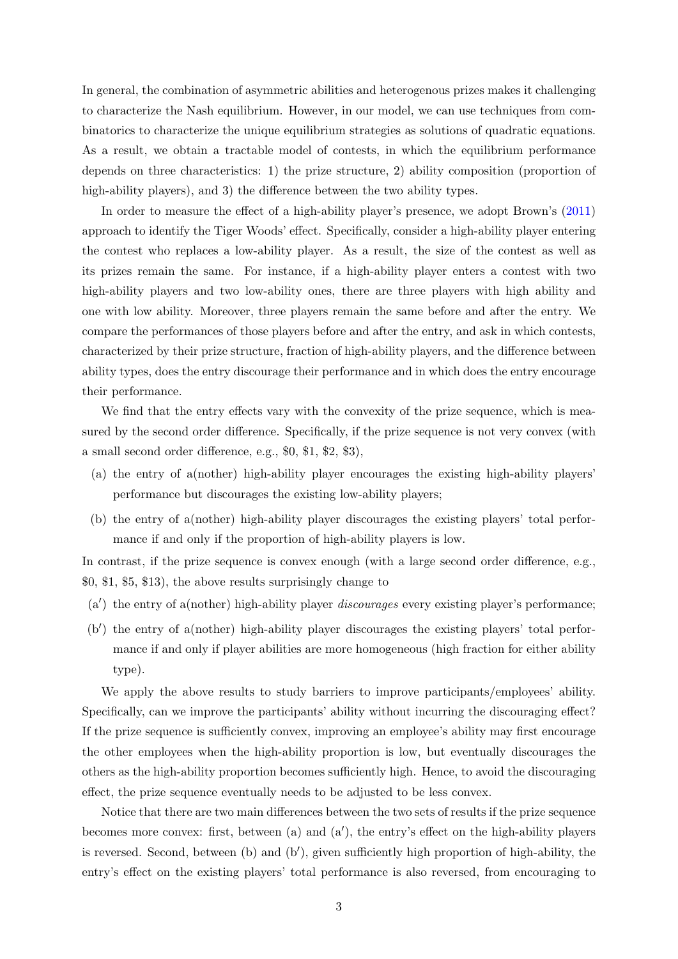In general, the combination of asymmetric abilities and heterogenous prizes makes it challenging to characterize the Nash equilibrium. However, in our model, we can use techniques from combinatorics to characterize the unique equilibrium strategies as solutions of quadratic equations. As a result, we obtain a tractable model of contests, in which the equilibrium performance depends on three characteristics: 1) the prize structure, 2) ability composition (proportion of high-ability players), and 3) the difference between the two ability types.

In order to measure the effect of a high-ability player's presence, we adopt Brown's [\(2011\)](#page-22-0) approach to identify the Tiger Woods' effect. Specifically, consider a high-ability player entering the contest who replaces a low-ability player. As a result, the size of the contest as well as its prizes remain the same. For instance, if a high-ability player enters a contest with two high-ability players and two low-ability ones, there are three players with high ability and one with low ability. Moreover, three players remain the same before and after the entry. We compare the performances of those players before and after the entry, and ask in which contests, characterized by their prize structure, fraction of high-ability players, and the difference between ability types, does the entry discourage their performance and in which does the entry encourage their performance.

We find that the entry effects vary with the convexity of the prize sequence, which is measured by the second order difference. Specifically, if the prize sequence is not very convex (with a small second order difference, e.g., \$0, \$1, \$2, \$3),

- (a) the entry of a(nother) high-ability player encourages the existing high-ability players' performance but discourages the existing low-ability players;
- (b) the entry of a(nother) high-ability player discourages the existing players' total performance if and only if the proportion of high-ability players is low.

In contrast, if the prize sequence is convex enough (with a large second order difference, e.g., \$0, \$1, \$5, \$13), the above results surprisingly change to

- $(a')$  the entry of a(nother) high-ability player *discourages* every existing player's performance;
- $(b')$  the entry of a(nother) high-ability player discourages the existing players' total performance if and only if player abilities are more homogeneous (high fraction for either ability type).

We apply the above results to study barriers to improve participants/employees' ability. Specifically, can we improve the participants' ability without incurring the discouraging effect? If the prize sequence is sufficiently convex, improving an employee's ability may first encourage the other employees when the high-ability proportion is low, but eventually discourages the others as the high-ability proportion becomes sufficiently high. Hence, to avoid the discouraging effect, the prize sequence eventually needs to be adjusted to be less convex.

Notice that there are two main differences between the two sets of results if the prize sequence becomes more convex: first, between (a) and  $(a')$ , the entry's effect on the high-ability players is reversed. Second, between (b) and (b'), given sufficiently high proportion of high-ability, the entry's effect on the existing players' total performance is also reversed, from encouraging to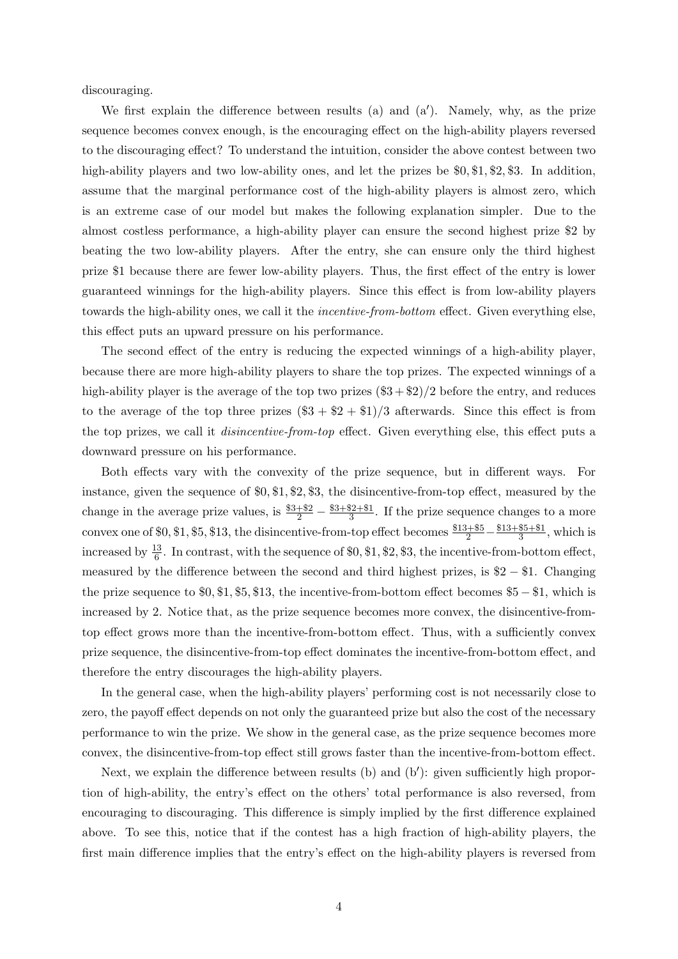discouraging.

We first explain the difference between results (a) and  $(a')$ . Namely, why, as the prize sequence becomes convex enough, is the encouraging effect on the high-ability players reversed to the discouraging effect? To understand the intuition, consider the above contest between two high-ability players and two low-ability ones, and let the prizes be  $\mathcal{F}_0, \mathcal{F}_1, \mathcal{F}_2, \mathcal{F}_3$ . In addition, assume that the marginal performance cost of the high-ability players is almost zero, which is an extreme case of our model but makes the following explanation simpler. Due to the almost costless performance, a high-ability player can ensure the second highest prize \$2 by beating the two low-ability players. After the entry, she can ensure only the third highest prize \$1 because there are fewer low-ability players. Thus, the first effect of the entry is lower guaranteed winnings for the high-ability players. Since this effect is from low-ability players towards the high-ability ones, we call it the incentive-from-bottom effect. Given everything else, this effect puts an upward pressure on his performance.

The second effect of the entry is reducing the expected winnings of a high-ability player, because there are more high-ability players to share the top prizes. The expected winnings of a high-ability player is the average of the top two prizes  $(\$3 + \$2)/2$  before the entry, and reduces to the average of the top three prizes  $(\$3 + \$2 + \$1)/3$  afterwards. Since this effect is from the top prizes, we call it disincentive-from-top effect. Given everything else, this effect puts a downward pressure on his performance.

Both effects vary with the convexity of the prize sequence, but in different ways. For instance, given the sequence of \$0, \$1, \$2, \$3, the disincentive-from-top effect, measured by the change in the average prize values, is  $\frac{$3+\$2}{2} - \frac{\$3+\$2+\$1}{3}$  $\frac{52+81}{3}$ . If the prize sequence changes to a more convex one of \$0, \$1, \$5, \$13, the disincentive-from-top effect becomes  $\frac{$13+ $5}{2} - \frac{$13+ $5+ $1}{3}$  $\frac{$5+ $1}{3}$ , which is increased by  $\frac{13}{6}$ . In contrast, with the sequence of \$0, \$1, \$2, \$3, the incentive-from-bottom effect, measured by the difference between the second and third highest prizes, is \$2 − \$1. Changing the prize sequence to \$0, \$1, \$5, \$13, the incentive-from-bottom effect becomes \$5 − \$1, which is increased by 2. Notice that, as the prize sequence becomes more convex, the disincentive-fromtop effect grows more than the incentive-from-bottom effect. Thus, with a sufficiently convex prize sequence, the disincentive-from-top effect dominates the incentive-from-bottom effect, and therefore the entry discourages the high-ability players.

In the general case, when the high-ability players' performing cost is not necessarily close to zero, the payoff effect depends on not only the guaranteed prize but also the cost of the necessary performance to win the prize. We show in the general case, as the prize sequence becomes more convex, the disincentive-from-top effect still grows faster than the incentive-from-bottom effect.

Next, we explain the difference between results  $(b)$  and  $(b')$ : given sufficiently high proportion of high-ability, the entry's effect on the others' total performance is also reversed, from encouraging to discouraging. This difference is simply implied by the first difference explained above. To see this, notice that if the contest has a high fraction of high-ability players, the first main difference implies that the entry's effect on the high-ability players is reversed from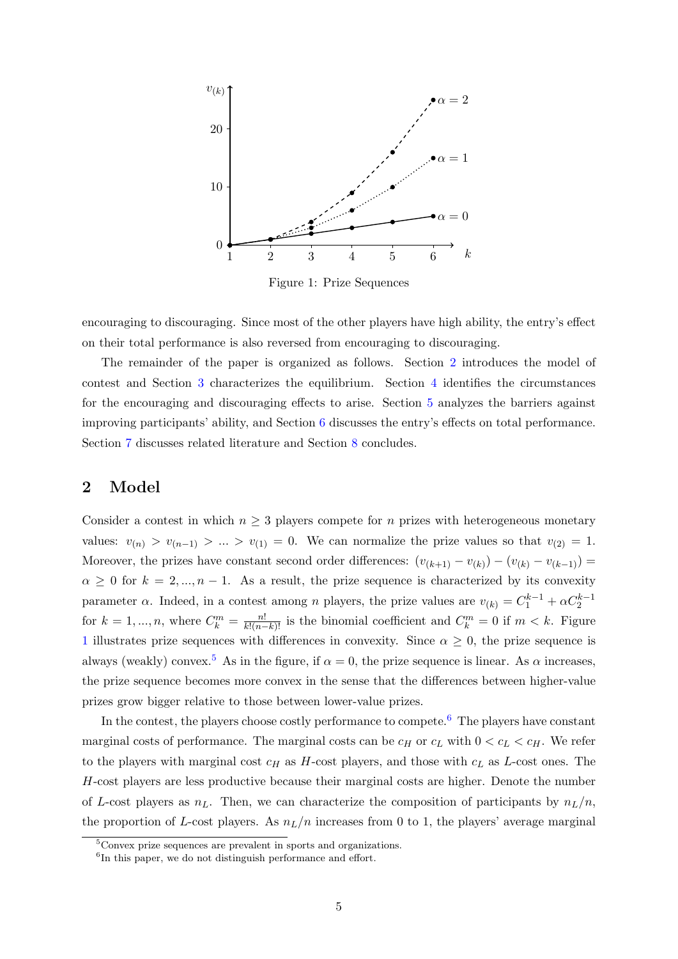<span id="page-4-1"></span>

Figure 1: Prize Sequences

encouraging to discouraging. Since most of the other players have high ability, the entry's effect on their total performance is also reversed from encouraging to discouraging.

The remainder of the paper is organized as follows. Section [2](#page-4-0) introduces the model of contest and Section [3](#page-5-0) characterizes the equilibrium. Section [4](#page-12-0) identifies the circumstances for the encouraging and discouraging effects to arise. Section [5](#page-15-0) analyzes the barriers against improving participants' ability, and Section [6](#page-17-0) discusses the entry's effects on total performance. Section [7](#page-19-0) discusses related literature and Section [8](#page-21-0) concludes.

## <span id="page-4-0"></span>2 Model

Consider a contest in which  $n \geq 3$  players compete for n prizes with heterogeneous monetary values:  $v_{(n)} > v_{(n-1)} > ... > v_{(1)} = 0$ . We can normalize the prize values so that  $v_{(2)} = 1$ . Moreover, the prizes have constant second order differences:  $(v_{(k+1)} - v_{(k)}) - (v_{(k)} - v_{(k-1)}) =$  $\alpha \geq 0$  for  $k = 2, ..., n - 1$ . As a result, the prize sequence is characterized by its convexity parameter  $\alpha$ . Indeed, in a contest among n players, the prize values are  $v_{(k)} = C_1^{k-1} + \alpha C_2^{k-1}$ for  $k = 1, ..., n$ , where  $C_k^m = \frac{n!}{k!(n-k)!}$  is the binomial coefficient and  $C_k^m = 0$  if  $m < k$ . Figure [1](#page-4-1) illustrates prize sequences with differences in convexity. Since  $\alpha \geq 0$ , the prize sequence is always (weakly) convex.<sup>[5](#page-4-2)</sup> As in the figure, if  $\alpha = 0$ , the prize sequence is linear. As  $\alpha$  increases, the prize sequence becomes more convex in the sense that the differences between higher-value prizes grow bigger relative to those between lower-value prizes.

In the contest, the players choose costly performance to compete.<sup>[6](#page-4-3)</sup> The players have constant marginal costs of performance. The marginal costs can be  $c_H$  or  $c_L$  with  $0 < c_L < c_H$ . We refer to the players with marginal cost  $c_H$  as H-cost players, and those with  $c_L$  as L-cost ones. The H-cost players are less productive because their marginal costs are higher. Denote the number of L-cost players as  $n<sub>L</sub>$ . Then, we can characterize the composition of participants by  $n<sub>L</sub>/n$ , the proportion of L-cost players. As  $n_L/n$  increases from 0 to 1, the players' average marginal

<span id="page-4-2"></span> $5$ Convex prize sequences are prevalent in sports and organizations.

<span id="page-4-3"></span><sup>&</sup>lt;sup>6</sup>In this paper, we do not distinguish performance and effort.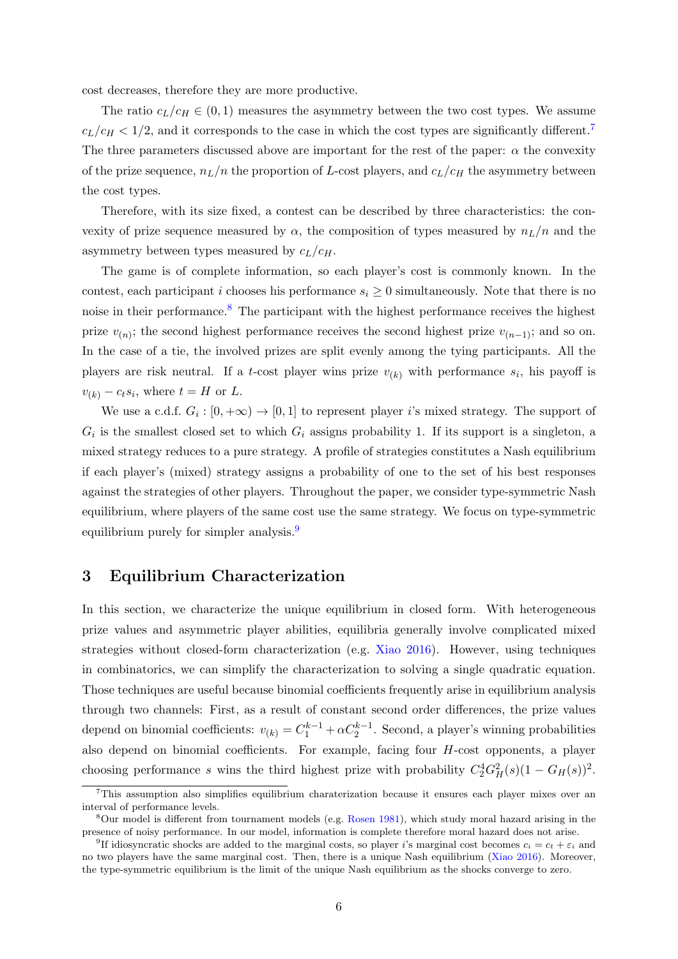cost decreases, therefore they are more productive.

The ratio  $c_L/c_H \in (0, 1)$  measures the asymmetry between the two cost types. We assume  $c_L/c_H < 1/2$ , and it corresponds to the case in which the cost types are significantly different.<sup>[7](#page-5-1)</sup> The three parameters discussed above are important for the rest of the paper:  $\alpha$  the convexity of the prize sequence,  $n_L/n$  the proportion of L-cost players, and  $c_L/c_H$  the asymmetry between the cost types.

Therefore, with its size fixed, a contest can be described by three characteristics: the convexity of prize sequence measured by  $\alpha$ , the composition of types measured by  $n_L/n$  and the asymmetry between types measured by  $c_L/c_H$ .

The game is of complete information, so each player's cost is commonly known. In the contest, each participant i chooses his performance  $s_i \geq 0$  simultaneously. Note that there is no noise in their performance.<sup>[8](#page-5-2)</sup> The participant with the highest performance receives the highest prize  $v_{(n)}$ ; the second highest performance receives the second highest prize  $v_{(n-1)}$ ; and so on. In the case of a tie, the involved prizes are split evenly among the tying participants. All the players are risk neutral. If a t-cost player wins prize  $v_{(k)}$  with performance  $s_i$ , his payoff is  $v_{(k)} - c_t s_i$ , where  $t = H$  or  $L$ .

We use a c.d.f.  $G_i : [0, +\infty) \to [0, 1]$  to represent player i's mixed strategy. The support of  $G_i$  is the smallest closed set to which  $G_i$  assigns probability 1. If its support is a singleton, a mixed strategy reduces to a pure strategy. A profile of strategies constitutes a Nash equilibrium if each player's (mixed) strategy assigns a probability of one to the set of his best responses against the strategies of other players. Throughout the paper, we consider type-symmetric Nash equilibrium, where players of the same cost use the same strategy. We focus on type-symmetric equilibrium purely for simpler analysis.<sup>[9](#page-5-3)</sup>

## <span id="page-5-0"></span>3 Equilibrium Characterization

In this section, we characterize the unique equilibrium in closed form. With heterogeneous prize values and asymmetric player abilities, equilibria generally involve complicated mixed strategies without closed-form characterization (e.g. [Xiao](#page-23-1) [2016\)](#page-23-1). However, using techniques in combinatorics, we can simplify the characterization to solving a single quadratic equation. Those techniques are useful because binomial coefficients frequently arise in equilibrium analysis through two channels: First, as a result of constant second order differences, the prize values depend on binomial coefficients:  $v_{(k)} = C_1^{k-1} + \alpha C_2^{k-1}$ . Second, a player's winning probabilities also depend on binomial coefficients. For example, facing four H-cost opponents, a player choosing performance s wins the third highest prize with probability  $C_2^4 G_H^2(s) (1 - G_H(s))^2$ .

<span id="page-5-1"></span> $<sup>7</sup>$ This assumption also simplifies equilibrium charaterization because it ensures each player mixes over an</sup> interval of performance levels.

<span id="page-5-2"></span><sup>8</sup>Our model is different from tournament models (e.g. [Rosen](#page-23-2) [1981\)](#page-23-2), which study moral hazard arising in the presence of noisy performance. In our model, information is complete therefore moral hazard does not arise.

<span id="page-5-3"></span><sup>&</sup>lt;sup>9</sup>If idiosyncratic shocks are added to the marginal costs, so player *i*'s marginal cost becomes  $c_i = c_t + \varepsilon_i$  and no two players have the same marginal cost. Then, there is a unique Nash equilibrium [\(Xiao](#page-23-1) [2016\)](#page-23-1). Moreover, the type-symmetric equilibrium is the limit of the unique Nash equilibrium as the shocks converge to zero.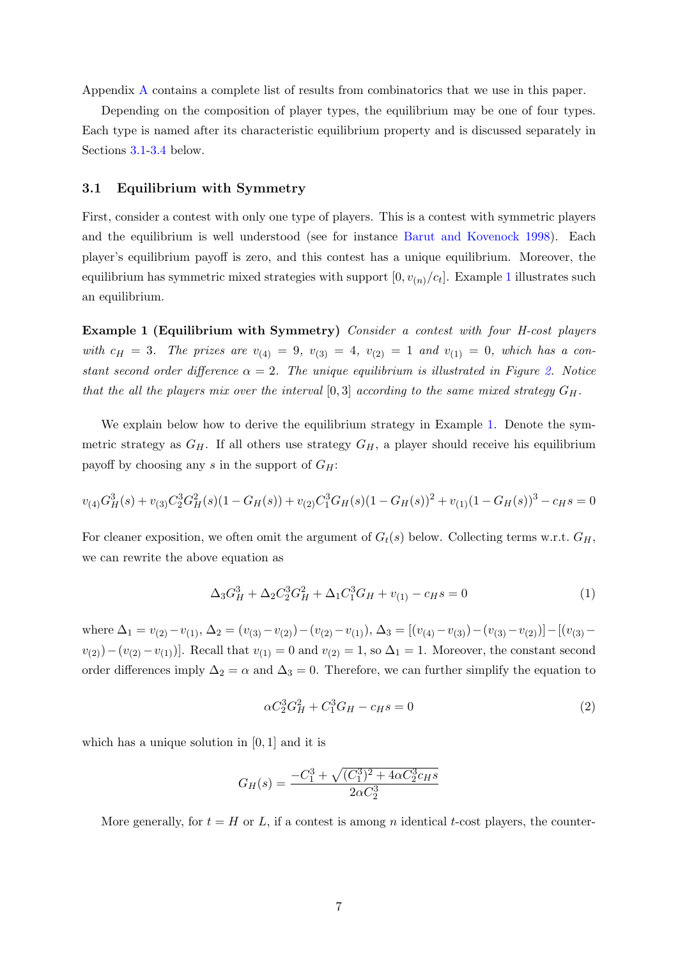Appendix [A](#page-24-0) contains a complete list of results from combinatorics that we use in this paper.

Depending on the composition of player types, the equilibrium may be one of four types. Each type is named after its characteristic equilibrium property and is discussed separately in Sections [3.1](#page-6-0)[-3.4](#page-11-0) below.

### <span id="page-6-0"></span>3.1 Equilibrium with Symmetry

First, consider a contest with only one type of players. This is a contest with symmetric players and the equilibrium is well understood (see for instance [Barut and Kovenock](#page-22-4) [1998\)](#page-22-4). Each player's equilibrium payoff is zero, and this contest has a unique equilibrium. Moreover, the equilibrium has symmetric mixed strategies with support  $[0, v_{(n)}/c_t]$ . Example [1](#page-6-1) illustrates such an equilibrium.

<span id="page-6-1"></span>Example 1 (Equilibrium with Symmetry) Consider a contest with four H-cost players with  $c_H = 3$ . The prizes are  $v_{(4)} = 9$ ,  $v_{(3)} = 4$ ,  $v_{(2)} = 1$  and  $v_{(1)} = 0$ , which has a constant second order difference  $\alpha = 2$ . The unique equilibrium is illustrated in Figure [2.](#page-7-0) Notice that the all the players mix over the interval  $[0,3]$  according to the same mixed strategy  $G_H$ .

We explain below how to derive the equilibrium strategy in Example [1.](#page-6-1) Denote the symmetric strategy as  $G_H$ . If all others use strategy  $G_H$ , a player should receive his equilibrium payoff by choosing any s in the support of  $G_H$ :

$$
v_{(4)}G_H^3(s) + v_{(3)}C_2^3G_H^2(s)(1 - G_H(s)) + v_{(2)}C_1^3G_H(s)(1 - G_H(s))^2 + v_{(1)}(1 - G_H(s))^3 - c_H(s) = 0
$$

For cleaner exposition, we often omit the argument of  $G_t(s)$  below. Collecting terms w.r.t.  $G_H$ , we can rewrite the above equation as

<span id="page-6-4"></span>
$$
\Delta_3 G_H^3 + \Delta_2 C_2^3 G_H^2 + \Delta_1 C_1^3 G_H + v_{(1)} - c_H s = 0 \tag{1}
$$

where  $\Delta_1 = v_{(2)} - v_{(1)}$ ,  $\Delta_2 = (v_{(3)} - v_{(2)}) - (v_{(2)} - v_{(1)})$ ,  $\Delta_3 = [(v_{(4)} - v_{(3)}) - (v_{(3)} - v_{(2)})] - [(v_{(3)} - v_{(3)}) - (v_{(3)} - v_{(3)})]$  $v_{(2)}$ )−( $v_{(2)}$  – $v_{(1)}$ )]. Recall that  $v_{(1)} = 0$  and  $v_{(2)} = 1$ , so  $\Delta_1 = 1$ . Moreover, the constant second order differences imply  $\Delta_2 = \alpha$  and  $\Delta_3 = 0$ . Therefore, we can further simplify the equation to

<span id="page-6-2"></span>
$$
\alpha C_2^3 G_H^2 + C_1^3 G_H - c_H s = 0 \tag{2}
$$

which has a unique solution in [0, 1] and it is

<span id="page-6-3"></span>
$$
G_H(s) = \frac{-C_1^3 + \sqrt{(C_1^3)^2 + 4\alpha C_2^3 c_H s}}{2\alpha C_2^3}
$$

More generally, for  $t = H$  or L, if a contest is among n identical t-cost players, the counter-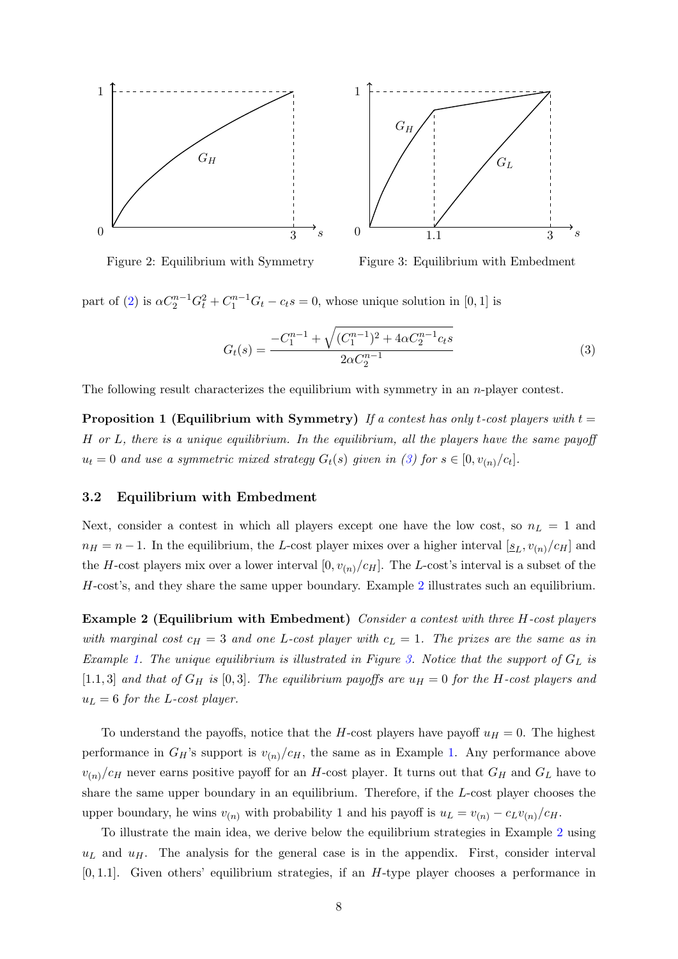<span id="page-7-0"></span>

Figure 2: Equilibrium with Symmetry

<span id="page-7-2"></span>Figure 3: Equilibrium with Embedment

part of [\(2\)](#page-6-2) is  $\alpha C_2^{n-1} G_t^2 + C_1^{n-1} G_t - c_t s = 0$ , whose unique solution in [0, 1] is

$$
G_t(s) = \frac{-C_1^{n-1} + \sqrt{(C_1^{n-1})^2 + 4\alpha C_2^{n-1}c_ts}}{2\alpha C_2^{n-1}}
$$
(3)

The following result characterizes the equilibrium with symmetry in an  $n$ -player contest.

**Proposition 1 (Equilibrium with Symmetry)** If a contest has only t-cost players with  $t =$ H or L, there is a unique equilibrium. In the equilibrium, all the players have the same payoff  $u_t = 0$  and use a symmetric mixed strategy  $G_t(s)$  given in [\(3\)](#page-6-3) for  $s \in [0, v_{(n)}/c_t]$ .

### 3.2 Equilibrium with Embedment

Next, consider a contest in which all players except one have the low cost, so  $n<sub>L</sub> = 1$  and  $n_H = n - 1$ . In the equilibrium, the L-cost player mixes over a higher interval  $[\underline{s}_L, v_{(n)}/c_H]$  and the H-cost players mix over a lower interval  $[0, v_{(n)}/c_H]$ . The L-cost's interval is a subset of the H-cost's, and they share the same upper boundary. Example [2](#page-7-1) illustrates such an equilibrium.

<span id="page-7-1"></span>Example 2 (Equilibrium with Embedment) Consider a contest with three H-cost players with marginal cost  $c_H = 3$  and one L-cost player with  $c_L = 1$ . The prizes are the same as in Example [1.](#page-6-1) The unique equilibrium is illustrated in Figure [3.](#page-7-0) Notice that the support of  $G_L$  is [1.1, 3] and that of  $G_H$  is [0, 3]. The equilibrium payoffs are  $u_H = 0$  for the H-cost players and  $u_L = 6$  for the L-cost player.

To understand the payoffs, notice that the H-cost players have payoff  $u_H = 0$ . The highest performance in  $G_H$ 's support is  $v_{(n)}/c_H$ , the same as in Example [1.](#page-6-1) Any performance above  $v_{(n)}/c_H$  never earns positive payoff for an H-cost player. It turns out that  $G_H$  and  $G_L$  have to share the same upper boundary in an equilibrium. Therefore, if the L-cost player chooses the upper boundary, he wins  $v_{(n)}$  with probability 1 and his payoff is  $u_L = v_{(n)} - c_L v_{(n)}/c_H$ .

To illustrate the main idea, we derive below the equilibrium strategies in Example [2](#page-7-1) using  $u<sub>L</sub>$  and  $u<sub>H</sub>$ . The analysis for the general case is in the appendix. First, consider interval [0, 1.1]. Given others' equilibrium strategies, if an H-type player chooses a performance in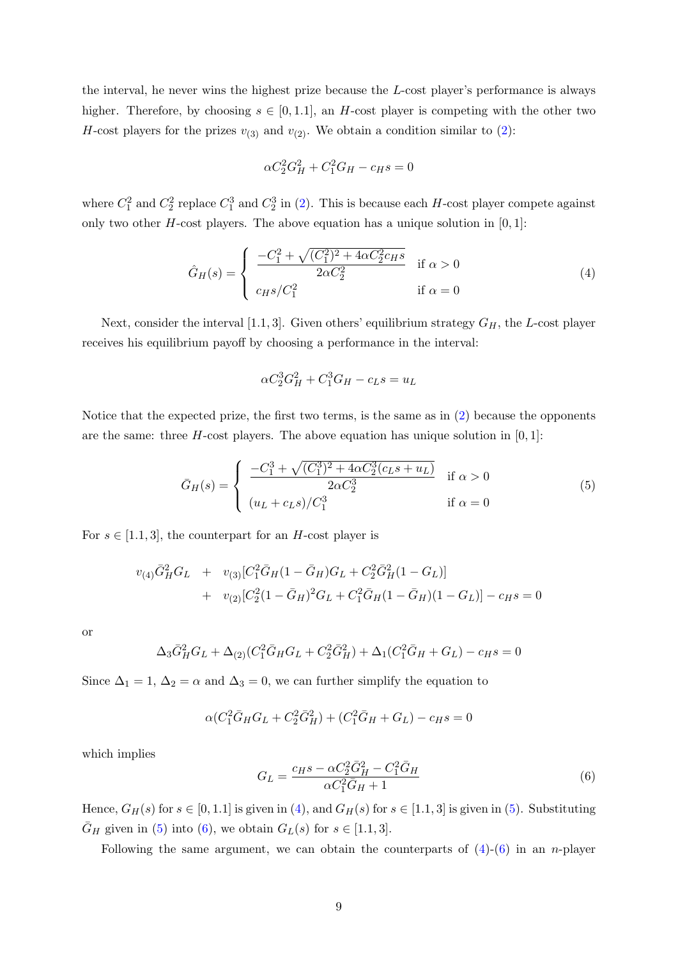the interval, he never wins the highest prize because the L-cost player's performance is always higher. Therefore, by choosing  $s \in [0,1.1]$ , an H-cost player is competing with the other two H-cost players for the prizes  $v_{(3)}$  and  $v_{(2)}$  $v_{(2)}$  $v_{(2)}$ . We obtain a condition similar to (2):

<span id="page-8-0"></span>
$$
\alpha C_2^2 G_H^2 + C_1^2 G_H - c_H s = 0
$$

where  $C_1^2$  and  $C_2^2$  replace  $C_1^3$  and  $C_2^3$  in [\(2\)](#page-6-2). This is because each H-cost player compete against only two other H-cost players. The above equation has a unique solution in  $[0, 1]$ :

$$
\hat{G}_H(s) = \begin{cases}\n\frac{-C_1^2 + \sqrt{(C_1^2)^2 + 4\alpha C_2^2 c_H s}}{2\alpha C_2^2} & \text{if } \alpha > 0 \\
c_H s / C_1^2 & \text{if } \alpha = 0\n\end{cases}
$$
\n(4)

Next, consider the interval [1.1, 3]. Given others' equilibrium strategy  $G_H$ , the L-cost player receives his equilibrium payoff by choosing a performance in the interval:

<span id="page-8-1"></span>
$$
\alpha C_2^3 G_H^2 + C_1^3 G_H - c_L s = u_L
$$

Notice that the expected prize, the first two terms, is the same as in [\(2\)](#page-6-2) because the opponents are the same: three H-cost players. The above equation has unique solution in  $[0, 1]$ :

$$
\bar{G}_H(s) = \begin{cases}\n\frac{-C_1^3 + \sqrt{(C_1^3)^2 + 4\alpha C_2^3(c_{LS} + u_L)}}{2\alpha C_2^3} & \text{if } \alpha > 0 \\
(u_L + c_{LS})/C_1^3 & \text{if } \alpha = 0\n\end{cases}
$$
\n(5)

For  $s \in [1.1, 3]$ , the counterpart for an H-cost player is

$$
v_{(4)}\bar{G}_H^2G_L + v_{(3)}[C_1^2\bar{G}_H(1-\bar{G}_H)G_L + C_2^2\bar{G}_H^2(1-G_L)]
$$
  
+ 
$$
v_{(2)}[C_2^2(1-\bar{G}_H)^2G_L + C_1^2\bar{G}_H(1-\bar{G}_H)(1-G_L)] - c_Hs = 0
$$

or

$$
\Delta_3 \bar{G}_H^2 G_L + \Delta_{(2)} (C_1^2 \bar{G}_H G_L + C_2^2 \bar{G}_H^2) + \Delta_1 (C_1^2 \bar{G}_H + G_L) - c_H s = 0
$$

Since  $\Delta_1 = 1, \Delta_2 = \alpha$  and  $\Delta_3 = 0$ , we can further simplify the equation to

<span id="page-8-2"></span>
$$
\alpha (C_1^2 \bar{G}_H G_L + C_2^2 \bar{G}_H^2) + (C_1^2 \bar{G}_H + G_L) - c_H s = 0
$$

which implies

$$
G_L = \frac{c_H s - \alpha C_2^2 \bar{G}_H^2 - C_1^2 \bar{G}_H}{\alpha C_1^2 \bar{G}_H + 1}
$$
\n(6)

Hence,  $G_H(s)$  for  $s \in [0, 1.1]$  is given in [\(4\)](#page-8-0), and  $G_H(s)$  for  $s \in [1.1, 3]$  is given in [\(5\)](#page-8-1). Substituting  $\bar{G}_H$  given in [\(5\)](#page-8-1) into [\(6\)](#page-8-2), we obtain  $G_L(s)$  for  $s \in [1.1, 3]$ .

Following the same argument, we can obtain the counterparts of  $(4)-(6)$  $(4)-(6)$  $(4)-(6)$  in an *n*-player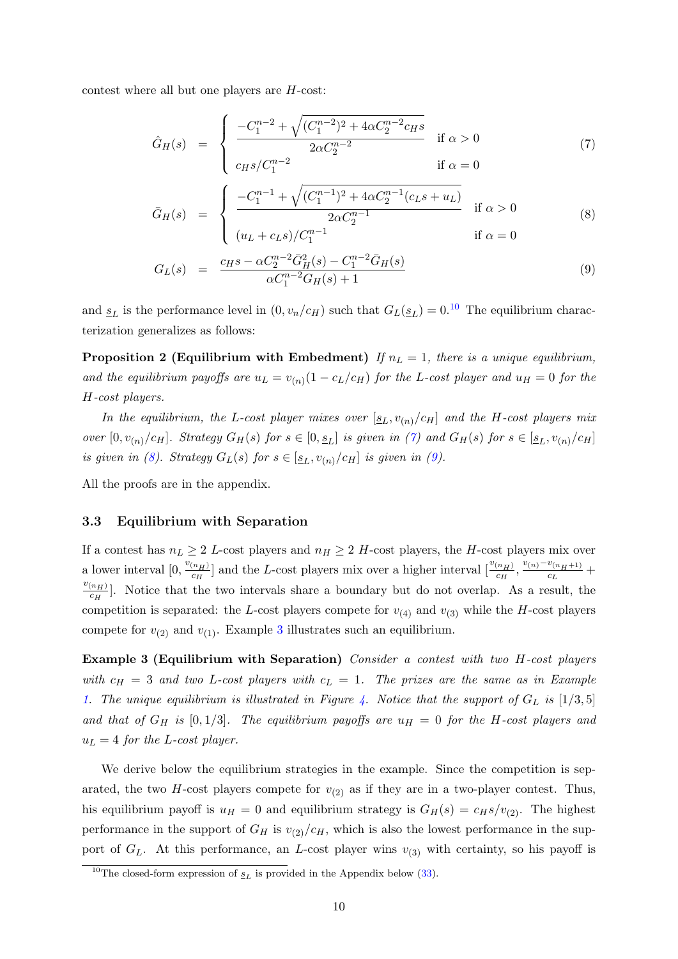contest where all but one players are H-cost:

<span id="page-9-1"></span>
$$
\hat{G}_H(s) = \begin{cases}\n\frac{-C_1^{n-2} + \sqrt{(C_1^{n-2})^2 + 4\alpha C_2^{n-2}c_H s}}{2\alpha C_2^{n-2}} & \text{if } \alpha > 0 \\
c_H s/C_1^{n-2} & \text{if } \alpha = 0\n\end{cases}
$$
\n(7)

$$
\bar{G}_H(s) = \begin{cases}\n\frac{-C_1^{n-1} + \sqrt{(C_1^{n-1})^2 + 4\alpha C_2^{n-1}(c_L s + u_L)}}{2\alpha C_2^{n-1}} & \text{if } \alpha > 0 \\
(u_L + c_L s) / C_1^{n-1} & \text{if } \alpha = 0\n\end{cases}
$$
\n(8)

<span id="page-9-3"></span>
$$
G_L(s) = \frac{c_H s - \alpha C_2^{n-2} \bar{G}_H^2(s) - C_1^{n-2} \bar{G}_H(s)}{\alpha C_1^{n-2} G_H(s) + 1}
$$
(9)

and  $s_L$  is the performance level in  $(0, v_n/c_H)$  such that  $G_L(s_L) = 0.10$  $G_L(s_L) = 0.10$  The equilibrium characterization generalizes as follows:

**Proposition 2 (Equilibrium with Embedment)** If  $n_L = 1$ , there is a unique equilibrium, and the equilibrium payoffs are  $u_L = v_{(n)}(1 - c_L/c_H)$  for the L-cost player and  $u_H = 0$  for the H-cost players.

In the equilibrium, the L-cost player mixes over  $[\underline{s}_L, v_{(n)}/c_H]$  and the H-cost players mix over  $[0, v_{(n)}/c_H]$ . Strategy  $G_H(s)$  for  $s \in [0, s_L]$  is given in [\(7\)](#page-9-1) and  $G_H(s)$  for  $s \in [s_L, v_{(n)}/c_H]$ . is given in [\(8\)](#page-9-1). Strategy  $G_L(s)$  for  $s \in [\underline{s}_L, v_{(n)}/c_H]$  is given in [\(9\)](#page-9-1).

All the proofs are in the appendix.

#### 3.3 Equilibrium with Separation

If a contest has  $n_L \geq 2$  L-cost players and  $n_H \geq 2$  H-cost players, the H-cost players mix over a lower interval  $[0, \frac{v_{(n_H)}}{c_H}]$  $\frac{(n_H)}{c_H}$ ] and the L-cost players mix over a higher interval  $\left[\frac{v_{(n_H)}}{c_H}, \frac{v_{(n)}-v_{(n_H+1)}}{c_L}\right]$  $\frac{c_{(n_{H}+1)}}{c_{L}} +$  $\frac{v_{(n_H)}}{n_H}$  $\frac{n_H}{c_H}$ . Notice that the two intervals share a boundary but do not overlap. As a result, the competition is separated: the L-cost players compete for  $v_{(4)}$  and  $v_{(3)}$  while the H-cost players compete for  $v_{(2)}$  and  $v_{(1)}$ . Example [3](#page-9-2) illustrates such an equilibrium.

<span id="page-9-2"></span>Example 3 (Equilibrium with Separation) Consider a contest with two H-cost players with  $c_H = 3$  and two L-cost players with  $c_L = 1$ . The prizes are the same as in Example [1.](#page-6-1) The unique equilibrium is illustrated in Figure [4.](#page-10-0) Notice that the support of  $G_L$  is  $[1/3, 5]$ and that of  $G_H$  is  $[0, 1/3]$ . The equilibrium payoffs are  $u_H = 0$  for the H-cost players and  $u_L = 4$  for the L-cost player.

We derive below the equilibrium strategies in the example. Since the competition is separated, the two H-cost players compete for  $v_{(2)}$  as if they are in a two-player contest. Thus, his equilibrium payoff is  $u_H = 0$  and equilibrium strategy is  $G_H(s) = c_H s/v_{(2)}$ . The highest performance in the support of  $G_H$  is  $v_{(2)}/c_H$ , which is also the lowest performance in the support of  $G_L$ . At this performance, an L-cost player wins  $v_{(3)}$  with certainty, so his payoff is

<span id="page-9-0"></span><sup>&</sup>lt;sup>10</sup>The closed-form expression of  $s_L$  is provided in the Appendix below [\(33\)](#page-30-0).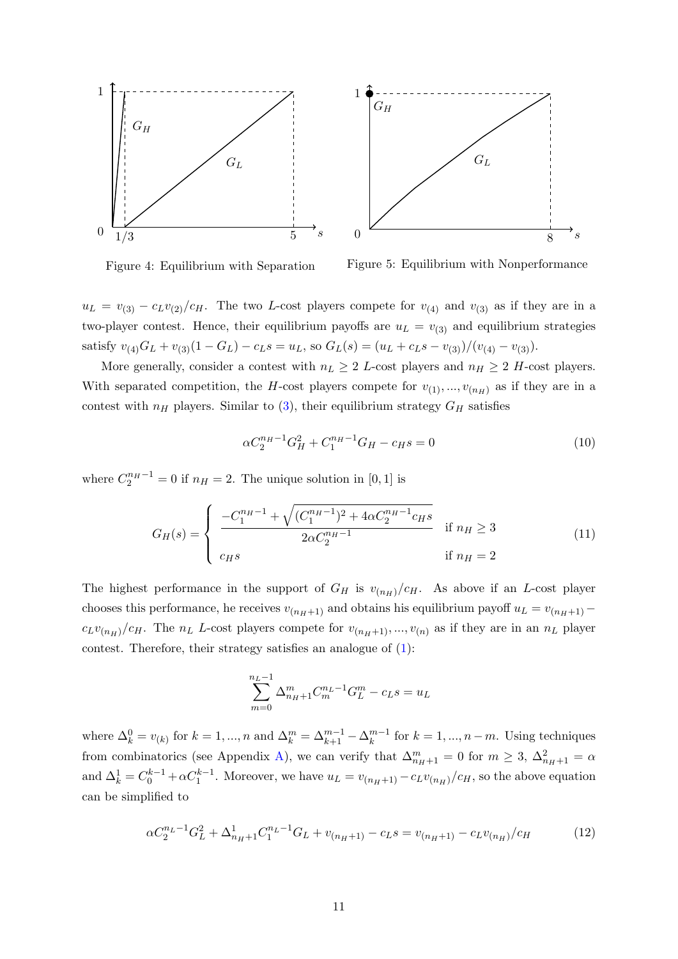<span id="page-10-0"></span>

Figure 4: Equilibrium with Separation

Figure 5: Equilibrium with Nonperformance

 $u_L = v_{(3)} - c_L v_{(2)}/c_H$ . The two L-cost players compete for  $v_{(4)}$  and  $v_{(3)}$  as if they are in a two-player contest. Hence, their equilibrium payoffs are  $u_L = v_{(3)}$  and equilibrium strategies satisfy  $v_{(4)}G_L + v_{(3)}(1 - G_L) - c_L s = u_L$ , so  $G_L(s) = (u_L + c_L s - v_{(3)})/(v_{(4)} - v_{(3)})$ .

More generally, consider a contest with  $n_L \geq 2$  L-cost players and  $n_H \geq 2$  H-cost players. With separated competition, the H-cost players compete for  $v_{(1)},...,v_{(n_H)}$  as if they are in a contest with  $n_H$  players. Similar to [\(3\)](#page-6-3), their equilibrium strategy  $G_H$  satisfies

<span id="page-10-3"></span>
$$
\alpha C_2^{n_H - 1} G_H^2 + C_1^{n_H - 1} G_H - c_H s = 0 \tag{10}
$$

where  $C_2^{n_H-1} = 0$  if  $n_H = 2$ . The unique solution in [0, 1] is

<span id="page-10-1"></span>
$$
G_H(s) = \begin{cases} \frac{-C_1^{n_H - 1} + \sqrt{(C_1^{n_H - 1})^2 + 4\alpha C_2^{n_H - 1} c_H s}}{2\alpha C_2^{n_H - 1}} & \text{if } n_H \ge 3\\ c_H s & \text{if } n_H = 2 \end{cases}
$$
(11)

The highest performance in the support of  $G_H$  is  $v_{(n_H)}/c_H$ . As above if an L-cost player chooses this performance, he receives  $v_{(n_H+1)}$  and obtains his equilibrium payoff  $u_L = v_{(n_H+1)}$  –  $c_L v_{(n_H)} / c_H$ . The  $n_L$  L-cost players compete for  $v_{(n_H+1)}, ..., v_{(n)}$  as if they are in an  $n_L$  player contest. Therefore, their strategy satisfies an analogue of [\(1\)](#page-6-4):

<span id="page-10-2"></span>
$$
\sum_{m=0}^{n_L-1} \Delta_{n_H+1}^m C_m^{n_L-1} G_L^m - c_L s = u_L
$$

where  $\Delta_k^0 = v_{(k)}$  for  $k = 1, ..., n$  and  $\Delta_k^m = \Delta_{k+1}^{m-1} - \Delta_k^{m-1}$  $k^{m-1}$  for  $k = 1, ..., n-m$ . Using techniques from combinatorics (see Appendix [A\)](#page-24-0), we can verify that  $\Delta_{n_H+1}^m = 0$  for  $m \geq 3$ ,  $\Delta_{n_H+1}^2 = \alpha$ and  $\Delta_k^1 = C_0^{k-1} + \alpha C_1^{k-1}$ . Moreover, we have  $u_L = v_{(n+1)} - c_L v_{(n+1)}/c_H$ , so the above equation can be simplified to

$$
\alpha C_2^{n_L - 1} G_L^2 + \Delta_{n_H + 1}^1 C_1^{n_L - 1} G_L + v_{(n_H + 1)} - c_L s = v_{(n_H + 1)} - c_L v_{(n_H)}/c_H \tag{12}
$$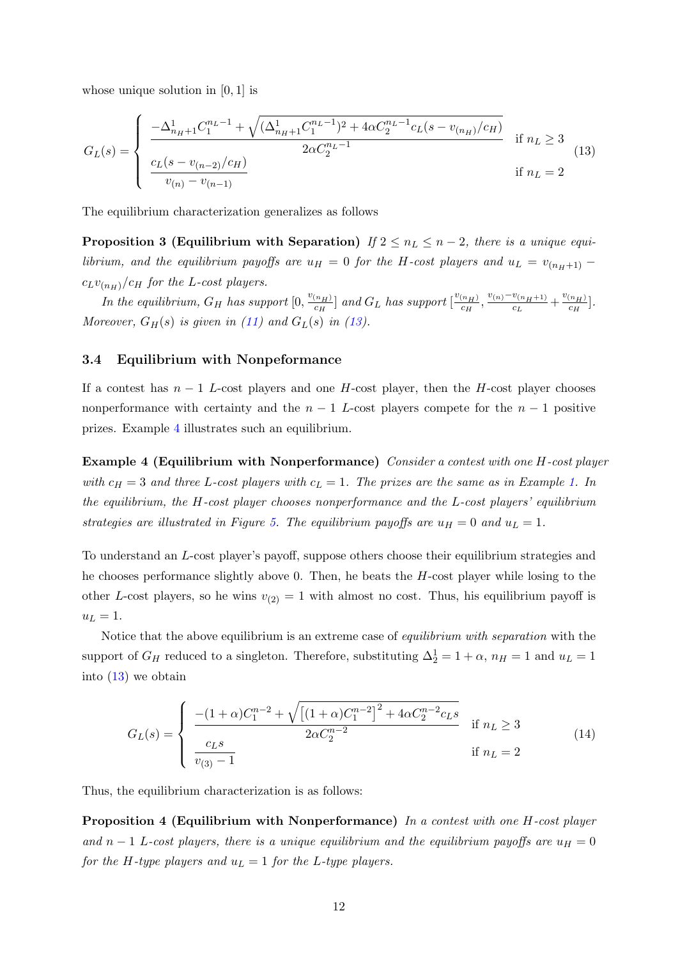whose unique solution in  $[0, 1]$  is

<span id="page-11-1"></span>
$$
G_{L}(s) = \begin{cases} \frac{-\Delta_{n_{H}+1}^{1}C_{1}^{n_{L}-1} + \sqrt{(\Delta_{n_{H}+1}^{1}C_{1}^{n_{L}-1})^{2} + 4\alpha C_{2}^{n_{L}-1}c_{L}(s - v_{(n_{H})}/c_{H})}}{2\alpha C_{2}^{n_{L}-1}} & \text{if } n_{L} \ge 3\\ \frac{c_{L}(s - v_{(n-2)}/c_{H})}{v_{(n)} - v_{(n-1)}} & \text{if } n_{L} = 2 \end{cases}
$$
(13)

<span id="page-11-5"></span>The equilibrium characterization generalizes as follows

**Proposition 3 (Equilibrium with Separation)** If  $2 \leq n_L \leq n-2$ , there is a unique equilibrium, and the equilibrium payoffs are  $u_H = 0$  for the H-cost players and  $u_L = v_{(n_H+1)}$  –  $c_L v_{(n_H)} / c_H$  for the L-cost players.

In the equilibrium,  $G_H$  has support  $[0, \frac{v_{(n_H)}}{c_H}]$  $\left[\frac{c_{H\hspace{-.1em}I}}{c_{H}}\right]$  and  $G_L$  has support  $\left[\frac{v_{(n_H)}}{c_{H}}\right]$  $\frac{(n_H)}{c_H}, \frac{v_{(n)}-v_{(n_H+1)}}{c_L}$  $\frac{v_{(n_H+1)}}{c_L} + \frac{v_{(n_H)}}{c_H}$  $\frac{\binom{n_{H}}{c_{H}}}$ . Moreover,  $G_H(s)$  is given in [\(11\)](#page-10-1) and  $G_L(s)$  in [\(13\)](#page-11-1).

### <span id="page-11-0"></span>3.4 Equilibrium with Nonpeformance

If a contest has  $n-1$  L-cost players and one H-cost player, then the H-cost player chooses nonperformance with certainty and the  $n-1$  L-cost players compete for the  $n-1$  positive prizes. Example [4](#page-11-2) illustrates such an equilibrium.

<span id="page-11-2"></span>Example 4 (Equilibrium with Nonperformance) Consider a contest with one H-cost player with  $c_H = 3$  and three L-cost players with  $c_L = 1$ . The prizes are the same as in Example [1.](#page-6-1) In the equilibrium, the H-cost player chooses nonperformance and the L-cost players' equilibrium strategies are illustrated in Figure [5.](#page-10-0) The equilibrium payoffs are  $u_H = 0$  and  $u_L = 1$ .

To understand an L-cost player's payoff, suppose others choose their equilibrium strategies and he chooses performance slightly above 0. Then, he beats the H-cost player while losing to the other L-cost players, so he wins  $v_{(2)} = 1$  with almost no cost. Thus, his equilibrium payoff is  $u_L = 1$ .

Notice that the above equilibrium is an extreme case of *equilibrium with separation* with the support of  $G_H$  reduced to a singleton. Therefore, substituting  $\Delta_2^1 = 1 + \alpha$ ,  $n_H = 1$  and  $u_L = 1$ into [\(13\)](#page-11-1) we obtain

<span id="page-11-4"></span><span id="page-11-3"></span>
$$
G_{L}(s) = \begin{cases} \frac{-(1+\alpha)C_{1}^{n-2} + \sqrt{\left[(1+\alpha)C_{1}^{n-2}\right]^{2} + 4\alpha C_{2}^{n-2}c_{L}s}}{2\alpha C_{2}^{n-2}} & \text{if } n_{L} \ge 3\\ \frac{c_{L}s}{v_{(3)}-1} & \text{if } n_{L} = 2 \end{cases}
$$
(14)

Thus, the equilibrium characterization is as follows:

**Proposition 4 (Equilibrium with Nonperformance)** In a contest with one  $H$ -cost player and n − 1 L-cost players, there is a unique equilibrium and the equilibrium payoffs are  $u_H = 0$ for the H-type players and  $u_L = 1$  for the L-type players.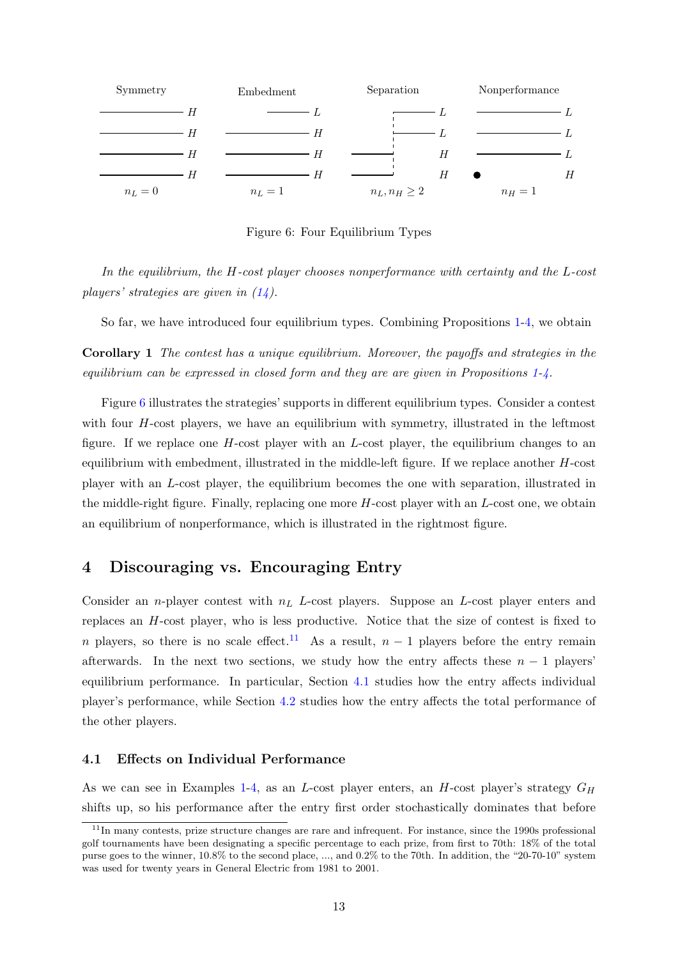<span id="page-12-1"></span>

Figure 6: Four Equilibrium Types

In the equilibrium, the H-cost player chooses nonperformance with certainty and the L-cost players' strategies are given in [\(14\)](#page-11-3).

So far, we have introduced four equilibrium types. Combining Propositions [1-](#page-7-2)[4,](#page-11-4) we obtain

Corollary 1 The contest has a unique equilibrium. Moreover, the payoffs and strategies in the equilibrium can be expressed in closed form and they are are given in Propositions [1-](#page-7-2)[4.](#page-11-4)

Figure [6](#page-12-1) illustrates the strategies' supports in different equilibrium types. Consider a contest with four  $H$ -cost players, we have an equilibrium with symmetry, illustrated in the leftmost figure. If we replace one  $H$ -cost player with an  $L$ -cost player, the equilibrium changes to an equilibrium with embedment, illustrated in the middle-left figure. If we replace another  $H$ -cost player with an L-cost player, the equilibrium becomes the one with separation, illustrated in the middle-right figure. Finally, replacing one more  $H$ -cost player with an  $L$ -cost one, we obtain an equilibrium of nonperformance, which is illustrated in the rightmost figure.

## <span id="page-12-0"></span>4 Discouraging vs. Encouraging Entry

Consider an *n*-player contest with  $n<sub>L</sub>$  L-cost players. Suppose an L-cost player enters and replaces an H-cost player, who is less productive. Notice that the size of contest is fixed to n players, so there is no scale effect.<sup>[11](#page-12-2)</sup> As a result,  $n-1$  players before the entry remain afterwards. In the next two sections, we study how the entry affects these  $n - 1$  players' equilibrium performance. In particular, Section [4.1](#page-12-3) studies how the entry affects individual player's performance, while Section [4.2](#page-14-0) studies how the entry affects the total performance of the other players.

### <span id="page-12-3"></span>4.1 Effects on Individual Performance

As we can see in Examples [1](#page-6-1)[-4,](#page-11-2) as an L-cost player enters, an H-cost player's strategy  $G_H$ shifts up, so his performance after the entry first order stochastically dominates that before

<span id="page-12-2"></span><sup>&</sup>lt;sup>11</sup>In many contests, prize structure changes are rare and infrequent. For instance, since the 1990s professional golf tournaments have been designating a specific percentage to each prize, from first to 70th: 18% of the total purse goes to the winner, 10.8% to the second place, ..., and 0.2% to the 70th. In addition, the "20-70-10" system was used for twenty years in General Electric from 1981 to 2001.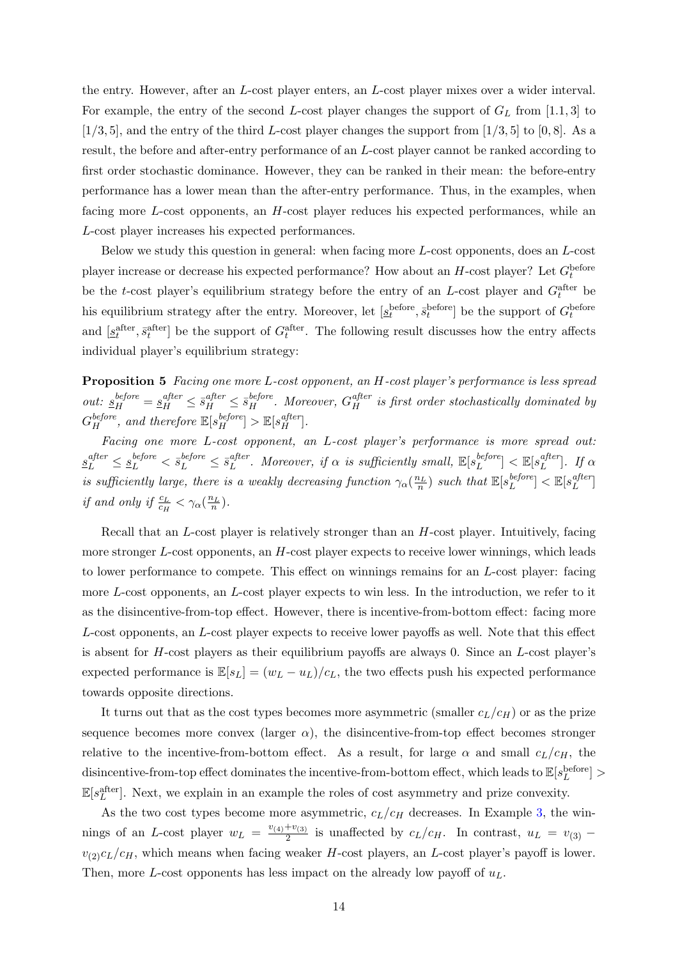the entry. However, after an L-cost player enters, an L-cost player mixes over a wider interval. For example, the entry of the second L-cost player changes the support of  $G_L$  from [1.1, 3] to  $[1/3, 5]$ , and the entry of the third L-cost player changes the support from  $[1/3, 5]$  to  $[0, 8]$ . As a result, the before and after-entry performance of an L-cost player cannot be ranked according to first order stochastic dominance. However, they can be ranked in their mean: the before-entry performance has a lower mean than the after-entry performance. Thus, in the examples, when facing more L-cost opponents, an H-cost player reduces his expected performances, while an L-cost player increases his expected performances.

Below we study this question in general: when facing more L-cost opponents, does an L-cost player increase or decrease his expected performance? How about an  $H$ -cost player? Let  $G_t^{\text{before}}$ be the t-cost player's equilibrium strategy before the entry of an L-cost player and  $G_t^{\text{after}}$  be his equilibrium strategy after the entry. Moreover, let  $[s_t^{\text{before}}, \bar{s}_t^{\text{before}}]$  be the support of  $G_t^{\text{before}}$ and  $[s_t^{\text{after}}, \bar{s}_t^{\text{after}}]$  be the support of  $G_t^{\text{after}}$ . The following result discusses how the entry affects individual player's equilibrium strategy:

<span id="page-13-0"></span>Proposition 5 Facing one more L-cost opponent, an H-cost player's performance is less spread out:  $s_H^{before} = s_H^{after} \leq \overline{s}_H^{after} \leq \overline{s}_H^{before}$ . Moreover,  $G_H^{after}$  is first order stochastically dominated by  $G_H^{before}$ , and therefore  $\mathbb{E}[s_H^{before}] > \mathbb{E}[s_H^{after}]$ .

Facing one more L-cost opponent, an L-cost player's performance is more spread out:  $s_L^{after} \leq s_L^{before} < \bar{s}_L^{before} \leq \bar{s}_L^{after}$  $L^{after}$ . Moreover, if  $\alpha$  is sufficiently small,  $\mathbb{E}[s_L^{before}]$  $\mathbb{E}[s_L^{after}] < \mathbb{E}[s_L^{after}]$  $\left[\begin{smallmatrix} a_{ij} & a_{ij} \ b & b_{ij} \end{smallmatrix}\right]$ . If  $\alpha$ is sufficiently large, there is a weakly decreasing function  $\gamma_\alpha(\frac{n_L}{n})$  such that  $\mathbb{E}[s_L^{before}]$  $\mathbb{E}[s_L^{after}] < \mathbb{E}[s_L^{after}]$  $\left[\begin{smallmatrix} a J & e & r \ L & \end{smallmatrix}\right]$ *if and only if*  $\frac{c_L}{c_H} < \gamma_\alpha(\frac{n_L}{n})$ .

Recall that an L-cost player is relatively stronger than an H-cost player. Intuitively, facing more stronger L-cost opponents, an H-cost player expects to receive lower winnings, which leads to lower performance to compete. This effect on winnings remains for an L-cost player: facing more L-cost opponents, an L-cost player expects to win less. In the introduction, we refer to it as the disincentive-from-top effect. However, there is incentive-from-bottom effect: facing more L-cost opponents, an L-cost player expects to receive lower payoffs as well. Note that this effect is absent for  $H$ -cost players as their equilibrium payoffs are always 0. Since an  $L$ -cost player's expected performance is  $\mathbb{E}[s_L] = (w_L - u_L)/c_L$ , the two effects push his expected performance towards opposite directions.

It turns out that as the cost types becomes more asymmetric (smaller  $c_L/c_H$ ) or as the prize sequence becomes more convex (larger  $\alpha$ ), the disincentive-from-top effect becomes stronger relative to the incentive-from-bottom effect. As a result, for large  $\alpha$  and small  $c_L/c_H$ , the  $\text{disincentive-from-top effect dominates the incentive-from-bottom effect, which leads to }\mathbb{E}[s_{L}^{\text{before}}] >$  $\mathbb{E}[s_L^{\text{after}}]$ . Next, we explain in an example the roles of cost asymmetry and prize convexity.

As the two cost types become more asymmetric,  $c_L/c_H$  decreases. In Example [3,](#page-9-2) the winnings of an L-cost player  $w_L = \frac{v_{(4)} + v_{(3)}}{2}$  $\frac{1+v(3)}{2}$  is unaffected by  $c_L/c_H$ . In contrast,  $u_L = v_{(3)}$  –  $v_{(2)}c_L/c_H$ , which means when facing weaker H-cost players, an L-cost player's payoff is lower. Then, more L-cost opponents has less impact on the already low payoff of  $u<sub>L</sub>$ .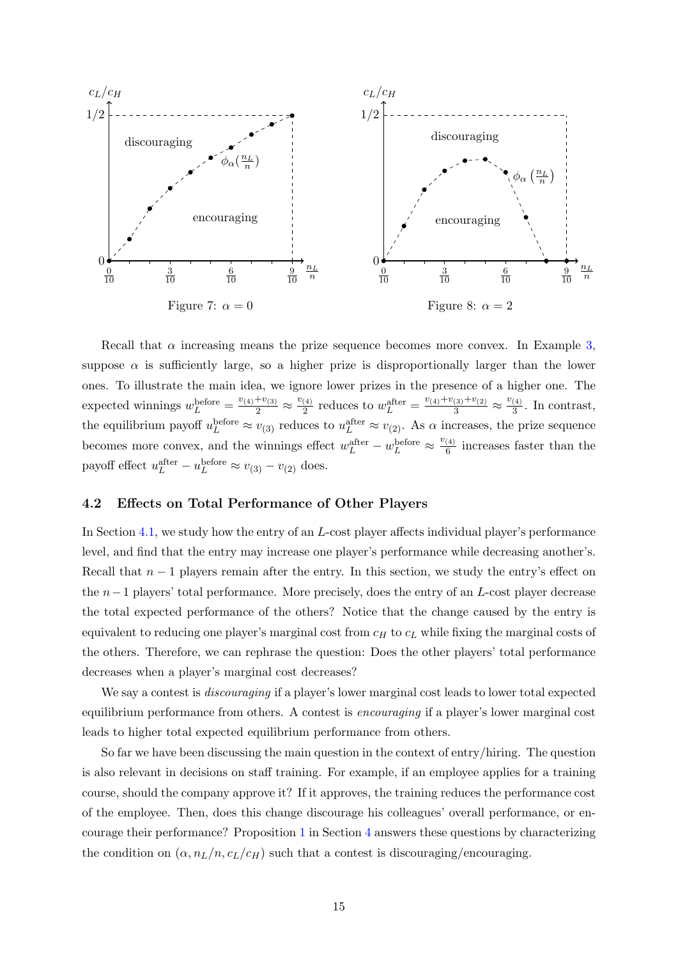<span id="page-14-2"></span>

Recall that  $\alpha$  increasing means the prize sequence becomes more convex. In Example [3,](#page-9-2) suppose  $\alpha$  is sufficiently large, so a higher prize is disproportionally larger than the lower ones. To illustrate the main idea, we ignore lower prizes in the presence of a higher one. The expected winnings  $w_L^{\text{before}} = \frac{v_{(4)} + v_{(3)}}{2} \approx \frac{v_{(4)}}{2}$  $rac{4}{2}$  reduces to  $w_L^{\text{after}} = \frac{v_{(4)} + v_{(3)} + v_{(2)}}{3} \approx \frac{v_{(4)}}{3}$  $\frac{(4)}{3}$ . In contrast, the equilibrium payoff  $u_L^{\text{before}} \approx v_{(3)}$  reduces to  $u_L^{\text{after}} \approx v_{(2)}$ . As  $\alpha$  increases, the prize sequence becomes more convex, and the winnings effect  $w_L^{\text{after}} - w_L^{\text{before}} \approx \frac{v_{(4)}}{6}$  $\frac{(4)}{6}$  increases faster than the payoff effect  $u_L^{\text{after}} - u_L^{\text{before}} \approx v_{(3)} - v_{(2)}$  does.

### <span id="page-14-0"></span>4.2 Effects on Total Performance of Other Players

In Section [4.1,](#page-12-3) we study how the entry of an L-cost player affects individual player's performance level, and find that the entry may increase one player's performance while decreasing another's. Recall that  $n-1$  players remain after the entry. In this section, we study the entry's effect on the n−1 players' total performance. More precisely, does the entry of an L-cost player decrease the total expected performance of the others? Notice that the change caused by the entry is equivalent to reducing one player's marginal cost from  $c_H$  to  $c_L$  while fixing the marginal costs of the others. Therefore, we can rephrase the question: Does the other players' total performance decreases when a player's marginal cost decreases?

We say a contest is *discouraging* if a player's lower marginal cost leads to lower total expected equilibrium performance from others. A contest is encouraging if a player's lower marginal cost leads to higher total expected equilibrium performance from others.

<span id="page-14-1"></span>So far we have been discussing the main question in the context of entry/hiring. The question is also relevant in decisions on staff training. For example, if an employee applies for a training course, should the company approve it? If it approves, the training reduces the performance cost of the employee. Then, does this change discourage his colleagues' overall performance, or encourage their performance? Proposition [1](#page-7-2) in Section [4](#page-12-0) answers these questions by characterizing the condition on  $(\alpha, n_L/n, c_L/c_H)$  such that a contest is discouraging/encouraging.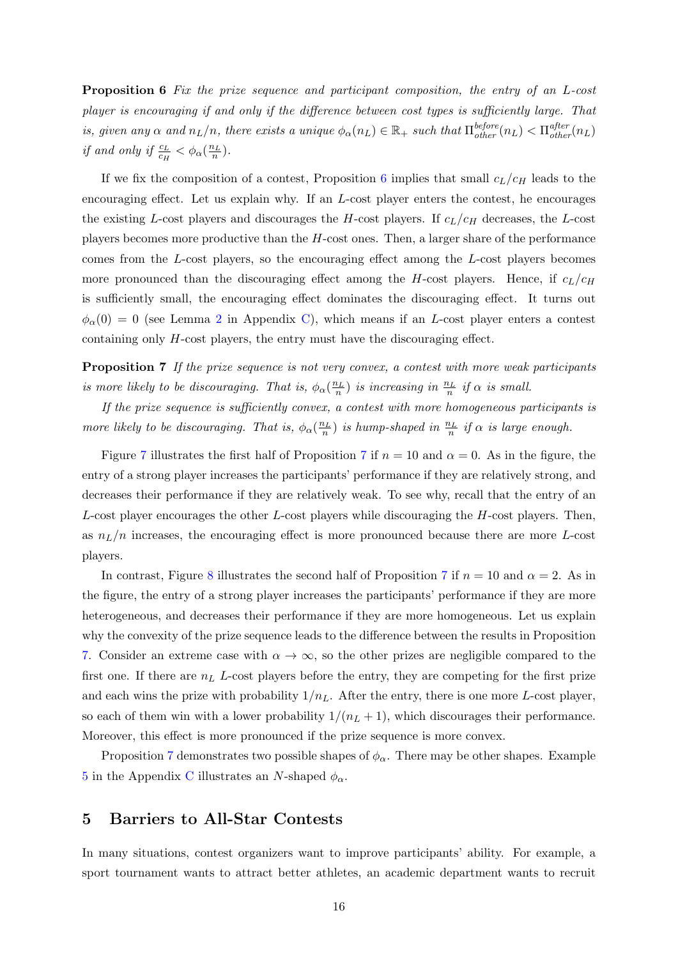Proposition 6 Fix the prize sequence and participant composition, the entry of an L-cost player is encouraging if and only if the difference between cost types is sufficiently large. That is, given any  $\alpha$  and  $n_L/n$ , there exists a unique  $\phi_\alpha(n_L) \in \mathbb{R}_+$  such that  $\prod_{other}^{before}(n_L) < \prod_{other}^{after}(n_L)$ *if and only if*  $\frac{c_L}{c_H} < \phi_\alpha(\frac{n_L}{n})$ .

If we fix the composition of a contest, Proposition [6](#page-14-1) implies that small  $c_L/c_H$  leads to the encouraging effect. Let us explain why. If an L-cost player enters the contest, he encourages the existing L-cost players and discourages the H-cost players. If  $c_L/c_H$  decreases, the L-cost players becomes more productive than the  $H$ -cost ones. Then, a larger share of the performance comes from the L-cost players, so the encouraging effect among the L-cost players becomes more pronounced than the discouraging effect among the H-cost players. Hence, if  $c_L/c_H$ is sufficiently small, the encouraging effect dominates the discouraging effect. It turns out  $\phi_{\alpha}(0) = 0$  (see Lemma [2](#page-36-0) in Appendix [C\)](#page-29-0), which means if an L-cost player enters a contest containing only H-cost players, the entry must have the discouraging effect.

<span id="page-15-1"></span>Proposition 7 If the prize sequence is not very convex, a contest with more weak participants is more likely to be discouraging. That is,  $\phi_{\alpha}(\frac{n_L}{n})$  is increasing in  $\frac{n_L}{n}$  if  $\alpha$  is small.

If the prize sequence is sufficiently convex, a contest with more homogeneous participants is more likely to be discouraging. That is,  $\phi_{\alpha}(\frac{n_L}{n})$  is hump-shaped in  $\frac{n_L}{n}$  if  $\alpha$  is large enough.

Figure [7](#page-15-1) illustrates the first half of Proposition 7 if  $n = 10$  and  $\alpha = 0$ . As in the figure, the entry of a strong player increases the participants' performance if they are relatively strong, and decreases their performance if they are relatively weak. To see why, recall that the entry of an  $L$ -cost player encourages the other  $L$ -cost players while discouraging the  $H$ -cost players. Then, as  $n_L/n$  increases, the encouraging effect is more pronounced because there are more L-cost players.

In contrast, Figure [8](#page-14-2) illustrates the second half of Proposition [7](#page-15-1) if  $n = 10$  and  $\alpha = 2$ . As in the figure, the entry of a strong player increases the participants' performance if they are more heterogeneous, and decreases their performance if they are more homogeneous. Let us explain why the convexity of the prize sequence leads to the difference between the results in Proposition [7.](#page-15-1) Consider an extreme case with  $\alpha \to \infty$ , so the other prizes are negligible compared to the first one. If there are  $n<sub>L</sub>$  L-cost players before the entry, they are competing for the first prize and each wins the prize with probability  $1/n<sub>L</sub>$ . After the entry, there is one more L-cost player, so each of them win with a lower probability  $1/(n_L + 1)$ , which discourages their performance. Moreover, this effect is more pronounced if the prize sequence is more convex.

Proposition [7](#page-15-1) demonstrates two possible shapes of  $\phi_{\alpha}$ . There may be other shapes. Example [5](#page-46-0) in the Appendix [C](#page-29-0) illustrates an N-shaped  $\phi_{\alpha}$ .

## <span id="page-15-0"></span>5 Barriers to All-Star Contests

In many situations, contest organizers want to improve participants' ability. For example, a sport tournament wants to attract better athletes, an academic department wants to recruit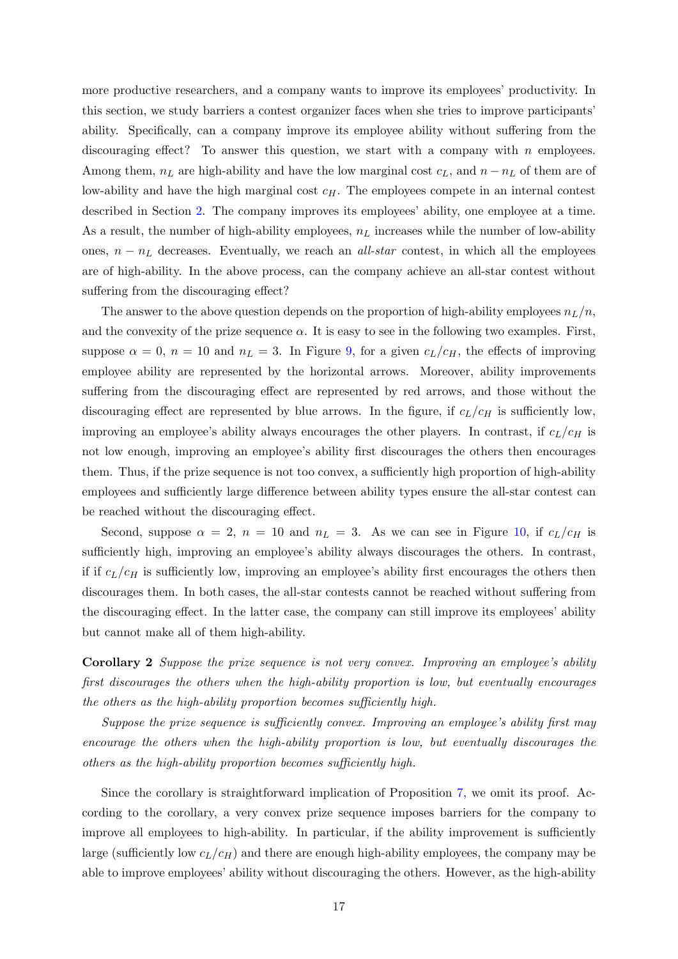more productive researchers, and a company wants to improve its employees' productivity. In this section, we study barriers a contest organizer faces when she tries to improve participants' ability. Specifically, can a company improve its employee ability without suffering from the discouraging effect? To answer this question, we start with a company with  $n$  employees. Among them,  $n<sub>L</sub>$  are high-ability and have the low marginal cost  $c<sub>L</sub>$ , and  $n - n<sub>L</sub>$  of them are of low-ability and have the high marginal cost  $c_H$ . The employees compete in an internal contest described in Section [2.](#page-4-0) The company improves its employees' ability, one employee at a time. As a result, the number of high-ability employees,  $n<sub>L</sub>$  increases while the number of low-ability ones,  $n - n<sub>L</sub>$  decreases. Eventually, we reach an *all-star* contest, in which all the employees are of high-ability. In the above process, can the company achieve an all-star contest without suffering from the discouraging effect?

The answer to the above question depends on the proportion of high-ability employees  $n_L/n$ , and the convexity of the prize sequence  $\alpha$ . It is easy to see in the following two examples. First, suppose  $\alpha = 0$ ,  $n = 10$  and  $n_L = 3$ . In Figure [9,](#page-17-1) for a given  $c_L/c_H$ , the effects of improving employee ability are represented by the horizontal arrows. Moreover, ability improvements suffering from the discouraging effect are represented by red arrows, and those without the discouraging effect are represented by blue arrows. In the figure, if  $c_L/c_H$  is sufficiently low, improving an employee's ability always encourages the other players. In contrast, if  $c_L/c_H$  is not low enough, improving an employee's ability first discourages the others then encourages them. Thus, if the prize sequence is not too convex, a sufficiently high proportion of high-ability employees and sufficiently large difference between ability types ensure the all-star contest can be reached without the discouraging effect.

Second, suppose  $\alpha = 2$ ,  $n = 10$  and  $n_L = 3$ . As we can see in Figure [10,](#page-17-1) if  $c_L/c_H$  is sufficiently high, improving an employee's ability always discourages the others. In contrast, if if  $c_L/c_H$  is sufficiently low, improving an employee's ability first encourages the others then discourages them. In both cases, the all-star contests cannot be reached without suffering from the discouraging effect. In the latter case, the company can still improve its employees' ability but cannot make all of them high-ability.

Corollary 2 Suppose the prize sequence is not very convex. Improving an employee's ability first discourages the others when the high-ability proportion is low, but eventually encourages the others as the high-ability proportion becomes sufficiently high.

Suppose the prize sequence is sufficiently convex. Improving an employee's ability first may encourage the others when the high-ability proportion is low, but eventually discourages the others as the high-ability proportion becomes sufficiently high.

Since the corollary is straightforward implication of Proposition [7,](#page-15-1) we omit its proof. According to the corollary, a very convex prize sequence imposes barriers for the company to improve all employees to high-ability. In particular, if the ability improvement is sufficiently large (sufficiently low  $c_L/c_H$ ) and there are enough high-ability employees, the company may be able to improve employees' ability without discouraging the others. However, as the high-ability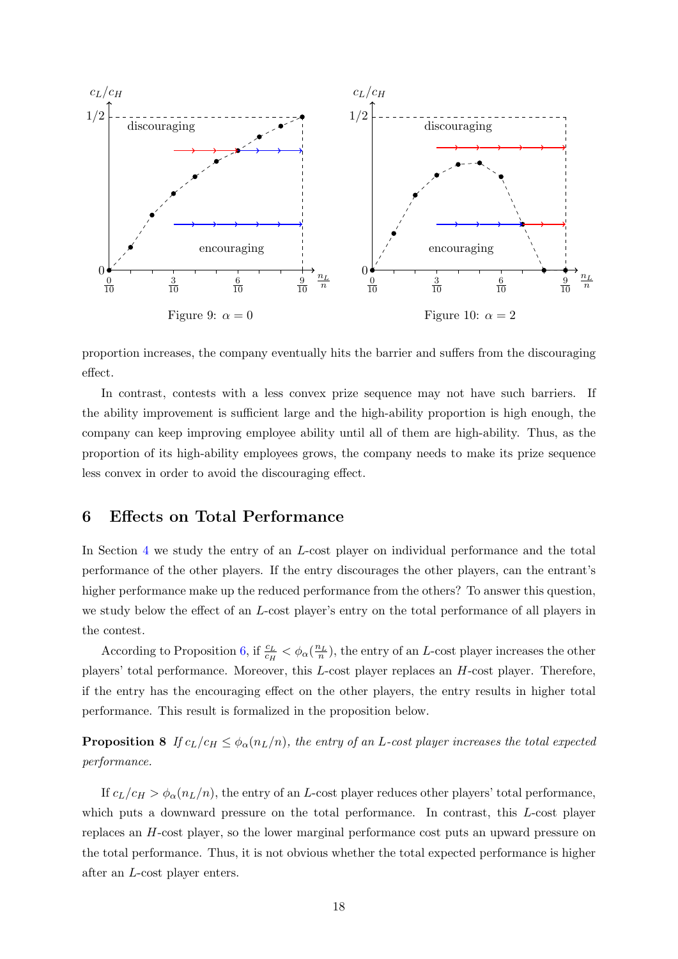<span id="page-17-1"></span>

proportion increases, the company eventually hits the barrier and suffers from the discouraging effect.

In contrast, contests with a less convex prize sequence may not have such barriers. If the ability improvement is sufficient large and the high-ability proportion is high enough, the company can keep improving employee ability until all of them are high-ability. Thus, as the proportion of its high-ability employees grows, the company needs to make its prize sequence less convex in order to avoid the discouraging effect.

## <span id="page-17-0"></span>6 Effects on Total Performance

In Section [4](#page-12-0) we study the entry of an L-cost player on individual performance and the total performance of the other players. If the entry discourages the other players, can the entrant's higher performance make up the reduced performance from the others? To answer this question, we study below the effect of an L-cost player's entry on the total performance of all players in the contest.

According to Proposition [6,](#page-14-1) if  $\frac{c_L}{c_H} < \phi_\alpha(\frac{n_L}{n})$ , the entry of an L-cost player increases the other players' total performance. Moreover, this L-cost player replaces an H-cost player. Therefore, if the entry has the encouraging effect on the other players, the entry results in higher total performance. This result is formalized in the proposition below.

<span id="page-17-2"></span>**Proposition 8** If  $c_L/c_H \leq \phi_\alpha(n_L/n)$ , the entry of an L-cost player increases the total expected performance.

If  $c_L/c_H > \phi_\alpha(n_L/n)$ , the entry of an L-cost player reduces other players' total performance, which puts a downward pressure on the total performance. In contrast, this L-cost player replaces an H-cost player, so the lower marginal performance cost puts an upward pressure on the total performance. Thus, it is not obvious whether the total expected performance is higher after an L-cost player enters.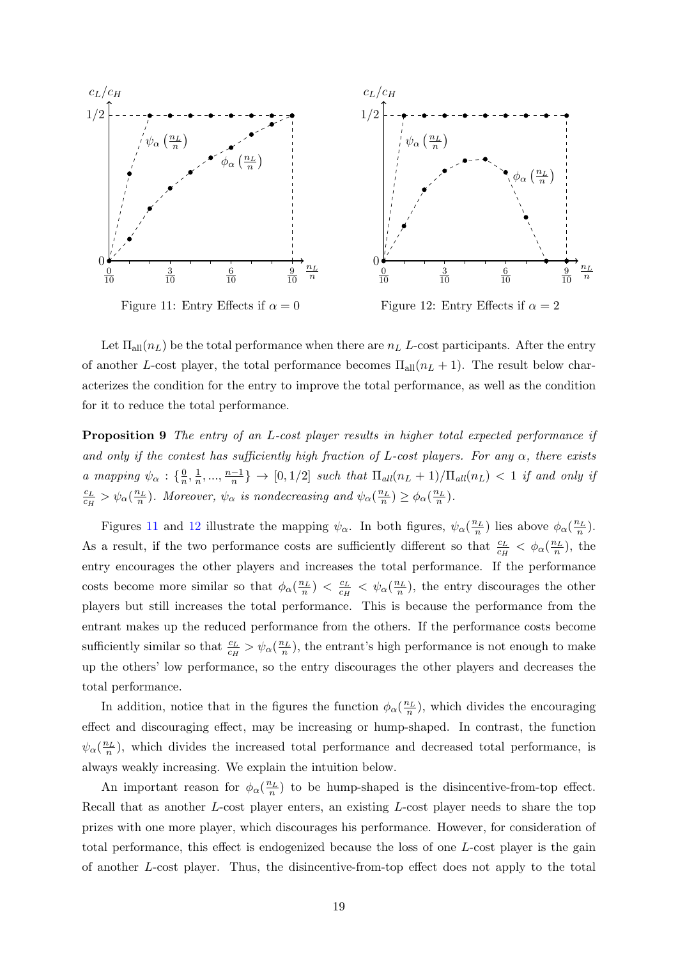<span id="page-18-0"></span>

Let  $\Pi_{all}(n_L)$  be the total performance when there are  $n_L$  L-cost participants. After the entry of another L-cost player, the total performance becomes  $\Pi_{all}(n_L + 1)$ . The result below characterizes the condition for the entry to improve the total performance, as well as the condition for it to reduce the total performance.

<span id="page-18-1"></span>Proposition 9 The entry of an L-cost player results in higher total expected performance if and only if the contest has sufficiently high fraction of L-cost players. For any  $\alpha$ , there exists a mapping  $\psi_{\alpha} : \{\frac{0}{n}\}$  $\frac{0}{n}, \frac{1}{n}$  $\frac{1}{n}, \ldots, \frac{n-1}{n}$  $\frac{-1}{n}$   $\} \rightarrow [0, 1/2]$  such that  $\Pi_{all}(n_L + 1)/\Pi_{all}(n_L) < 1$  if and only if  $c_L$  $\frac{c_L}{c_H} > \psi_\alpha(\frac{n_L}{n}).$  Moreover,  $\psi_\alpha$  is nondecreasing and  $\psi_\alpha(\frac{n_L}{n}) \geq \phi_\alpha(\frac{n_L}{n}).$ 

Figures [11](#page-18-0) and [12](#page-18-0) illustrate the mapping  $\psi_{\alpha}$ . In both figures,  $\psi_{\alpha}(\frac{n_L}{n})$  lies above  $\phi_{\alpha}(\frac{n_L}{n})$ . As a result, if the two performance costs are sufficiently different so that  $\frac{c_L}{c_H} < \phi_\alpha(\frac{n_L}{n})$ , the entry encourages the other players and increases the total performance. If the performance costs become more similar so that  $\phi_{\alpha}(\frac{n_L}{n}) < \frac{c_L}{c_H}$  $\frac{c_L}{c_H} < \psi_\alpha(\frac{n_L}{n})$ , the entry discourages the other players but still increases the total performance. This is because the performance from the entrant makes up the reduced performance from the others. If the performance costs become sufficiently similar so that  $\frac{c_L}{c_H} > \psi_\alpha(\frac{n_L}{n})$ , the entrant's high performance is not enough to make up the others' low performance, so the entry discourages the other players and decreases the total performance.

In addition, notice that in the figures the function  $\phi_\alpha(\frac{n_L}{n})$ , which divides the encouraging effect and discouraging effect, may be increasing or hump-shaped. In contrast, the function  $\psi_{\alpha}(\frac{n_L}{n})$ , which divides the increased total performance and decreased total performance, is always weakly increasing. We explain the intuition below.

An important reason for  $\phi_{\alpha}(\frac{n_L}{n})$  to be hump-shaped is the disincentive-from-top effect. Recall that as another L-cost player enters, an existing L-cost player needs to share the top prizes with one more player, which discourages his performance. However, for consideration of total performance, this effect is endogenized because the loss of one L-cost player is the gain of another L-cost player. Thus, the disincentive-from-top effect does not apply to the total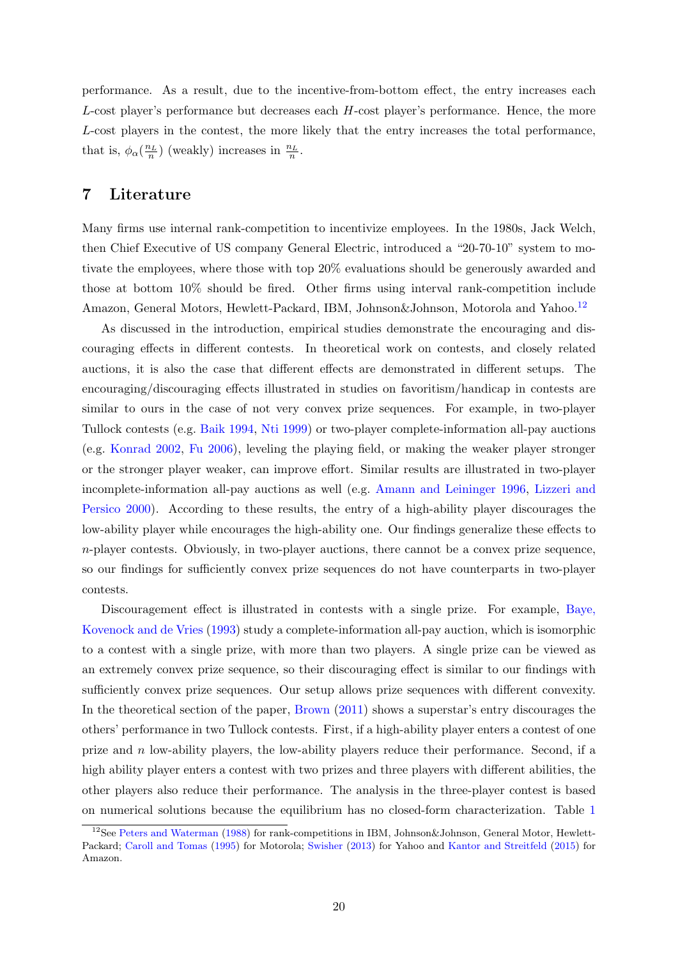performance. As a result, due to the incentive-from-bottom effect, the entry increases each L-cost player's performance but decreases each H-cost player's performance. Hence, the more L-cost players in the contest, the more likely that the entry increases the total performance, that is,  $\phi_{\alpha}(\frac{n_L}{n})$  (weakly) increases in  $\frac{n_L}{n}$ .

## <span id="page-19-0"></span>7 Literature

Many firms use internal rank-competition to incentivize employees. In the 1980s, Jack Welch, then Chief Executive of US company General Electric, introduced a "20-70-10" system to motivate the employees, where those with top 20% evaluations should be generously awarded and those at bottom 10% should be fired. Other firms using interval rank-competition include Amazon, General Motors, Hewlett-Packard, IBM, Johnson & Johnson, Motorola and Yahoo.<sup>[12](#page-19-1)</sup>

As discussed in the introduction, empirical studies demonstrate the encouraging and discouraging effects in different contests. In theoretical work on contests, and closely related auctions, it is also the case that different effects are demonstrated in different setups. The encouraging/discouraging effects illustrated in studies on favoritism/handicap in contests are similar to ours in the case of not very convex prize sequences. For example, in two-player Tullock contests (e.g. [Baik](#page-22-5) [1994,](#page-22-5) [Nti](#page-23-3) [1999\)](#page-23-3) or two-player complete-information all-pay auctions (e.g. [Konrad](#page-23-4) [2002,](#page-23-4) [Fu](#page-22-6) [2006\)](#page-22-6), leveling the playing field, or making the weaker player stronger or the stronger player weaker, can improve effort. Similar results are illustrated in two-player incomplete-information all-pay auctions as well (e.g. [Amann and Leininger](#page-22-7) [1996,](#page-22-7) [Lizzeri and](#page-23-5) [Persico](#page-23-5) [2000\)](#page-23-5). According to these results, the entry of a high-ability player discourages the low-ability player while encourages the high-ability one. Our findings generalize these effects to  $n$ -player contests. Obviously, in two-player auctions, there cannot be a convex prize sequence, so our findings for sufficiently convex prize sequences do not have counterparts in two-player contests.

Discouragement effect is illustrated in contests with a single prize. For example, [Baye,](#page-22-8) [Kovenock and de Vries](#page-22-8) [\(1993\)](#page-22-8) study a complete-information all-pay auction, which is isomorphic to a contest with a single prize, with more than two players. A single prize can be viewed as an extremely convex prize sequence, so their discouraging effect is similar to our findings with sufficiently convex prize sequences. Our setup allows prize sequences with different convexity. In the theoretical section of the paper, [Brown](#page-22-0) [\(2011\)](#page-22-0) shows a superstar's entry discourages the others' performance in two Tullock contests. First, if a high-ability player enters a contest of one prize and  $n$  low-ability players, the low-ability players reduce their performance. Second, if a high ability player enters a contest with two prizes and three players with different abilities, the other players also reduce their performance. The analysis in the three-player contest is based on numerical solutions because the equilibrium has no closed-form characterization. Table [1](#page-20-0)

<span id="page-19-1"></span><sup>&</sup>lt;sup>12</sup>See [Peters and Waterman](#page-23-6) [\(1988\)](#page-23-6) for rank-competitions in IBM, Johnson&Johnson, General Motor, Hewlett-Packard; [Caroll and Tomas](#page-22-9) [\(1995\)](#page-22-9) for Motorola; [Swisher](#page-23-7) [\(2013\)](#page-23-7) for Yahoo and [Kantor and Streitfeld](#page-22-10) [\(2015\)](#page-22-10) for Amazon.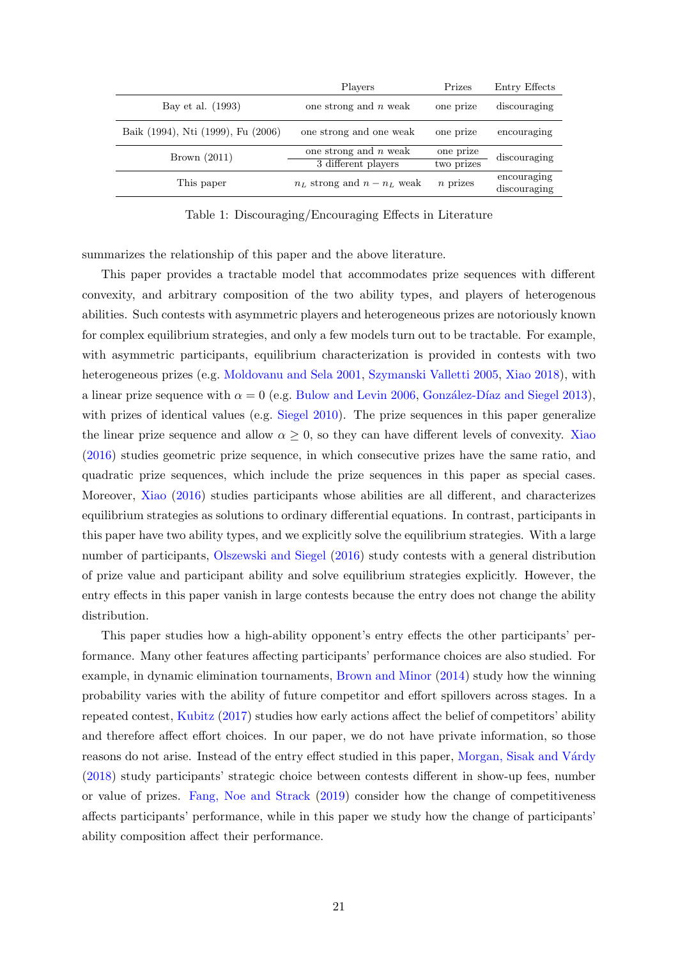<span id="page-20-0"></span>

|                                    | Players                         | Prizes     | Entry Effects |  |
|------------------------------------|---------------------------------|------------|---------------|--|
| Bay et al. (1993)                  | one strong and $n$ weak         | one prize  | discouraging  |  |
| Baik (1994), Nti (1999), Fu (2006) | one strong and one weak         | one prize  | encouraging   |  |
| Brown $(2011)$                     | one strong and $n$ weak         | one prize  | discouraging  |  |
|                                    | 3 different players             | two prizes |               |  |
| This paper                         | $n_L$ strong and $n - n_L$ weak | $n$ prizes | encouraging   |  |
|                                    |                                 |            | discouraging  |  |

Table 1: Discouraging/Encouraging Effects in Literature

summarizes the relationship of this paper and the above literature.

This paper provides a tractable model that accommodates prize sequences with different convexity, and arbitrary composition of the two ability types, and players of heterogenous abilities. Such contests with asymmetric players and heterogeneous prizes are notoriously known for complex equilibrium strategies, and only a few models turn out to be tractable. For example, with asymmetric participants, equilibrium characterization is provided in contests with two heterogeneous prizes (e.g. [Moldovanu and Sela](#page-23-8) [2001,](#page-23-8) [Szymanski Valletti](#page-23-9) [2005,](#page-23-9) [Xiao](#page-23-10) [2018\)](#page-23-10), with a linear prize sequence with  $\alpha = 0$  (e.g. [Bulow and Levin](#page-22-11) [2006,](#page-22-11) González-Díaz and Siegel [2013\)](#page-22-12), with prizes of identical values (e.g. [Siegel](#page-23-11) [2010\)](#page-23-11). The prize sequences in this paper generalize the linear prize sequence and allow  $\alpha \geq 0$ , so they can have different levels of convexity. [Xiao](#page-23-1) [\(2016\)](#page-23-1) studies geometric prize sequence, in which consecutive prizes have the same ratio, and quadratic prize sequences, which include the prize sequences in this paper as special cases. Moreover, [Xiao](#page-23-1) [\(2016\)](#page-23-1) studies participants whose abilities are all different, and characterizes equilibrium strategies as solutions to ordinary differential equations. In contrast, participants in this paper have two ability types, and we explicitly solve the equilibrium strategies. With a large number of participants, [Olszewski and Siegel](#page-23-12) [\(2016\)](#page-23-12) study contests with a general distribution of prize value and participant ability and solve equilibrium strategies explicitly. However, the entry effects in this paper vanish in large contests because the entry does not change the ability distribution.

This paper studies how a high-ability opponent's entry effects the other participants' performance. Many other features affecting participants' performance choices are also studied. For example, in dynamic elimination tournaments, [Brown and Minor](#page-22-13) [\(2014\)](#page-22-13) study how the winning probability varies with the ability of future competitor and effort spillovers across stages. In a repeated contest, [Kubitz](#page-23-13) [\(2017\)](#page-23-13) studies how early actions affect the belief of competitors' ability and therefore affect effort choices. In our paper, we do not have private information, so those reasons do not arise. Instead of the entry effect studied in this paper, Morgan, Sisak and Várdy [\(2018\)](#page-23-14) study participants' strategic choice between contests different in show-up fees, number or value of prizes. [Fang, Noe and Strack](#page-22-14) [\(2019\)](#page-22-14) consider how the change of competitiveness affects participants' performance, while in this paper we study how the change of participants' ability composition affect their performance.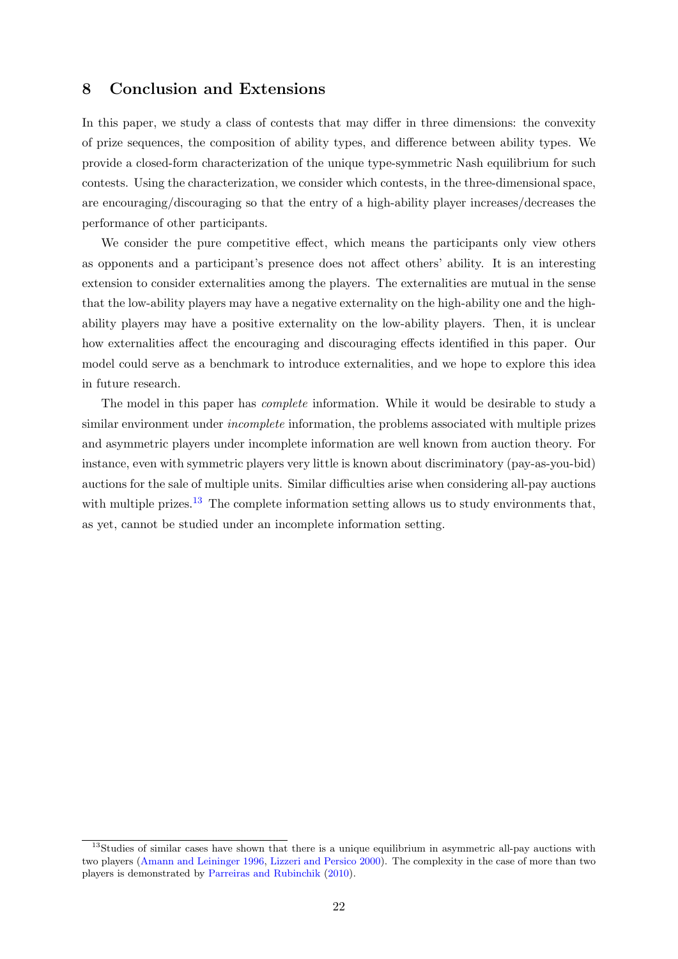## <span id="page-21-0"></span>8 Conclusion and Extensions

In this paper, we study a class of contests that may differ in three dimensions: the convexity of prize sequences, the composition of ability types, and difference between ability types. We provide a closed-form characterization of the unique type-symmetric Nash equilibrium for such contests. Using the characterization, we consider which contests, in the three-dimensional space, are encouraging/discouraging so that the entry of a high-ability player increases/decreases the performance of other participants.

We consider the pure competitive effect, which means the participants only view others as opponents and a participant's presence does not affect others' ability. It is an interesting extension to consider externalities among the players. The externalities are mutual in the sense that the low-ability players may have a negative externality on the high-ability one and the highability players may have a positive externality on the low-ability players. Then, it is unclear how externalities affect the encouraging and discouraging effects identified in this paper. Our model could serve as a benchmark to introduce externalities, and we hope to explore this idea in future research.

The model in this paper has complete information. While it would be desirable to study a similar environment under *incomplete* information, the problems associated with multiple prizes and asymmetric players under incomplete information are well known from auction theory. For instance, even with symmetric players very little is known about discriminatory (pay-as-you-bid) auctions for the sale of multiple units. Similar difficulties arise when considering all-pay auctions with multiple prizes.<sup>[13](#page-21-1)</sup> The complete information setting allows us to study environments that, as yet, cannot be studied under an incomplete information setting.

<span id="page-21-1"></span><sup>&</sup>lt;sup>13</sup>Studies of similar cases have shown that there is a unique equilibrium in asymmetric all-pay auctions with two players [\(Amann and Leininger](#page-22-7) [1996,](#page-22-7) [Lizzeri and Persico](#page-23-5) [2000\)](#page-23-5). The complexity in the case of more than two players is demonstrated by [Parreiras and Rubinchik](#page-23-15) [\(2010\)](#page-23-15).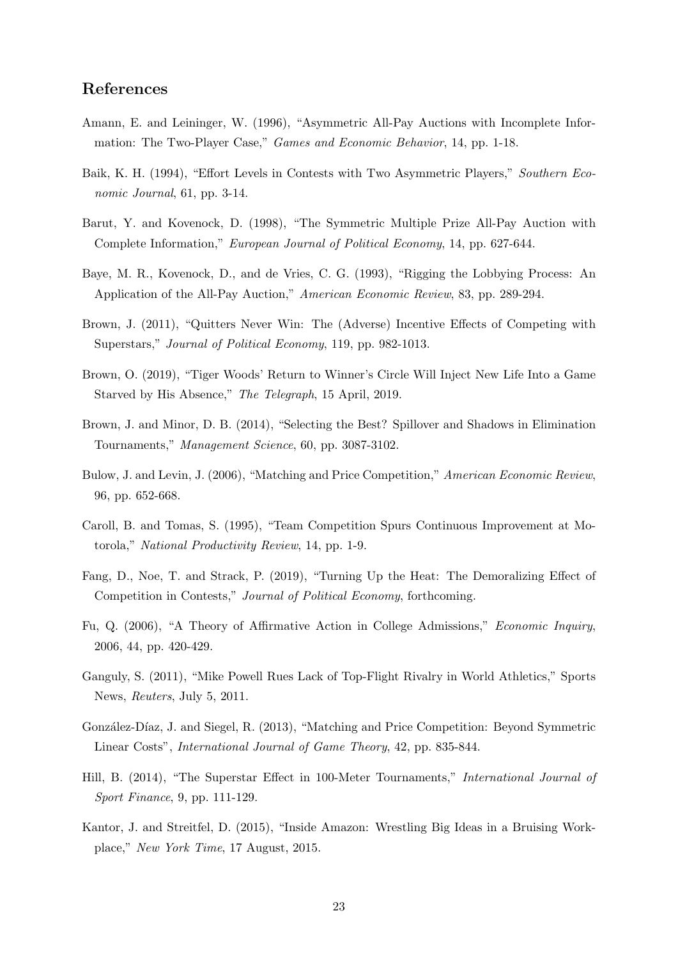## References

- <span id="page-22-7"></span>Amann, E. and Leininger, W. (1996), "Asymmetric All-Pay Auctions with Incomplete Information: The Two-Player Case," Games and Economic Behavior, 14, pp. 1-18.
- <span id="page-22-5"></span>Baik, K. H. (1994), "Effort Levels in Contests with Two Asymmetric Players," Southern Economic Journal, 61, pp. 3-14.
- <span id="page-22-4"></span>Barut, Y. and Kovenock, D. (1998), "The Symmetric Multiple Prize All-Pay Auction with Complete Information," European Journal of Political Economy, 14, pp. 627-644.
- <span id="page-22-8"></span>Baye, M. R., Kovenock, D., and de Vries, C. G. (1993), "Rigging the Lobbying Process: An Application of the All-Pay Auction," American Economic Review, 83, pp. 289-294.
- <span id="page-22-0"></span>Brown, J. (2011), "Quitters Never Win: The (Adverse) Incentive Effects of Competing with Superstars," Journal of Political Economy, 119, pp. 982-1013.
- <span id="page-22-3"></span>Brown, O. (2019), "Tiger Woods' Return to Winner's Circle Will Inject New Life Into a Game Starved by His Absence," The Telegraph, 15 April, 2019.
- <span id="page-22-13"></span>Brown, J. and Minor, D. B. (2014), "Selecting the Best? Spillover and Shadows in Elimination Tournaments," Management Science, 60, pp. 3087-3102.
- <span id="page-22-11"></span>Bulow, J. and Levin, J. (2006), "Matching and Price Competition," American Economic Review, 96, pp. 652-668.
- <span id="page-22-9"></span>Caroll, B. and Tomas, S. (1995), "Team Competition Spurs Continuous Improvement at Motorola," National Productivity Review, 14, pp. 1-9.
- <span id="page-22-14"></span>Fang, D., Noe, T. and Strack, P. (2019), "Turning Up the Heat: The Demoralizing Effect of Competition in Contests," Journal of Political Economy, forthcoming.
- <span id="page-22-6"></span>Fu, Q. (2006), "A Theory of Affirmative Action in College Admissions," Economic Inquiry, 2006, 44, pp. 420-429.
- <span id="page-22-2"></span>Ganguly, S. (2011), "Mike Powell Rues Lack of Top-Flight Rivalry in World Athletics," Sports News, Reuters, July 5, 2011.
- <span id="page-22-12"></span>González-Díaz, J. and Siegel, R. (2013), "Matching and Price Competition: Beyond Symmetric Linear Costs", International Journal of Game Theory, 42, pp. 835-844.
- <span id="page-22-1"></span>Hill, B. (2014), "The Superstar Effect in 100-Meter Tournaments," International Journal of Sport Finance, 9, pp. 111-129.
- <span id="page-22-10"></span>Kantor, J. and Streitfel, D. (2015), "Inside Amazon: Wrestling Big Ideas in a Bruising Workplace," New York Time, 17 August, 2015.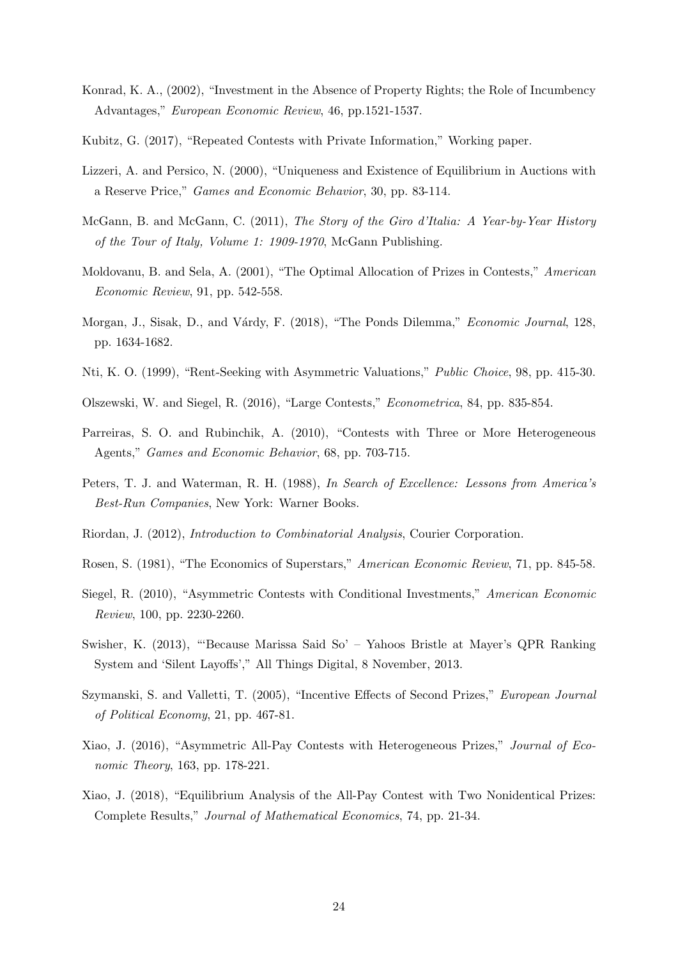- <span id="page-23-4"></span>Konrad, K. A., (2002), "Investment in the Absence of Property Rights; the Role of Incumbency Advantages," European Economic Review, 46, pp.1521-1537.
- <span id="page-23-13"></span>Kubitz, G. (2017), "Repeated Contests with Private Information," Working paper.
- <span id="page-23-5"></span>Lizzeri, A. and Persico, N. (2000), "Uniqueness and Existence of Equilibrium in Auctions with a Reserve Price," Games and Economic Behavior, 30, pp. 83-114.
- <span id="page-23-0"></span>McGann, B. and McGann, C. (2011), The Story of the Giro d'Italia: A Year-by-Year History of the Tour of Italy, Volume 1: 1909-1970, McGann Publishing.
- <span id="page-23-8"></span>Moldovanu, B. and Sela, A. (2001), "The Optimal Allocation of Prizes in Contests," American Economic Review, 91, pp. 542-558.
- <span id="page-23-14"></span>Morgan, J., Sisak, D., and Várdy, F. (2018), "The Ponds Dilemma," *Economic Journal*, 128, pp. 1634-1682.
- <span id="page-23-3"></span>Nti, K. O. (1999), "Rent-Seeking with Asymmetric Valuations," Public Choice, 98, pp. 415-30.
- <span id="page-23-12"></span>Olszewski, W. and Siegel, R. (2016), "Large Contests," Econometrica, 84, pp. 835-854.
- <span id="page-23-15"></span>Parreiras, S. O. and Rubinchik, A. (2010), "Contests with Three or More Heterogeneous Agents," Games and Economic Behavior, 68, pp. 703-715.
- <span id="page-23-6"></span>Peters, T. J. and Waterman, R. H. (1988), In Search of Excellence: Lessons from America's Best-Run Companies, New York: Warner Books.
- <span id="page-23-16"></span>Riordan, J. (2012), Introduction to Combinatorial Analysis, Courier Corporation.
- <span id="page-23-2"></span>Rosen, S. (1981), "The Economics of Superstars," American Economic Review, 71, pp. 845-58.
- <span id="page-23-11"></span>Siegel, R. (2010), "Asymmetric Contests with Conditional Investments," American Economic Review, 100, pp. 2230-2260.
- <span id="page-23-7"></span>Swisher, K. (2013), "'Because Marissa Said So' – Yahoos Bristle at Mayer's QPR Ranking System and 'Silent Layoffs'," All Things Digital, 8 November, 2013.
- <span id="page-23-9"></span>Szymanski, S. and Valletti, T. (2005), "Incentive Effects of Second Prizes," European Journal of Political Economy, 21, pp. 467-81.
- <span id="page-23-1"></span>Xiao, J. (2016), "Asymmetric All-Pay Contests with Heterogeneous Prizes," Journal of Economic Theory, 163, pp. 178-221.
- <span id="page-23-10"></span>Xiao, J. (2018), "Equilibrium Analysis of the All-Pay Contest with Two Nonidentical Prizes: Complete Results," Journal of Mathematical Economics, 74, pp. 21-34.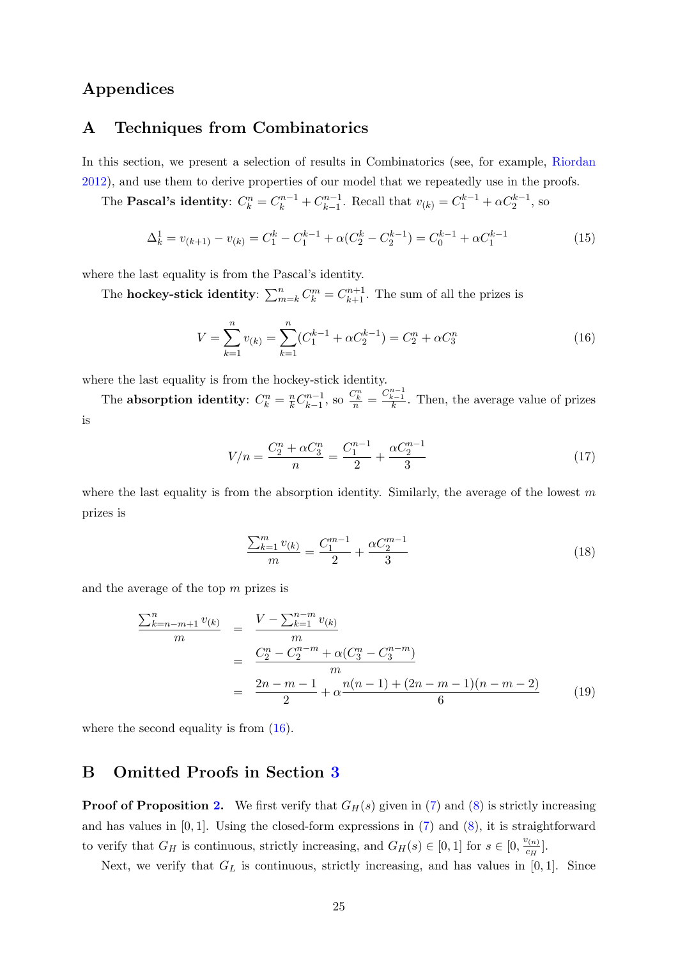# Appendices

## <span id="page-24-0"></span>A Techniques from Combinatorics

In this section, we present a selection of results in Combinatorics (see, for example, [Riordan](#page-23-16) [2012\)](#page-23-16), and use them to derive properties of our model that we repeatedly use in the proofs.

The **Pascal's identity**:  $C_k^n = C_k^{n-1} + C_{k-1}^{n-1}$  $k-1$ . Recall that  $v_{(k)} = C_1^{k-1} + \alpha C_2^{k-1}$ , so

<span id="page-24-2"></span>
$$
\Delta_k^1 = v_{(k+1)} - v_{(k)} = C_1^k - C_1^{k-1} + \alpha (C_2^k - C_2^{k-1}) = C_0^{k-1} + \alpha C_1^{k-1}
$$
\n(15)

where the last equality is from the Pascal's identity.

The **hockey-stick identity**:  $\sum_{m=k}^{n} C_k^m = C_{k+1}^{n+1}$ . The sum of all the prizes is

<span id="page-24-1"></span>
$$
V = \sum_{k=1}^{n} v_{(k)} = \sum_{k=1}^{n} (C_1^{k-1} + \alpha C_2^{k-1}) = C_2^n + \alpha C_3^n
$$
\n(16)

where the last equality is from the hockey-stick identity.

The absorption identity:  $C_k^n = \frac{n}{k} C_{k-1}^{n-1}$  $\frac{m-1}{k-1}$ , so  $\frac{C_k^n}{n} = \frac{C_{k-1}^{n-1}}{k}$ . Then, the average value of prizes is

$$
V/n = \frac{C_2^n + \alpha C_3^n}{n} = \frac{C_1^{n-1}}{2} + \frac{\alpha C_2^{n-1}}{3}
$$
\n(17)

where the last equality is from the absorption identity. Similarly, the average of the lowest  $m$ prizes is

<span id="page-24-4"></span>
$$
\frac{\sum_{k=1}^{m} v_{(k)}}{m} = \frac{C_1^{m-1}}{2} + \frac{\alpha C_2^{m-1}}{3}
$$
\n(18)

and the average of the top  $m$  prizes is

<span id="page-24-3"></span>
$$
\frac{\sum_{k=n-m+1}^{n} v_{(k)}}{m} = \frac{V - \sum_{k=1}^{n-m} v_{(k)}}{m}
$$
\n
$$
= \frac{C_2^n - C_2^{n-m} + \alpha (C_3^n - C_3^{n-m})}{m}
$$
\n
$$
= \frac{2n - m - 1}{2} + \alpha \frac{n(n-1) + (2n - m - 1)(n - m - 2)}{6} \tag{19}
$$

where the second equality is from  $(16)$ .

## B Omitted Proofs in Section [3](#page-5-0)

**Proof of Proposition [2.](#page-9-3)** We first verify that  $G_H(s)$  given in [\(7\)](#page-9-1) and [\(8\)](#page-9-1) is strictly increasing and has values in  $[0, 1]$ . Using the closed-form expressions in  $(7)$  and  $(8)$ , it is straightforward to verify that  $G_H$  is continuous, strictly increasing, and  $G_H(s) \in [0,1]$  for  $s \in [0, \frac{v_{(n)}}{G_H}$  $\frac{\sigma(n)}{c_H}$ .

Next, we verify that  $G_L$  is continuous, strictly increasing, and has values in [0,1]. Since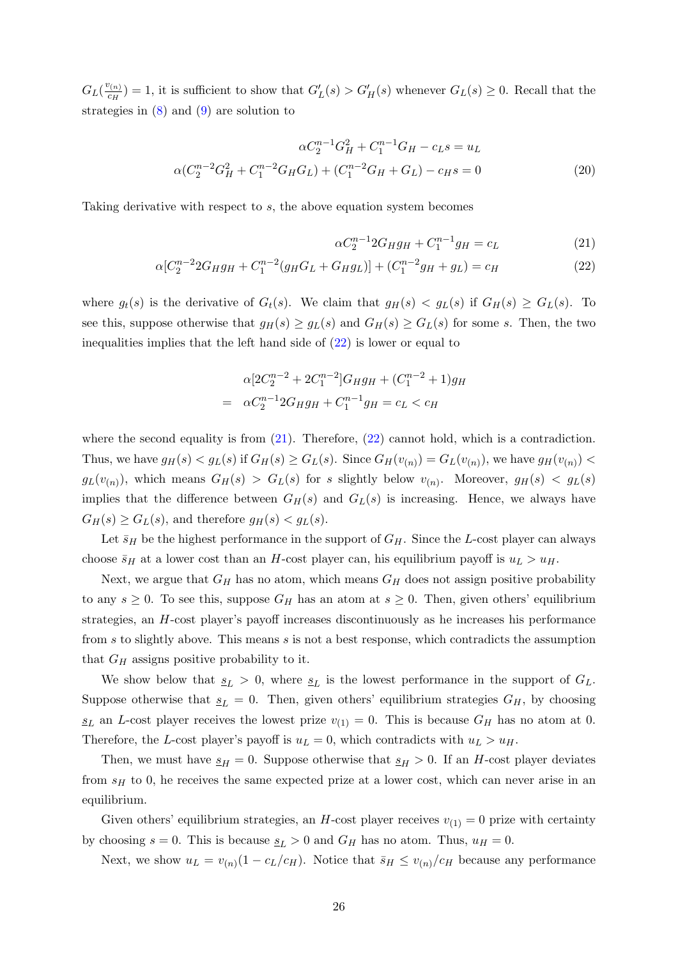$G_L(\frac{v_{(n)}}{c_H})$  $C_{CH}^{(n)}$ ) = 1, it is sufficient to show that  $G'_{L}(s) > G'_{H}(s)$  whenever  $G_{L}(s) \geq 0$ . Recall that the strategies in  $(8)$  and  $(9)$  are solution to

$$
\alpha C_2^{n-1} G_H^2 + C_1^{n-1} G_H - c_L s = u_L
$$
  

$$
\alpha (C_2^{n-2} G_H^2 + C_1^{n-2} G_H G_L) + (C_1^{n-2} G_H + G_L) - c_H s = 0
$$
 (20)

Taking derivative with respect to s, the above equation system becomes

<span id="page-25-1"></span><span id="page-25-0"></span>
$$
\alpha C_2^{n-1} 2G_H g_H + C_1^{n-1} g_H = c_L \tag{21}
$$

$$
\alpha [C_2^{n-2} 2G_H g_H + C_1^{n-2} (g_H G_L + G_H g_L)] + (C_1^{n-2} g_H + g_L) = c_H \tag{22}
$$

where  $g_t(s)$  is the derivative of  $G_t(s)$ . We claim that  $g_H(s) < g_L(s)$  if  $G_H(s) \ge G_L(s)$ . To see this, suppose otherwise that  $g_H(s) \ge g_L(s)$  and  $G_H(s) \ge G_L(s)$  for some s. Then, the two inequalities implies that the left hand side of  $(22)$  is lower or equal to

<span id="page-25-2"></span>
$$
\alpha[2C_2^{n-2} + 2C_1^{n-2}]G_Hg_H + (C_1^{n-2} + 1)g_H
$$
  
= 
$$
\alpha C_2^{n-1} 2G_Hg_H + C_1^{n-1}g_H = c_L < c_H
$$

where the second equality is from  $(21)$ . Therefore,  $(22)$  cannot hold, which is a contradiction. Thus, we have  $g_H(s) < g_L(s)$  if  $G_H(s) \ge G_L(s)$ . Since  $G_H(v_{(n)}) = G_L(v_{(n)})$ , we have  $g_H(v_{(n)}) <$  $g_L(v_{(n)})$ , which means  $G_H(s) > G_L(s)$  for s slightly below  $v_{(n)}$ . Moreover,  $g_H(s) < g_L(s)$ implies that the difference between  $G_H(s)$  and  $G_L(s)$  is increasing. Hence, we always have  $G_H(s) \geq G_L(s)$ , and therefore  $g_H(s) < g_L(s)$ .

Let  $\bar{s}_H$  be the highest performance in the support of  $G_H$ . Since the L-cost player can always choose  $\bar{s}_H$  at a lower cost than an H-cost player can, his equilibrium payoff is  $u_L > u_H$ .

Next, we argue that  $G_H$  has no atom, which means  $G_H$  does not assign positive probability to any  $s \geq 0$ . To see this, suppose  $G_H$  has an atom at  $s \geq 0$ . Then, given others' equilibrium strategies, an H-cost player's payoff increases discontinuously as he increases his performance from s to slightly above. This means s is not a best response, which contradicts the assumption that  $G_H$  assigns positive probability to it.

We show below that  $s_L > 0$ , where  $s_L$  is the lowest performance in the support of  $G_L$ . Suppose otherwise that  $s_L = 0$ . Then, given others' equilibrium strategies  $G_H$ , by choosing  $s_L$  an L-cost player receives the lowest prize  $v_{(1)} = 0$ . This is because  $G_H$  has no atom at 0. Therefore, the L-cost player's payoff is  $u_L = 0$ , which contradicts with  $u_L > u_H$ .

Then, we must have  $s_H = 0$ . Suppose otherwise that  $s_H > 0$ . If an H-cost player deviates from  $s_H$  to 0, he receives the same expected prize at a lower cost, which can never arise in an equilibrium.

Given others' equilibrium strategies, an H-cost player receives  $v_{(1)} = 0$  prize with certainty by choosing  $s = 0$ . This is because  $\underline{s}_L > 0$  and  $G_H$  has no atom. Thus,  $u_H = 0$ .

Next, we show  $u_L = v_{(n)}(1 - c_L/c_H)$ . Notice that  $\bar{s}_H \leq v_{(n)}/c_H$  because any performance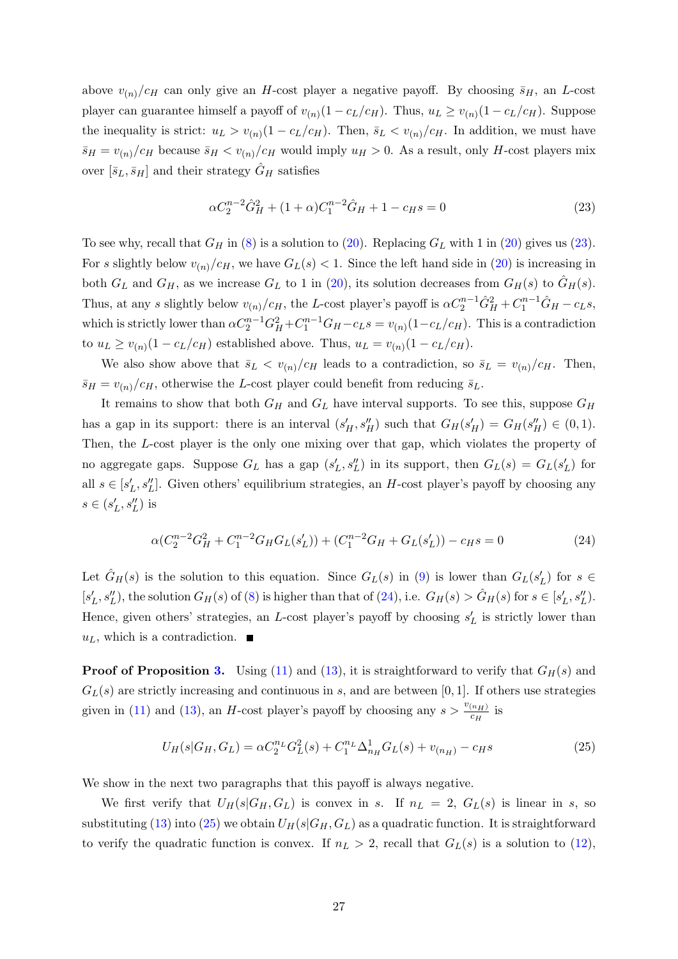above  $v_{(n)}/c_H$  can only give an H-cost player a negative payoff. By choosing  $\bar{s}_H$ , an L-cost player can guarantee himself a payoff of  $v_{(n)}(1 - c_L/c_H)$ . Thus,  $u_L \ge v_{(n)}(1 - c_L/c_H)$ . Suppose the inequality is strict:  $u_L > v_{(n)}(1 - c_L/c_H)$ . Then,  $\bar{s}_L < v_{(n)}/c_H$ . In addition, we must have  $\bar{s}_H = v_{(n)}/c_H$  because  $\bar{s}_H < v_{(n)}/c_H$  would imply  $u_H > 0$ . As a result, only H-cost players mix over  $[\bar{s}_L, \bar{s}_H]$  and their strategy  $\hat{G}_H$  satisfies

$$
\alpha C_2^{n-2} \hat{G}_H^2 + (1+\alpha) C_1^{n-2} \hat{G}_H + 1 - c_H s = 0 \tag{23}
$$

To see why, recall that  $G_H$  in [\(8\)](#page-9-1) is a solution to [\(20\)](#page-25-1). Replacing  $G_L$  with 1 in (20) gives us [\(23\)](#page-25-2). For s slightly below  $v_{(n)}/c_H$ , we have  $G_L(s) < 1$ . Since the left hand side in [\(20\)](#page-25-1) is increasing in both  $G_L$  and  $G_H$ , as we increase  $G_L$  to 1 in [\(20\)](#page-25-1), its solution decreases from  $G_H(s)$  to  $\tilde{G}_H(s)$ . Thus, at any s slightly below  $v_{(n)}/c_H$ , the L-cost player's payoff is  $\alpha C_2^{n-1} \hat{G}_H^2 + C_1^{n-1} \hat{G}_H - c_L s$ , which is strictly lower than  $\alpha C_2^{n-1} G_H^2 + C_1^{n-1} G_H - c_L s = v_{(n)} (1 - c_L/c_H)$ . This is a contradiction to  $u_L \ge v_{(n)}(1 - c_L/c_H)$  established above. Thus,  $u_L = v_{(n)}(1 - c_L/c_H)$ .

We also show above that  $\bar{s}_L < v_{(n)}/c_H$  leads to a contradiction, so  $\bar{s}_L = v_{(n)}/c_H$ . Then,  $\bar{s}_H = v_{(n)}/c_H$ , otherwise the L-cost player could benefit from reducing  $\bar{s}_L$ .

It remains to show that both  $G_H$  and  $G_L$  have interval supports. To see this, suppose  $G_H$ has a gap in its support: there is an interval  $(s'_H, s''_H)$  such that  $G_H(s'_H) = G_H(s''_H) \in (0,1)$ . Then, the L-cost player is the only one mixing over that gap, which violates the property of no aggregate gaps. Suppose  $G_L$  has a gap  $(s'_L, s''_L)$  in its support, then  $G_L(s) = G_L(s'_L)$  for all  $s \in [s'_L, s''_L]$ . Given others' equilibrium strategies, an H-cost player's payoff by choosing any  $s\in (s_L',s_L'')$  is

<span id="page-26-0"></span>
$$
\alpha (C_2^{n-2} G_H^2 + C_1^{n-2} G_H G_L(s'_L)) + (C_1^{n-2} G_H + G_L(s'_L)) - c_H s = 0 \tag{24}
$$

Let  $\hat{G}_H(s)$  is the solution to this equation. Since  $G_L(s)$  in [\(9\)](#page-9-1) is lower than  $G_L(s'_L)$  for  $s \in$  $[s'_L, s''_L)$ , the solution  $G_H(s)$  of  $(8)$  is higher than that of  $(24)$ , i.e.  $G_H(s) > \hat{G}_H(s)$  for  $s \in [s'_L, s''_L)$ . Hence, given others' strategies, an L-cost player's payoff by choosing  $s'_{L}$  is strictly lower than  $u_L$ , which is a contradiction.  $\blacksquare$ 

**Proof of Proposition [3.](#page-11-5)** Using [\(11\)](#page-10-1) and [\(13\)](#page-11-1), it is straightforward to verify that  $G_H(s)$  and  $G_L(s)$  are strictly increasing and continuous in s, and are between [0, 1]. If others use strategies given in [\(11\)](#page-10-1) and [\(13\)](#page-11-1), an H-cost player's payoff by choosing any  $s > \frac{v_{(n_H)}}{C_H}$  $\frac{\binom{n_{H}}{c_{H}}}$  is

<span id="page-26-1"></span>
$$
U_H(s|G_H, G_L) = \alpha C_2^{n_L} G_L^2(s) + C_1^{n_L} \Delta_{n_H}^1 G_L(s) + v_{(n_H)} - c_H s
$$
\n(25)

We show in the next two paragraphs that this payoff is always negative.

We first verify that  $U_H(s|G_H, G_L)$  is convex in s. If  $n_L = 2$ ,  $G_L(s)$  is linear in s, so substituting [\(13\)](#page-11-1) into [\(25\)](#page-26-1) we obtain  $U_H(s|G_H, G_L)$  as a quadratic function. It is straightforward to verify the quadratic function is convex. If  $n_L > 2$ , recall that  $G_L(s)$  is a solution to [\(12\)](#page-10-2),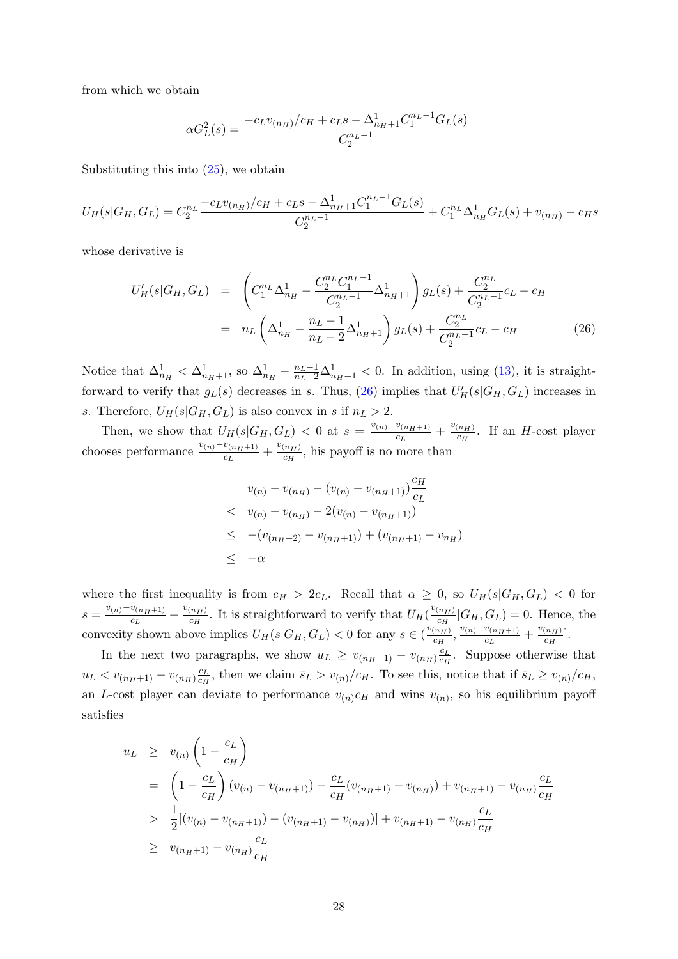from which we obtain

<span id="page-27-0"></span>
$$
\alpha G_L^2(s) = \frac{-c_L v_{(n_H)}/c_H + c_L s - \Delta_{n_H+1}^1 C_1^{n_L-1} G_L(s)}{C_2^{n_L-1}}
$$

Substituting this into [\(25\)](#page-26-1), we obtain

$$
U_H(s|G_H, G_L) = C_2^{n_L} \frac{-c_L v_{(n_H)}/c_H + c_L s - \Delta_{n_H+1}^1 C_1^{n_L-1} G_L(s)}{C_2^{n_L-1}} + C_1^{n_L} \Delta_{n_H}^1 G_L(s) + v_{(n_H)} - c_H s
$$

whose derivative is

$$
U'_{H}(s|G_{H}, G_{L}) = \left(C_{1}^{n_{L}} \Delta_{n_{H}}^{1} - \frac{C_{2}^{n_{L}} C_{1}^{n_{L}-1}}{C_{2}^{n_{L}-1}} \Delta_{n_{H}+1}^{1}\right) g_{L}(s) + \frac{C_{2}^{n_{L}}}{C_{2}^{n_{L}-1}} c_{L} - c_{H}
$$

$$
= n_{L} \left(\Delta_{n_{H}}^{1} - \frac{n_{L}-1}{n_{L}-2} \Delta_{n_{H}+1}^{1}\right) g_{L}(s) + \frac{C_{2}^{n_{L}}}{C_{2}^{n_{L}-1}} c_{L} - c_{H}
$$
(26)

Notice that  $\Delta_{n_H}^1 < \Delta_{n_H+1}^1$ , so  $\Delta_{n_H}^1 - \frac{n_L-1}{n_L-2}\Delta_{n_H+1}^1 < 0$ . In addition, using [\(13\)](#page-11-1), it is straightforward to verify that  $g_L(s)$  decreases in s. Thus, [\(26\)](#page-27-0) implies that  $U_H'(s|G_H, G_L)$  increases in s. Therefore,  $U_H(s|G_H, G_L)$  is also convex in s if  $n_L > 2$ .

Then, we show that  $U_H(s|G_H, G_L) < 0$  at  $s = \frac{v_{(n)} - v_{(n_H+1)}}{G}$  $\frac{v_{(n_H+1)}}{c_L} + \frac{v_{(n_H)}}{c_H}$  $\frac{(n_H)}{c_H}$ . If an *H*-cost player chooses performance  $\frac{v_{(n)}-v_{(n_H+1)}}{c_L}+\frac{v_{(n_H)}}{c_H}$  $\frac{(n_H)}{c_H}$ , his payoff is no more than

<span id="page-27-1"></span>
$$
v_{(n)} - v_{(n_H)} - (v_{(n)} - v_{(n_H+1)}) \frac{c_H}{c_L}
$$
  

$$
\langle v_{(n)} - v_{(n_H)} - 2(v_{(n)} - v_{(n_H+1)})
$$
  

$$
\leq -(v_{(n_H+2)} - v_{(n_H+1)}) + (v_{(n_H+1)} - v_{n_H})
$$
  

$$
\leq -\alpha
$$

where the first inequality is from  $c_H > 2c_L$ . Recall that  $\alpha \geq 0$ , so  $U_H(s|G_H, G_L) < 0$  for  $s = \frac{v_{(n)} - v_{(n_H+1)}}{c}$  $\frac{v_{(n_H+1)}}{c_L} + \frac{v_{(n_H)}}{c_H}$  $\frac{(n_H)}{c_H}$ . It is straightforward to verify that  $U_H(\frac{v_{(n_H)}}{c_H})$  $\frac{c_{H}}{c_{H}}|G_{H}, G_{L}) = 0$ . Hence, the convexity shown above implies  $U_H(s|G_H, G_L) < 0$  for any  $s \in (\frac{v_{(n_H)}}{G_H})$  $\frac{(n_{H})}{c_{H}}, \frac{v_{(n)}-v_{(n_{H}+1)}}{c_{L}}$  $\frac{v_{(n_H+1)}}{c_L} + \frac{v_{(n_H)}}{c_H}$  $\frac{\binom{n_{H}}{c_{H}}}{\binom{n_{H}}{c_{H}}}$ .

In the next two paragraphs, we show  $u_L \geq v_{(n_H+1)} - v_{(n_H)} \frac{c_L}{c_H}$  $\frac{c_L}{c_H}$ . Suppose otherwise that  $u_L < v_{(n_H+1)} - v_{(n_H)} \frac{c_L}{c_H}$  $\frac{c_L}{c_H}$ , then we claim  $\bar{s}_L > v_{(n)}/c_H$ . To see this, notice that if  $\bar{s}_L \ge v_{(n)}/c_H$ , an L-cost player can deviate to performance  $v_{(n)}c_H$  and wins  $v_{(n)}$ , so his equilibrium payoff satisfies

$$
u_L \ge v_{(n)} \left( 1 - \frac{c_L}{c_H} \right)
$$
  
=  $\left( 1 - \frac{c_L}{c_H} \right) (v_{(n)} - v_{(n_H+1)}) - \frac{c_L}{c_H} (v_{(n_H+1)} - v_{(n_H)}) + v_{(n_H+1)} - v_{(n_H)} \frac{c_L}{c_H}$   
>  $\frac{1}{2} [(v_{(n)} - v_{(n_H+1)}) - (v_{(n_H+1)} - v_{(n_H)})] + v_{(n_H+1)} - v_{(n_H)} \frac{c_L}{c_H}$   
>  $v_{(n_H+1)} - v_{(n_H)} \frac{c_L}{c_H}$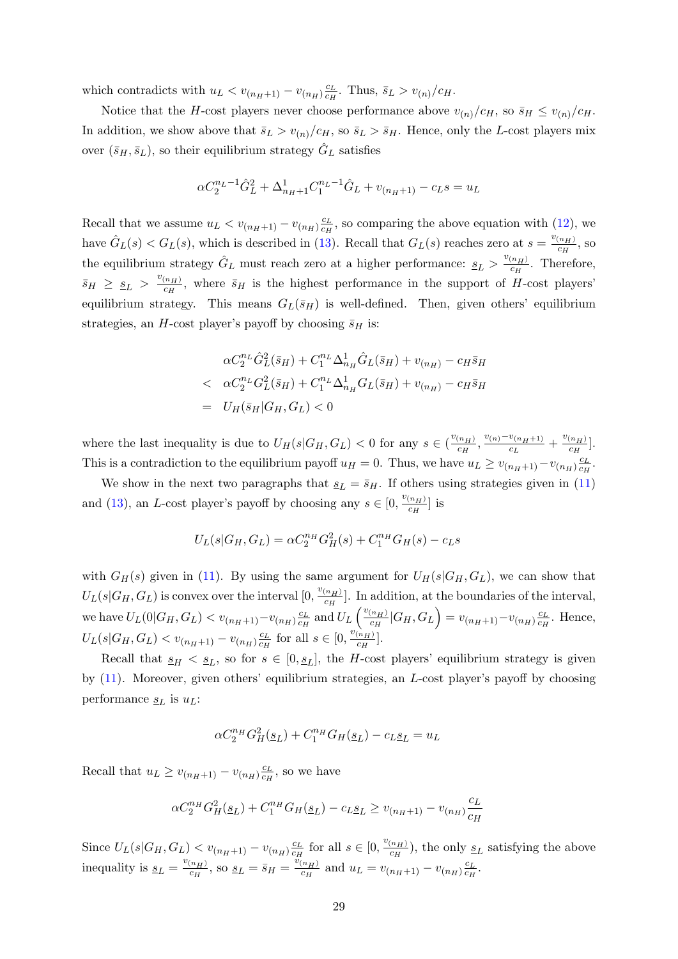which contradicts with  $u_L < v_{(n_H+1)} - v_{(n_H)} \frac{c_L}{c_H}$  $\frac{c_L}{c_H}$ . Thus,  $\bar{s}_L > v_{(n)}/c_H$ .

Notice that the H-cost players never choose performance above  $v_{(n)}/c_H$ , so  $\bar{s}_H \leq v_{(n)}/c_H$ . In addition, we show above that  $\bar{s}_L > v_{(n)}/c_H$ , so  $\bar{s}_L > \bar{s}_H$ . Hence, only the L-cost players mix over  $(\bar{s}_H, \bar{s}_L)$ , so their equilibrium strategy  $\hat{G}_L$  satisfies

$$
\alpha C_2^{n_L - 1} \hat{G}_L^2 + \Delta_{n_H + 1}^1 C_1^{n_L - 1} \hat{G}_L + v_{(n_H + 1)} - c_L s = u_L
$$

Recall that we assume  $u_L < v_{(n_H+1)} - v_{(n_H)} \frac{c_L}{c_H}$  $\frac{c_L}{c_H}$ , so comparing the above equation with [\(12\)](#page-10-2), we have  $\hat{G}_L(s) < G_L(s)$ , which is described in [\(13\)](#page-11-1). Recall that  $G_L(s)$  reaches zero at  $s = \frac{v_{(n_H)}}{c_H}$  $\frac{(n_H)}{c_H}$ , so the equilibrium strategy  $\hat{G}_L$  must reach zero at a higher performance:  $s_L > \frac{v_{(n_H)}}{c_H}$  $\frac{(n_H)}{c_H}$ . Therefore,  $\bar{s}_H \geq \underline{s}_L > \frac{v_{(n_H)}}{c_H}$  $\frac{(n_H)}{c_H}$ , where  $\bar{s}_H$  is the highest performance in the support of H-cost players' equilibrium strategy. This means  $G_L(\bar{s}_H)$  is well-defined. Then, given others' equilibrium strategies, an H-cost player's payoff by choosing  $\bar{s}_H$  is:

$$
\alpha C_2^{n_L} \hat{G}_L^2 (\bar{s}_H) + C_1^{n_L} \Delta_{n_H}^1 \hat{G}_L (\bar{s}_H) + v_{(n_H)} - c_H \bar{s}_H
$$
  

$$
\alpha C_2^{n_L} G_L^2 (\bar{s}_H) + C_1^{n_L} \Delta_{n_H}^1 G_L (\bar{s}_H) + v_{(n_H)} - c_H \bar{s}_H
$$
  

$$
= U_H (\bar{s}_H | G_H, G_L) < 0
$$

where the last inequality is due to  $U_H(s|G_H, G_L) < 0$  for any  $s \in (\frac{v_{(n_H)}}{c_H})$  $\frac{(n_H)}{c_H}, \frac{v_{(n)}-v_{(n_H+1)}}{c_L}$  $\frac{v_{(n_H+1)}}{c_L} + \frac{v_{(n_H)}}{c_H}$  $\frac{\binom{n_{H}}{c_{H}}}{\binom{n_{H}}{c_{H}}}$ . This is a contradiction to the equilibrium payoff  $u_H = 0$ . Thus, we have  $u_L \ge v_{(n_H+1)} - v_{(n_H)} \frac{c_L}{c_H}$  $\frac{c_L}{c_H}$ .

We show in the next two paragraphs that  $s_L = \bar{s}_H$ . If others using strategies given in [\(11\)](#page-10-1) and [\(13\)](#page-11-1), an L-cost player's payoff by choosing any  $s \in [0, \frac{v_{(n_H)}}{c_H}]$  $\frac{\binom{n_H}{H}}{c_H}$  is

$$
U_L(s|G_H, G_L) = \alpha C_2^{n_H} G_H^2(s) + C_1^{n_H} G_H(s) - c_L s
$$

with  $G_H(s)$  given in [\(11\)](#page-10-1). By using the same argument for  $U_H(s|G_H, G_L)$ , we can show that  $U_L(s|G_H, G_L)$  is convex over the interval  $[0, \frac{v_{(n_H)}}{c_H}]$  $\frac{(n_H)}{c_H}$ . In addition, at the boundaries of the interval, we have  $U_L(0|G_H, G_L) < v_{(n_H+1)} - v_{(n_H)} \frac{c_L}{c_H}$  $\frac{c_L}{c_H}$  and  $U_L$   $\left(\frac{v_{(n_H)}}{c_H}\right)$  $\frac{c_{H^{(n_{H})}}}{c_{H}}|G_{H},G_{L}\right) = v_{(n_{H}+1)}-v_{(n_{H})}\frac{c_{L}}{c_{H}}$  $\frac{c_L}{c_H}$ . Hence,  $U_L(s|G_H, G_L) < v_{(n_H+1)} - v_{(n_H)} \frac{c_L}{c_H}$  $\frac{c_L}{c_H}$  for all  $s \in [0, \frac{v_{n_H}}{c_H})$  $\frac{\binom{n_{H}}{c_{H}}}$ .

Recall that  $s_H < s_L$ , so for  $s \in [0, s_L]$ , the H-cost players' equilibrium strategy is given by [\(11\)](#page-10-1). Moreover, given others' equilibrium strategies, an L-cost player's payoff by choosing performance  $s_L$  is  $u_L$ :

$$
\alpha C_2^{n_H} G_H^2(\underline{s}_L) + C_1^{n_H} G_H(\underline{s}_L) - c_L \underline{s}_L = u_L
$$

Recall that  $u_L \geq v_{(n_H+1)} - v_{(n_H)} \frac{c_L}{c_H}$  $\frac{c_L}{c_H}$ , so we have

$$
\alpha C_2^{n_H} G_H^2(\underline{s}_L) + C_1^{n_H} G_H(\underline{s}_L) - c_L \underline{s}_L \ge v_{(n_H+1)} - v_{(n_H)} \frac{c_L}{c_H}
$$

Since  $U_L(s|G_H, G_L) < v_{(n_H+1)} - v_{(n_H)} \frac{c_L}{c_H}$  $\frac{c_L}{c_H}$  for all  $s \in [0, \frac{v_{(n_H)}}{c_H})$  $\frac{(n_H)}{c_H}$ , the only  $\underline{s}_L$  satisfying the above inequality is  $\underline{s}_L = \frac{v_{(n_H)}}{c_H}$  $\frac{c_{H}(n_{H})}{c_{H}},$  so  $\underline{s}_{L} = \overline{s}_{H} = \frac{\ddot{v}_{(n_{H})}}{c_{H}}$  $\frac{(n_H)}{c_H}$  and  $u_L = v_{(n_H+1)} - v_{(n_H)} \frac{c_L}{c_H}$  $\frac{c_L}{c_H}$ .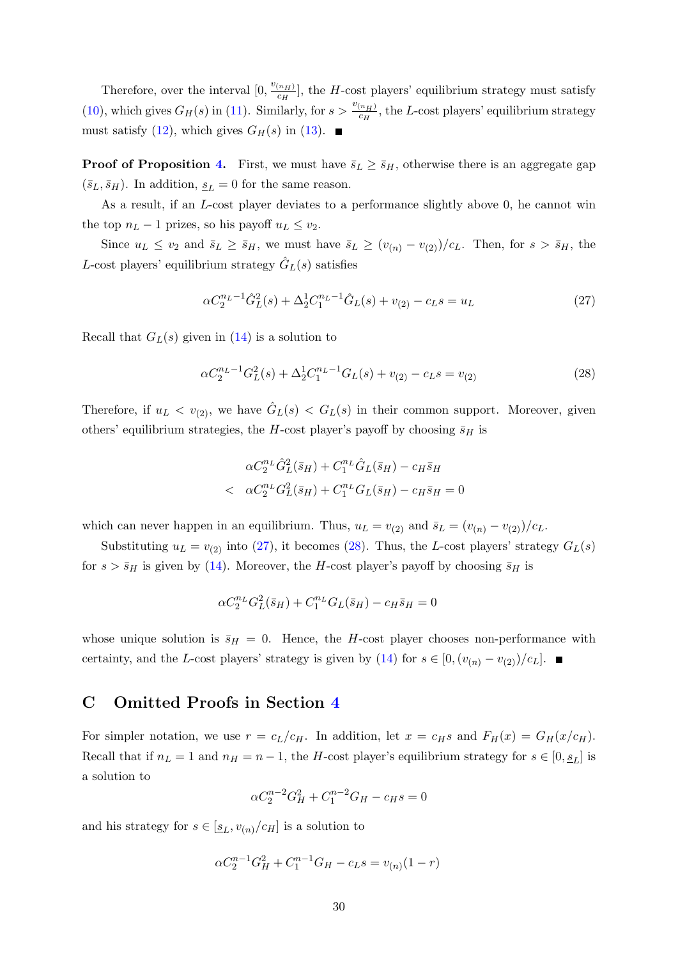Therefore, over the interval  $[0, \frac{v_{(n_H)}}{c_H}]$  $\frac{\binom{n_H}{c_H}}{\binom{n_H}{c_H}}$ , the *H*-cost players' equilibrium strategy must satisfy [\(10\)](#page-10-3), which gives  $G_H(s)$  in [\(11\)](#page-10-1). Similarly, for  $s > \frac{v_{(n_H)}}{c_H}$  $\frac{\left(n_H\right)}{c_H}$ , the L-cost players' equilibrium strategy must satisfy [\(12\)](#page-10-2), which gives  $G_H(s)$  in [\(13\)](#page-11-1).

**Proof of Proposition [4.](#page-11-4)** First, we must have  $\bar{s}_L \geq \bar{s}_H$ , otherwise there is an aggregate gap  $(\bar{s}_L, \bar{s}_H)$ . In addition,  $\underline{s}_L = 0$  for the same reason.

As a result, if an L-cost player deviates to a performance slightly above 0, he cannot win the top  $n_L - 1$  prizes, so his payoff  $u_L \le v_2$ .

Since  $u_L \le v_2$  and  $\bar{s}_L \ge \bar{s}_H$ , we must have  $\bar{s}_L \ge (v_{(n)} - v_{(2)})/c_L$ . Then, for  $s > \bar{s}_H$ , the L-cost players' equilibrium strategy  $\hat{G}_L(s)$  satisfies

$$
\alpha C_2^{n_L - 1} \hat{G}_L^2(s) + \Delta_2^1 C_1^{n_L - 1} \hat{G}_L(s) + v_{(2)} - c_L s = u_L \tag{27}
$$

Recall that  $G_L(s)$  given in [\(14\)](#page-11-3) is a solution to

<span id="page-29-1"></span>
$$
\alpha C_2^{n_L - 1} G_L^2(s) + \Delta_2^1 C_1^{n_L - 1} G_L(s) + v_{(2)} - c_L s = v_{(2)}
$$
\n(28)

Therefore, if  $u_L < v_{(2)}$ , we have  $\hat{G}_L(s) < G_L(s)$  in their common support. Moreover, given others' equilibrium strategies, the H-cost player's payoff by choosing  $\bar{s}_H$  is

$$
\alpha C_2^{n_L} \hat{G}_L^2 (\bar{s}_H) + C_1^{n_L} \hat{G}_L (\bar{s}_H) - c_H \bar{s}_H
$$
  

$$
\alpha C_2^{n_L} G_L^2 (\bar{s}_H) + C_1^{n_L} G_L (\bar{s}_H) - c_H \bar{s}_H = 0
$$

which can never happen in an equilibrium. Thus,  $u_L = v_{(2)}$  and  $\bar{s}_L = (v_{(n)} - v_{(2)})/c_L$ .

Substituting  $u_L = v_{(2)}$  into [\(27\)](#page-27-1), it becomes [\(28\)](#page-29-1). Thus, the L-cost players' strategy  $G_L(s)$ for  $s > \bar{s}_H$  is given by [\(14\)](#page-11-3). Moreover, the H-cost player's payoff by choosing  $\bar{s}_H$  is

$$
\alpha C_2^{n_L} G_L^2(\bar{s}_H) + C_1^{n_L} G_L(\bar{s}_H) - c_H \bar{s}_H = 0
$$

whose unique solution is  $\bar{s}_H = 0$ . Hence, the H-cost player chooses non-performance with certainty, and the L-cost players' strategy is given by [\(14\)](#page-11-3) for  $s \in [0,(v_{(n)}-v_{(2)})/c_L]$ . ■

## <span id="page-29-0"></span>C Omitted Proofs in Section [4](#page-12-0)

For simpler notation, we use  $r = c_L/c_H$ . In addition, let  $x = c_H s$  and  $F_H(x) = G_H(x/c_H)$ . Recall that if  $n_L = 1$  and  $n_H = n - 1$ , the H-cost player's equilibrium strategy for  $s \in [0, s_L]$  is a solution to

<span id="page-29-2"></span>
$$
\alpha C_2^{n-2} G_H^2 + C_1^{n-2} G_H - c_H s = 0
$$

and his strategy for  $s \in [\underline{s}_L, v_{(n)}/c_H]$  is a solution to

$$
\alpha C_2^{n-1} G_H^2 + C_1^{n-1} G_H - c_L s = v_{(n)} (1 - r)
$$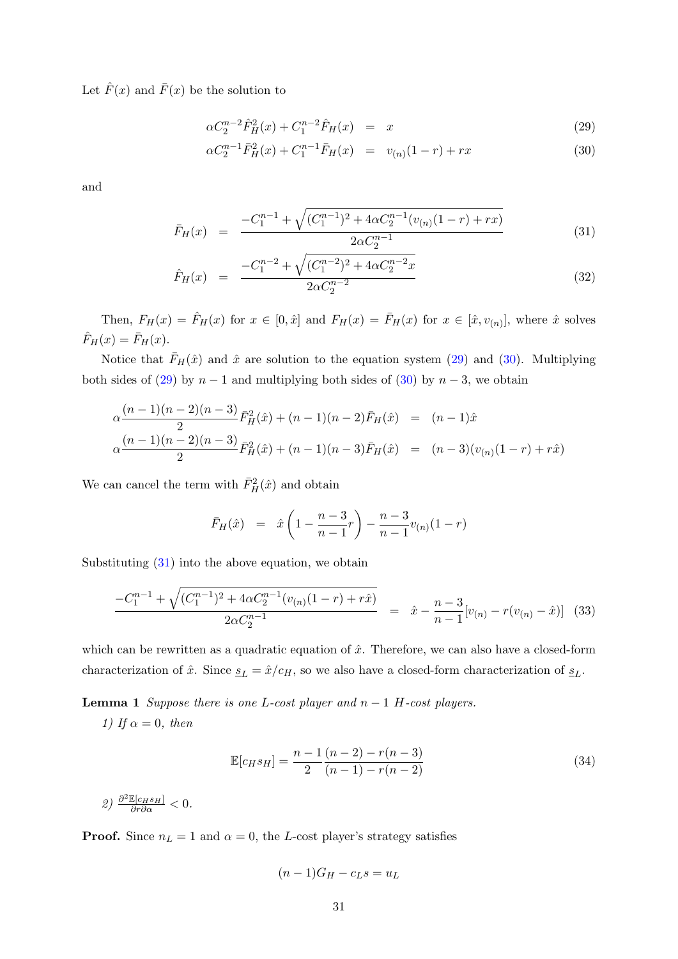Let  $\hat{F}(x)$  and  $\bar{F}(x)$  be the solution to

$$
\alpha C_2^{n-2} \hat{F}_H^2(x) + C_1^{n-2} \hat{F}_H(x) = x \tag{29}
$$

$$
\alpha C_2^{n-1} \bar{F}_H^2(x) + C_1^{n-1} \bar{F}_H(x) = v_{(n)}(1-r) + rx \tag{30}
$$

and

<span id="page-30-1"></span>
$$
\bar{F}_H(x) = \frac{-C_1^{n-1} + \sqrt{(C_1^{n-1})^2 + 4\alpha C_2^{n-1}(v_{(n)}(1-r) + rx)}}{2\alpha C_2^{n-1}}
$$
\n(31)

$$
\hat{F}_H(x) = \frac{-C_1^{n-2} + \sqrt{(C_1^{n-2})^2 + 4\alpha C_2^{n-2}x}}{2\alpha C_2^{n-2}}
$$
\n(32)

Then,  $F_H(x) = \hat{F}_H(x)$  for  $x \in [0, \hat{x}]$  and  $F_H(x) = \bar{F}_H(x)$  for  $x \in [\hat{x}, v_{(n)}]$ , where  $\hat{x}$  solves  $\hat{F}_H(x) = \bar{F}_H(x).$ 

Notice that  $\bar{F}_H(\hat{x})$  and  $\hat{x}$  are solution to the equation system [\(29\)](#page-29-2) and [\(30\)](#page-29-2). Multiplying both sides of [\(29\)](#page-29-2) by  $n-1$  and multiplying both sides of [\(30\)](#page-29-2) by  $n-3$ , we obtain

$$
\alpha \frac{(n-1)(n-2)(n-3)}{2} \bar{F}_H^2(\hat{x}) + (n-1)(n-2)\bar{F}_H(\hat{x}) = (n-1)\hat{x}
$$
  

$$
\alpha \frac{(n-1)(n-2)(n-3)}{2} \bar{F}_H^2(\hat{x}) + (n-1)(n-3)\bar{F}_H(\hat{x}) = (n-3)(v_{(n)}(1-r) + r\hat{x})
$$

We can cancel the term with  $\bar{F}_{H}^{2}(\hat{x})$  and obtain

$$
\bar{F}_H(\hat{x}) = \hat{x}\left(1 - \frac{n-3}{n-1}r\right) - \frac{n-3}{n-1}v_{(n)}(1-r)
$$

Substituting  $(31)$  into the above equation, we obtain

<span id="page-30-0"></span>
$$
\frac{-C_1^{n-1} + \sqrt{(C_1^{n-1})^2 + 4\alpha C_2^{n-1}(v_{(n)}(1-r) + r\hat{x})}}{2\alpha C_2^{n-1}} = \hat{x} - \frac{n-3}{n-1}[v_{(n)} - r(v_{(n)} - \hat{x})]
$$
(33)

which can be rewritten as a quadratic equation of  $\hat{x}$ . Therefore, we can also have a closed-form characterization of  $\hat{x}$ . Since  $\underline{s}_L = \hat{x}/c_H$ , so we also have a closed-form characterization of  $\underline{s}_L$ .

<span id="page-30-2"></span>**Lemma 1** Suppose there is one L-cost player and  $n - 1$  H-cost players.

1) If  $\alpha = 0$ , then

<span id="page-30-3"></span>
$$
\mathbb{E}[c_H s_H] = \frac{n-1}{2} \frac{(n-2) - r(n-3)}{(n-1) - r(n-2)}
$$
\n(34)

2)  $\frac{\partial^2 \mathbb{E}[c_H s_H]}{\partial r \partial \alpha} < 0.$ 

**Proof.** Since  $n_L = 1$  and  $\alpha = 0$ , the L-cost player's strategy satisfies

$$
(n-1)G_H-c_Ls=u_L
$$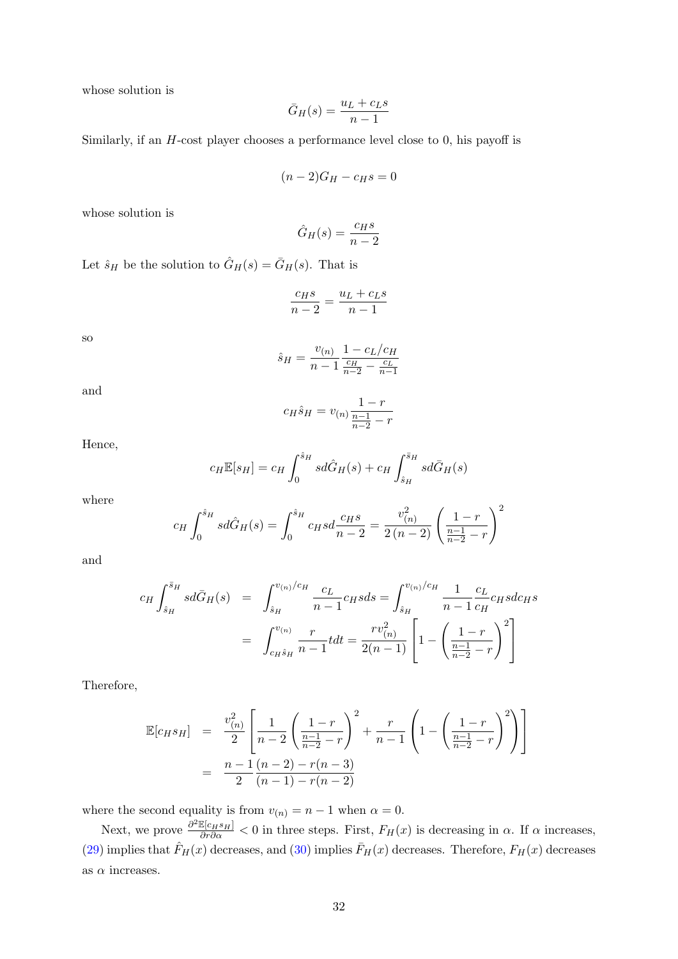whose solution is

$$
\bar{G}_H(s) = \frac{u_L + c_L s}{n - 1}
$$

Similarly, if an H-cost player chooses a performance level close to 0, his payoff is

$$
(n-2)G_H-c_Hs=0
$$

whose solution is

$$
\hat{G}_H(s) = \frac{c_H s}{n-2}
$$

Let  $\hat{s}_H$  be the solution to  $\hat{G}_H(s) = \bar{G}_H(s)$ . That is

$$
\frac{c_{H}s}{n-2} = \frac{u_L + c_L s}{n-1}
$$

so

$$
\hat{s}_H = \frac{v_{(n)}}{n-1} \frac{1 - c_L/c_H}{\frac{c_H}{n-2} - \frac{c_L}{n-1}}
$$

and

$$
c_H \hat{s}_H = v_{(n)} \frac{1 - r}{\frac{n - 1}{n - 2} - r}
$$

Hence,

$$
c_H \mathbb{E}[s_H] = c_H \int_0^{\hat{s}_H} s d\hat{G}_H(s) + c_H \int_{\hat{s}_H}^{\bar{s}_H} s d\bar{G}_H(s)
$$

where

$$
c_H \int_0^{\hat{s}_H} s d\hat{G}_H(s) = \int_0^{\hat{s}_H} c_H s d\frac{c_H s}{n-2} = \frac{v_{(n)}^2}{2(n-2)} \left(\frac{1-r}{\frac{n-1}{n-2} - r}\right)^2
$$

and

$$
c_H \int_{\hat{s}_H}^{\bar{s}_H} sd\bar{G}_H(s) = \int_{\hat{s}_H}^{v_{(n)}/c_H} \frac{c_L}{n-1} c_H s ds = \int_{\hat{s}_H}^{v_{(n)}/c_H} \frac{1}{n-1} \frac{c_L}{c_H} c_H s dc_H s
$$

$$
= \int_{c_H \hat{s}_H}^{v_{(n)}} \frac{r}{n-1} t dt = \frac{rv_{(n)}^2}{2(n-1)} \left[ 1 - \left( \frac{1-r}{\frac{n-1}{n-2} - r} \right)^2 \right]
$$

Therefore,

<span id="page-31-0"></span>
$$
\mathbb{E}[c_H s_H] = \frac{v_{(n)}^2}{2} \left[ \frac{1}{n-2} \left( \frac{1-r}{\frac{n-1}{n-2} - r} \right)^2 + \frac{r}{n-1} \left( 1 - \left( \frac{1-r}{\frac{n-1}{n-2} - r} \right)^2 \right) \right]
$$
  
= 
$$
\frac{n-1}{2} \frac{(n-2) - r(n-3)}{(n-1) - r(n-2)}
$$

where the second equality is from  $v_{(n)} = n - 1$  when  $\alpha = 0$ .

Next, we prove  $\frac{\partial^2 \mathbb{E}[c_H s_H]}{\partial r \partial \alpha} < 0$  in three steps. First,  $F_H(x)$  is decreasing in  $\alpha$ . If  $\alpha$  increases, [\(29\)](#page-29-2) implies that  $\hat{F}_H(x)$  decreases, and [\(30\)](#page-29-2) implies  $\bar{F}_H(x)$  decreases. Therefore,  $F_H(x)$  decreases as  $\alpha$  increases.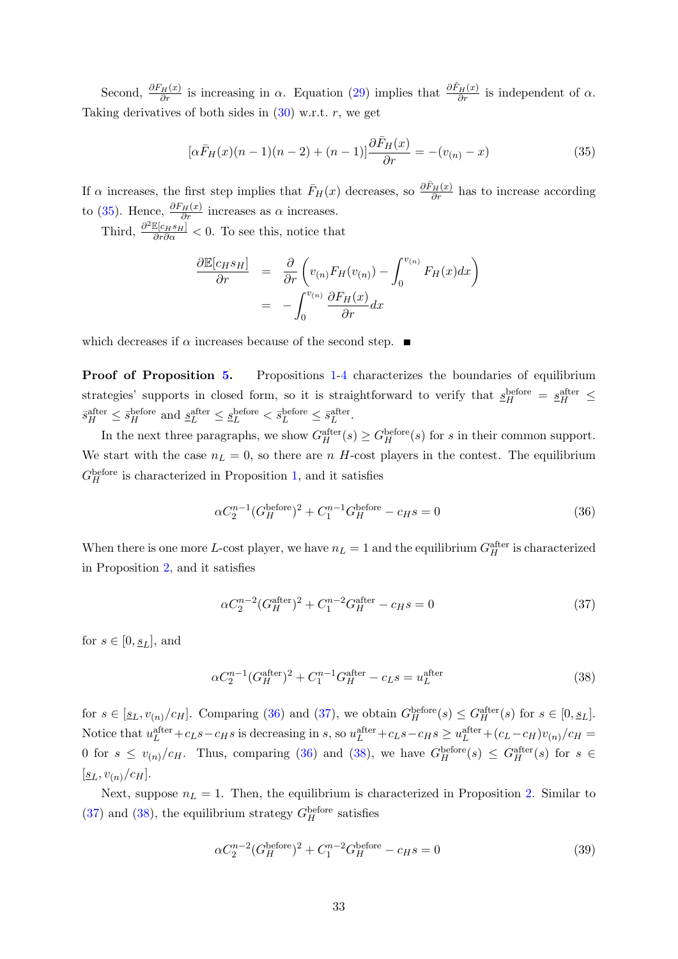Second,  $\frac{\partial F_H(x)}{\partial r}$  is increasing in  $\alpha$ . Equation [\(29\)](#page-29-2) implies that  $\frac{\partial \hat{F}_H(x)}{\partial r}$  is independent of  $\alpha$ . Taking derivatives of both sides in  $(30)$  w.r.t. r, we get

$$
[\alpha \bar{F}_H(x)(n-1)(n-2) + (n-1)]\frac{\partial \bar{F}_H(x)}{\partial r} = -(v_{(n)} - x)
$$
\n(35)

If  $\alpha$  increases, the first step implies that  $\bar{F}_H(x)$  decreases, so  $\frac{\partial \bar{F}_H(x)}{\partial r}$  has to increase according to [\(35\)](#page-31-0). Hence,  $\frac{\partial F_H(x)}{\partial r}$  increases as  $\alpha$  increases.

Third,  $\frac{\partial^2 \mathbb{E}[c_H s_H]}{\partial r \partial \alpha} < 0$ . To see this, notice that

$$
\frac{\partial \mathbb{E}[c_H s_H]}{\partial r} = \frac{\partial}{\partial r} \left( v_{(n)} F_H(v_{(n)}) - \int_0^{v_{(n)}} F_H(x) dx \right)
$$

$$
= - \int_0^{v_{(n)}} \frac{\partial F_H(x)}{\partial r} dx
$$

which decreases if  $\alpha$  increases because of the second step.  $\blacksquare$ 

Proof of Proposition [5.](#page-13-0) Propositions [1-](#page-7-2)[4](#page-11-4) characterizes the boundaries of equilibrium strategies' supports in closed form, so it is straightforward to verify that  $s_H^{\text{before}} = s_H^{\text{after}} \leq$  $\bar{s}_H^{\text{after}} \leq \bar{s}_H^{\text{before}}$  and  $\underline{s}_L^{\text{after}} \leq \underline{s}_L^{\text{before}} < \bar{s}_L^{\text{before}} \leq \bar{s}_L^{\text{after}}$ .

In the next three paragraphs, we show  $G_H^{\text{after}}(s) \geq G_H^{\text{before}}(s)$  for s in their common support. We start with the case  $n_L = 0$ , so there are n H-cost players in the contest. The equilibrium  $G_H^{\text{before}}$  is characterized in Proposition [1,](#page-7-2) and it satisfies

<span id="page-32-0"></span>
$$
\alpha C_2^{n-1} (G_H^{\text{before}})^2 + C_1^{n-1} G_H^{\text{before}} - c_H s = 0 \tag{36}
$$

When there is one more L-cost player, we have  $n_L = 1$  and the equilibrium  $G_H^{\text{after}}$  is characterized in Proposition [2,](#page-9-3) and it satisfies

<span id="page-32-1"></span>
$$
\alpha C_2^{n-2} (G_H^{\text{after}})^2 + C_1^{n-2} G_H^{\text{after}} - c_H s = 0 \tag{37}
$$

for  $s \in [0, s<sub>L</sub>]$ , and

<span id="page-32-2"></span>
$$
\alpha C_2^{n-1} (G_H^{\text{after}})^2 + C_1^{n-1} G_H^{\text{after}} - c_L s = u_L^{\text{after}} \tag{38}
$$

for  $s \in [\underline{s}_L, v_{(n)}/c_H]$ . Comparing [\(36\)](#page-32-0) and [\(37\)](#page-32-1), we obtain  $G_H^{\text{before}}(s) \leq G_H^{\text{after}}(s)$  for  $s \in [0, \underline{s}_L]$ . Notice that  $u_L^{\text{after}} + c_L s - c_H s$  is decreasing in s, so  $u_L^{\text{after}} + c_L s - c_H s \ge u_L^{\text{after}} + (c_L - c_H) v_{(n)} / c_H =$ 0 for  $s \le v_{(n)}/c_H$ . Thus, comparing [\(36\)](#page-32-0) and [\(38\)](#page-32-2), we have  $G_H^{\text{before}}(s) \le G_H^{\text{after}}(s)$  for  $s \in$  $[\underline{s}_L, v_{(n)}/c_H].$ 

Next, suppose  $n<sub>L</sub> = 1$ . Then, the equilibrium is characterized in Proposition [2.](#page-9-3) Similar to [\(37\)](#page-32-1) and [\(38\)](#page-32-2), the equilibrium strategy  $G_H^{\text{before}}$  satisfies

$$
\alpha C_2^{n-2} (G_H^{\text{before}})^2 + C_1^{n-2} G_H^{\text{before}} - c_H s = 0 \tag{39}
$$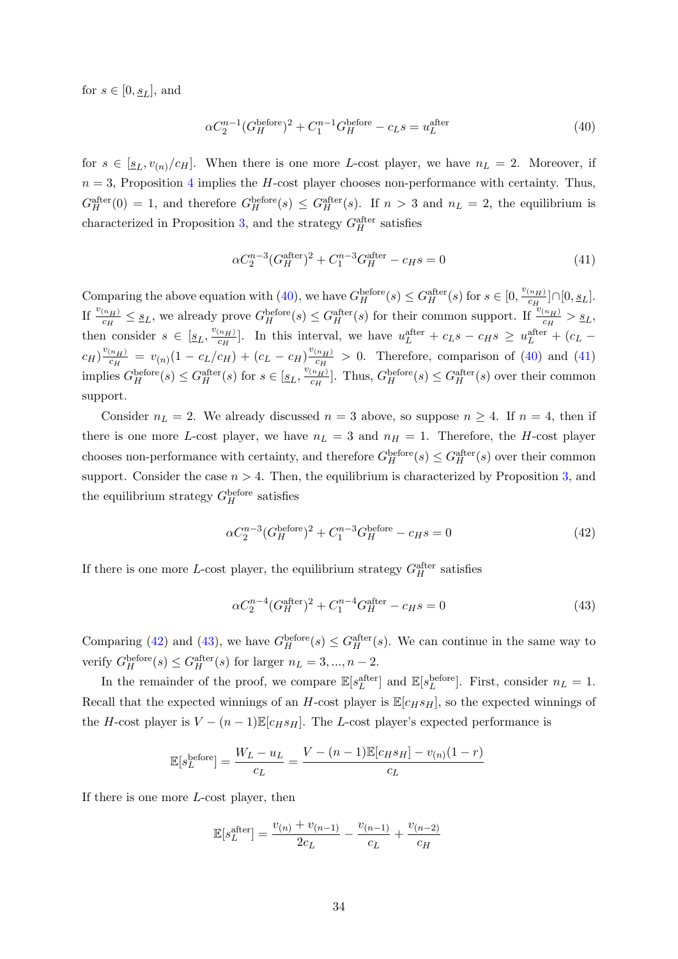for  $s \in [0, \underline{s}_L]$ , and

<span id="page-33-0"></span>
$$
\alpha C_2^{n-1} (G_H^{\text{before}})^2 + C_1^{n-1} G_H^{\text{before}} - c_L s = u_L^{\text{after}} \tag{40}
$$

for  $s \in [s_L, v_{(n)}/c_H]$ . When there is one more L-cost player, we have  $n_L = 2$ . Moreover, if  $n = 3$ , Proposition [4](#page-11-4) implies the H-cost player chooses non-performance with certainty. Thus,  $G_H^{\text{after}}(0) = 1$ , and therefore  $G_H^{\text{before}}(s) \leq G_H^{\text{after}}(s)$ . If  $n > 3$  and  $n_L = 2$ , the equilibrium is characterized in Proposition [3,](#page-11-5) and the strategy  $G_H^{\text{after}}$  satisfies

<span id="page-33-1"></span>
$$
\alpha C_2^{n-3} (G_H^{\text{after}})^2 + C_1^{n-3} G_H^{\text{after}} - c_H s = 0 \tag{41}
$$

Comparing the above equation with [\(40\)](#page-33-0), we have  $G_H^{\text{before}}(s) \leq G_H^{\text{after}}(s)$  for  $s \in [0, \frac{v_{(n_H)}}{c_H})$  $\frac{(n_H)}{c_H}] \cap [0, \underline{s}_L].$ If  $\frac{v_{(n_H)}}{c_H} \leq s_L$ , we already prove  $G_H^{\text{before}}(s) \leq G_H^{\text{after}}(s)$  for their common support. If  $\frac{v_{(n_H)}}{c_H} > s_L$ , then consider  $s \in [\underline{s}_L, \frac{v_{(n_H)}}{c_H}]$  $\frac{(n_H)}{c_H}$ . In this interval, we have  $u_L^{\text{after}} + c_L s - c_H s \ge u_L^{\text{after}} + (c_L - c_H s)$  $c_H)^{\frac{v_{(n_H)}}{c_H}}$  $\frac{c_{(n_H)}}{c_H} = v_{(n)}(1 - c_L/c_H) + (c_L - c_H) \frac{v_{(n_H)}}{c_H}$  $\frac{(n_H)}{c_H} > 0$ . Therefore, comparison of [\(40\)](#page-33-0) and [\(41\)](#page-33-1) implies  $G_H^{\text{before}}(s) \leq G_H^{\text{after}}(s)$  for  $s \in [\underline{s}_L, \frac{v_{(n_H)}}{c_H}]$  $\frac{(n_H)}{c_H}$ . Thus,  $G_H^{\text{before}}(s) \leq G_H^{\text{after}}(s)$  over their common support.

Consider  $n_L = 2$ . We already discussed  $n = 3$  above, so suppose  $n \geq 4$ . If  $n = 4$ , then if there is one more L-cost player, we have  $n_L = 3$  and  $n_H = 1$ . Therefore, the H-cost player chooses non-performance with certainty, and therefore  $G_H^{\text{before}}(s) \leq G_H^{\text{after}}(s)$  over their common support. Consider the case  $n > 4$ . Then, the equilibrium is characterized by Proposition [3,](#page-11-5) and the equilibrium strategy  $G_H^{\text{before}}$  satisfies

<span id="page-33-2"></span>
$$
\alpha C_2^{n-3} (G_H^{\text{before}})^2 + C_1^{n-3} G_H^{\text{before}} - c_H s = 0 \tag{42}
$$

If there is one more L-cost player, the equilibrium strategy  $G_H^{\text{after}}$  satisfies

<span id="page-33-3"></span>
$$
\alpha C_2^{n-4} (G_H^{\text{after}})^2 + C_1^{n-4} G_H^{\text{after}} - c_H s = 0 \tag{43}
$$

Comparing [\(42\)](#page-33-2) and [\(43\)](#page-33-3), we have  $G_H^{\text{before}}(s) \leq G_H^{\text{after}}(s)$ . We can continue in the same way to verify  $G_H^{\text{before}}(s) \leq G_H^{\text{after}}(s)$  for larger  $n_L = 3, ..., n - 2$ .

In the remainder of the proof, we compare  $\mathbb{E}[s_L^{\text{after}}]$  and  $\mathbb{E}[s_L^{\text{before}}]$ . First, consider  $n_L = 1$ . Recall that the expected winnings of an H-cost player is  $\mathbb{E}[c_Hs_H]$ , so the expected winnings of the H-cost player is  $V - (n-1) \mathbb{E}[c_H s_H]$ . The L-cost player's expected performance is

<span id="page-33-4"></span>
$$
\mathbb{E}[s_L^{\text{before}}] = \frac{W_L - u_L}{c_L} = \frac{V - (n-1)\mathbb{E}[c_H s_H] - v_{(n)}(1-r)}{c_L}
$$

If there is one more L-cost player, then

$$
\mathbb{E}[s_L^{\text{after}}] = \frac{v_{(n)} + v_{(n-1)}}{2c_L} - \frac{v_{(n-1)}}{c_L} + \frac{v_{(n-2)}}{c_H}
$$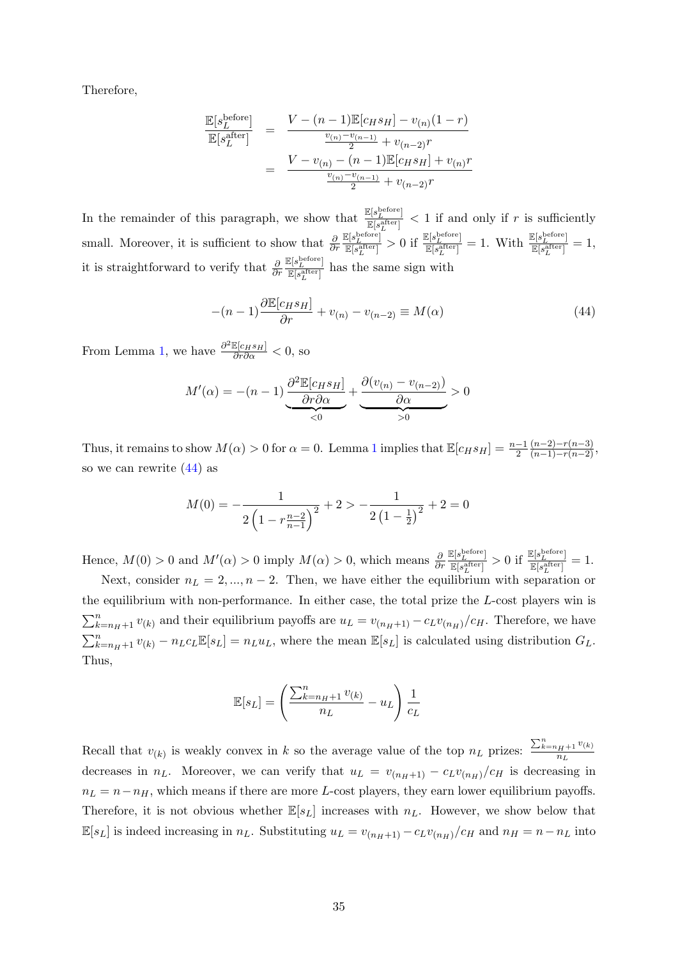Therefore,

$$
\frac{\mathbb{E}[s_L^{\text{before}}]}{\mathbb{E}[s_L^{\text{after}}]} = \frac{V - (n-1)\mathbb{E}[c_H s_H] - v_{(n)}(1-r)}{\frac{v_{(n)} - v_{(n-1)}}{2} + v_{(n-2)}r}
$$
\n
$$
= \frac{V - v_{(n)} - (n-1)\mathbb{E}[c_H s_H] + v_{(n)}r}{\frac{v_{(n)} - v_{(n-1)}}{2} + v_{(n-2)}r}
$$

In the remainder of this paragraph, we show that  $\frac{\mathbb{E}[s_L^{\text{before}}]}{\mathbb{E}[s_R^{\text{afterer}}]}$  $\frac{\mathbb{E}[S_L] }{\mathbb{E}[s_L^{\text{after}}]} < 1$  if and only if r is sufficiently small. Moreover, it is sufficient to show that  $\frac{\partial}{\partial r}$  $\mathbb{E}[s_{L}^{\text{before}}]$  $\frac{\mathbb{E}\left[s^{\text{before}}_L\right]}{\mathbb{E}\left[s^{\text{after}}_L\right]} > 0 \text{ if } \frac{\mathbb{E}\left[s^{\text{before}}_L\right]}{\mathbb{E}\left[s^{\text{after}}_L\right]}$  $\frac{\mathbb{E}[s_{L}^{\textrm{before}}]}{\mathbb{E}[s_{L}^{\textrm{after}}]}=1. \ \ \textrm{With} \ \ \frac{\mathbb{E}[s_{L}^{\textrm{before}}]}{\mathbb{E}[s_{L}^{\textrm{after}}]}$  $\frac{\mathbb{E}[s_L^{inter}]}{\mathbb{E}[s_L^{\text{after}}]} = 1,$ it is straightforward to verify that  $\frac{\partial}{\partial r}$  $\mathbb{E}[s_{L}^{\text{before}}]$  $\frac{\mathbb{E}[s_L^{\text{after}}]}{\mathbb{E}[s_L^{\text{after}}]}$  has the same sign with

$$
-(n-1)\frac{\partial \mathbb{E}[c_H s_H]}{\partial r} + v_{(n)} - v_{(n-2)} \equiv M(\alpha)
$$
\n(44)

From Lemma [1,](#page-30-2) we have  $\frac{\partial^2 \mathbb{E}[c_H s_H]}{\partial r \partial \alpha} < 0$ , so

$$
M'(\alpha) = -(n-1)\underbrace{\frac{\partial^2 \mathbb{E}[c_H s_H]}{\partial r \partial \alpha}}_{< 0} + \underbrace{\frac{\partial (v_{(n)} - v_{(n-2)})}{\partial \alpha}}_{> 0} > 0
$$

Thus, it remains to show  $M(\alpha) > 0$  for  $\alpha = 0$ . Lemma [1](#page-30-2) implies that  $\mathbb{E}[c_H s_H] = \frac{n-1}{2}$  $\frac{(n-2)-r(n-3)}{(n-1)-r(n-2)},$ so we can rewrite [\(44\)](#page-33-4) as

$$
M(0) = -\frac{1}{2\left(1 - r_{n-1}^{\frac{n-2}{n-1}}\right)^2} + 2 > -\frac{1}{2\left(1 - \frac{1}{2}\right)^2} + 2 = 0
$$

Hence,  $M(0) > 0$  and  $M'(\alpha) > 0$  imply  $M(\alpha) > 0$ , which means  $\frac{\partial}{\partial r}$  $\underline{\mathbb{E}}[s_L^{\text{before}}]$  $\frac{\mathbb{E}[s_{L}^{\text{before}}]}{\mathbb{E}[s_{L}^{\text{after}}]} > 0 \text{ if } \frac{\mathbb{E}[s_{L}^{\text{before}}]}{\mathbb{E}[s_{L}^{\text{after}}]}$  $\frac{\mathbb{E}[s_L^{-1}]}{\mathbb{E}[s_L^{\text{after}}]} = 1.$ 

Next, consider  $n_L = 2, ..., n-2$ . Then, we have either the equilibrium with separation or the equilibrium with non-performance. In either case, the total prize the L-cost players win is  $\sum_{k=n_H+1}^{n} v_{(k)}$  and their equilibrium payoffs are  $u_L = v_{(n_H+1)} - c_L v_{(n_H)}/c_H$ . Therefore, we have  $\sum_{k=n_H+1}^{n} v_{(k)} - n_L c_L \mathbb{E}[s_L] = n_L u_L$ , where the mean  $\mathbb{E}[s_L]$  is calculated using distribution  $G_L$ . Thus,

<span id="page-34-0"></span>
$$
\mathbb{E}[s_L] = \left(\frac{\sum_{k=n_H+1}^n v_{(k)}}{n_L} - u_L\right) \frac{1}{c_L}
$$

Recall that  $v_{(k)}$  is weakly convex in k so the average value of the top  $n_L$  prizes:  $\frac{\sum_{k=n_H+1}^{n} v_{(k)}}{n_L}$  $n_L$ decreases in  $n_L$ . Moreover, we can verify that  $u_L = v_{(n_H+1)} - c_L v_{(n_H)}/c_H$  is decreasing in  $n_L = n - n_H$ , which means if there are more L-cost players, they earn lower equilibrium payoffs. Therefore, it is not obvious whether  $\mathbb{E}[s_L]$  increases with  $n_L$ . However, we show below that  $\mathbb{E}[s_L]$  is indeed increasing in  $n_L$ . Substituting  $u_L = v_{(n_H+1)} - c_L v_{(n_H)}/c_H$  and  $n_H = n - n_L$  into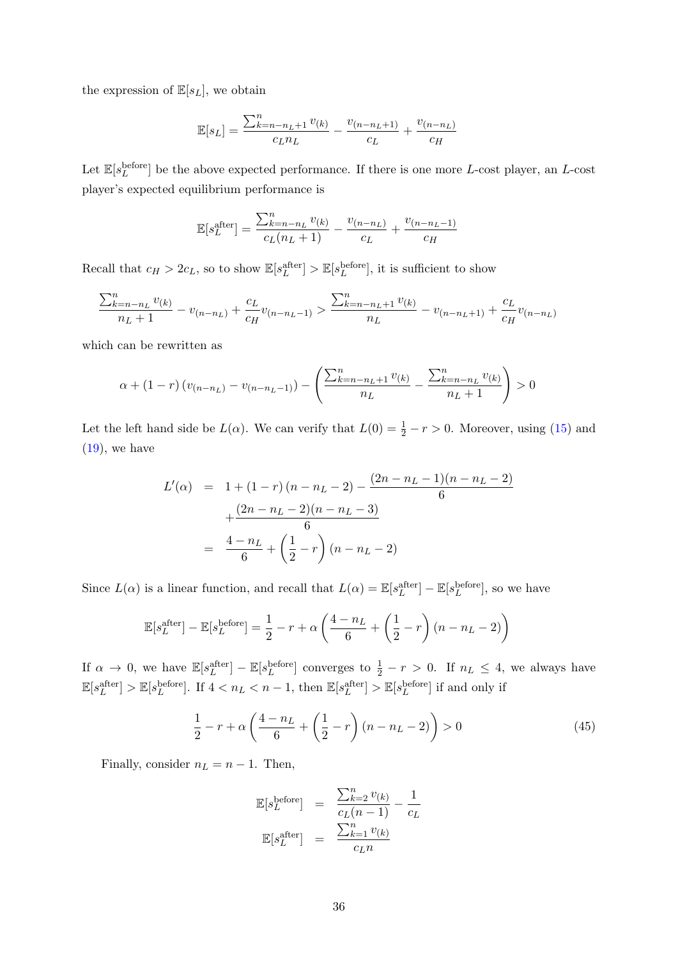the expression of  $\mathbb{E}[s_L]$ , we obtain

$$
\mathbb{E}[s_L] = \frac{\sum_{k=n-n_L+1}^{n} v_{(k)}}{c_L n_L} - \frac{v_{(n-n_L+1)}}{c_L} + \frac{v_{(n-n_L)}}{c_H}
$$

Let  $\mathbb{E}[s_L^{\text{before}}]$  be the above expected performance. If there is one more L-cost player, an L-cost player's expected equilibrium performance is

$$
\mathbb{E}[s_L^{\text{after}}] = \frac{\sum_{k=n-n_L}^{n} v_{(k)}}{c_L(n_L+1)} - \frac{v_{(n-n_L)}}{c_L} + \frac{v_{(n-n_L-1)}}{c_H}
$$

Recall that  $c_H > 2c_L$ , so to show  $\mathbb{E}[s_L^{\text{after}}] > \mathbb{E}[s_L^{\text{before}}]$ , it is sufficient to show

$$
\frac{\sum_{k=n-n_L}^{n} v_{(k)}}{n_L + 1} - v_{(n-n_L)} + \frac{c_L}{c_H} v_{(n-n_L-1)} > \frac{\sum_{k=n-n_L+1}^{n} v_{(k)}}{n_L} - v_{(n-n_L+1)} + \frac{c_L}{c_H} v_{(n-n_L)}
$$

which can be rewritten as

$$
\alpha + (1 - r) (v_{(n-n_L)} - v_{(n-n_L-1)}) - \left(\frac{\sum_{k=n-n_L+1}^{n} v_{(k)}}{n_L} - \frac{\sum_{k=n-n_L}^{n} v_{(k)}}{n_L + 1}\right) > 0
$$

Let the left hand side be  $L(\alpha)$ . We can verify that  $L(0) = \frac{1}{2} - r > 0$ . Moreover, using [\(15\)](#page-24-2) and  $(19)$ , we have

$$
L'(\alpha) = 1 + (1 - r)(n - n_L - 2) - \frac{(2n - n_L - 1)(n - n_L - 2)}{6} + \frac{(2n - n_L - 2)(n - n_L - 3)}{6} = \frac{4 - n_L}{6} + \left(\frac{1}{2} - r\right)(n - n_L - 2)
$$

Since  $L(\alpha)$  is a linear function, and recall that  $L(\alpha) = \mathbb{E}[s_L^{\text{after}}] - \mathbb{E}[s_L^{\text{before}}]$ , so we have

$$
\mathbb{E}[s_L^{\text{after}}] - \mathbb{E}[s_L^{\text{before}}] = \frac{1}{2} - r + \alpha \left(\frac{4 - n_L}{6} + \left(\frac{1}{2} - r\right)(n - n_L - 2)\right)
$$

If  $\alpha \to 0$ , we have  $\mathbb{E}[s_L^{\text{after}}] - \mathbb{E}[s_L^{\text{before}}]$  converges to  $\frac{1}{2} - r > 0$ . If  $n_L \leq 4$ , we always have  $\mathbb{E}[s_L^{\text{after}}] > \mathbb{E}[s_L^{\text{before}}]$ . If  $4 < n_L < n - 1$ , then  $\mathbb{E}[s_L^{\text{after}}] > \mathbb{E}[s_L^{\text{before}}]$  if and only if

$$
\frac{1}{2} - r + \alpha \left( \frac{4 - n_L}{6} + \left( \frac{1}{2} - r \right) (n - n_L - 2) \right) > 0 \tag{45}
$$

Finally, consider  $n_L = n - 1$ . Then,

<span id="page-35-0"></span>
$$
\mathbb{E}[s_L^{\text{before}}] = \frac{\sum_{k=2}^n v_{(k)}}{c_L (n-1)} - \frac{1}{c_L}
$$

$$
\mathbb{E}[s_L^{\text{after}}] = \frac{\sum_{k=1}^n v_{(k)}}{c_L n}
$$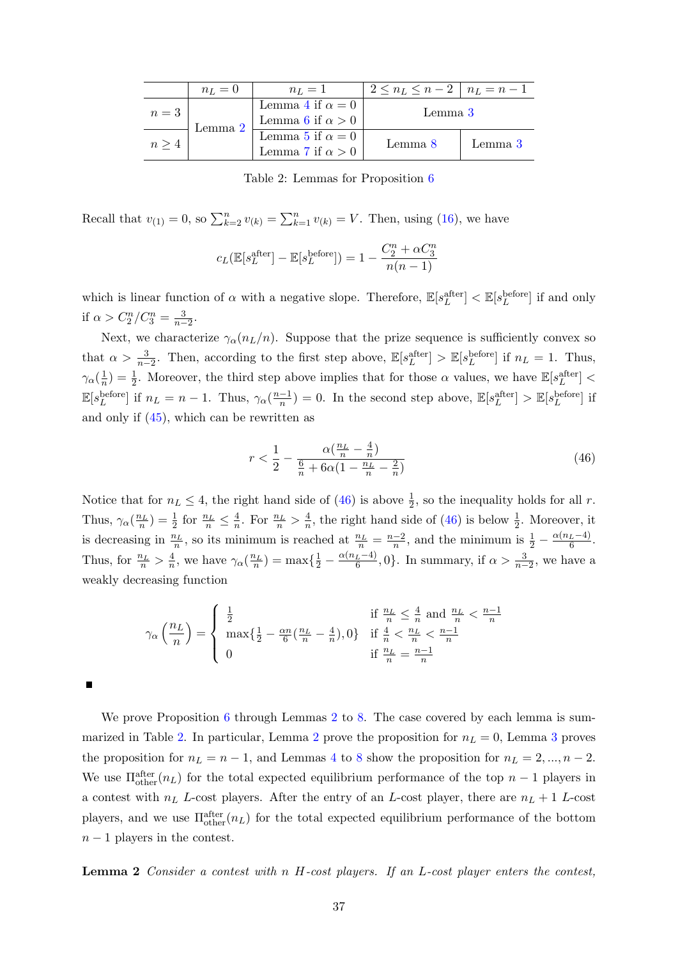<span id="page-36-1"></span>

|         | $n_L=0$                 | $n_L=1$                 | $2 \leq n_L \leq n-2 \mid n_L = n-1$ |         |
|---------|-------------------------|-------------------------|--------------------------------------|---------|
| $n=3$   |                         | Lemma 4 if $\alpha = 0$ | Lemma 3                              |         |
| Lemma 2 | Lemma 6 if $\alpha > 0$ |                         |                                      |         |
| n >     |                         | Lemma 5 if $\alpha = 0$ | Lemma 8                              | Lemma 3 |
|         | Lemma 7 if $\alpha > 0$ |                         |                                      |         |

Table 2: Lemmas for Proposition [6](#page-14-1)

Recall that  $v_{(1)} = 0$ , so  $\sum_{k=2}^{n} v_{(k)} = \sum_{k=1}^{n} v_{(k)} = V$ . Then, using [\(16\)](#page-24-1), we have

$$
c_L(\mathbb{E}[s_L^{\text{after}}] - \mathbb{E}[s_L^{\text{before}}]) = 1 - \frac{C_2^n + \alpha C_3^n}{n(n-1)}
$$

which is linear function of  $\alpha$  with a negative slope. Therefore,  $\mathbb{E}[s_L^{\text{after}}] < \mathbb{E}[s_L^{\text{before}}]$  if and only if  $\alpha > C_2^n/C_3^n = \frac{3}{n-2}$ .

Next, we characterize  $\gamma_{\alpha}(n_L/n)$ . Suppose that the prize sequence is sufficiently convex so that  $\alpha > \frac{3}{n-2}$ . Then, according to the first step above,  $\mathbb{E}[s_L^{\text{after}}] > \mathbb{E}[s_L^{\text{before}}]$  if  $n_L = 1$ . Thus,  $\gamma_\alpha(\frac{1}{n}$  $\frac{1}{n}$ ) =  $\frac{1}{2}$ . Moreover, the third step above implies that for those  $\alpha$  values, we have  $\mathbb{E}[s_L^{\text{after}}]$  <  $\mathbb{E}[s_L^{\text{before}}]$  if  $n_L = n - 1$ . Thus,  $\gamma_\alpha(\frac{n-1}{n})$  $\frac{-1}{n}$ ) = 0. In the second step above,  $\mathbb{E}[s_L^{\text{after}}] > \mathbb{E}[s_L^{\text{before}}]$  if and only if [\(45\)](#page-34-0), which can be rewritten as

$$
r < \frac{1}{2} - \frac{\alpha(\frac{n_L}{n} - \frac{4}{n})}{\frac{6}{n} + 6\alpha(1 - \frac{n_L}{n} - \frac{2}{n})} \tag{46}
$$

Notice that for  $n_L \leq 4$ , the right hand side of [\(46\)](#page-35-0) is above  $\frac{1}{2}$ , so the inequality holds for all r. Thus,  $\gamma_{\alpha}(\frac{n_L}{n}) = \frac{1}{2}$  for  $\frac{n_L}{n} \leq \frac{4}{n}$  $\frac{4}{n}$ . For  $\frac{n_L}{n} > \frac{4}{n}$  $\frac{4}{n}$ , the right hand side of [\(46\)](#page-35-0) is below  $\frac{1}{2}$ . Moreover, it is decreasing in  $\frac{n_L}{n}$ , so its minimum is reached at  $\frac{n_L}{n} = \frac{n-2}{n}$  $\frac{-2}{n}$ , and the minimum is  $\frac{1}{2} - \frac{\alpha(n_L-4)}{6}$  $\frac{L-4)}{6}$ . Thus, for  $\frac{n_L}{n} > \frac{4}{n}$  $\frac{4}{n}$ , we have  $\gamma_\alpha(\frac{n_L}{n}) = \max\{\frac{1}{2} - \frac{\alpha(n_L-4)}{6}\}$  $\frac{L^{-4}}{6}$ , 0}. In summary, if  $\alpha > \frac{3}{n-2}$ , we have a weakly decreasing function

$$
\gamma_{\alpha} \left( \frac{n_L}{n} \right) = \begin{cases} \frac{1}{2} & \text{if } \frac{n_L}{n} \leq \frac{4}{n} \text{ and } \frac{n_L}{n} < \frac{n-1}{n} \\ \max \{ \frac{1}{2} - \frac{\alpha n}{6} (\frac{n_L}{n} - \frac{4}{n}), 0 \} & \text{if } \frac{4}{n} < \frac{n_L}{n} < \frac{n-1}{n} \\ 0 & \text{if } \frac{n_L}{n} = \frac{n-1}{n} \end{cases}
$$

We prove Proposition [6](#page-14-1) through Lemmas [2](#page-36-0) to [8.](#page-40-0) The case covered by each lemma is sum-marized in Table [2.](#page-36-1) In particular, Lemma [2](#page-36-0) prove the proposition for  $n_L = 0$ , Lemma [3](#page-37-1) proves the proposition for  $n_L = n - 1$ , and Lemmas [4](#page-37-0) to [8](#page-40-0) show the proposition for  $n_L = 2, ..., n - 2$ . We use  $\Pi_{\text{other}}^{\text{after}}(n_L)$  for the total expected equilibrium performance of the top  $n-1$  players in a contest with  $n_L$  L-cost players. After the entry of an L-cost player, there are  $n_L + 1$  L-cost players, and we use  $\Pi_{\text{other}}^{\text{after}}(n_L)$  for the total expected equilibrium performance of the bottom  $n-1$  players in the contest.

<span id="page-36-0"></span>Lemma 2 Consider a contest with n H-cost players. If an L-cost player enters the contest,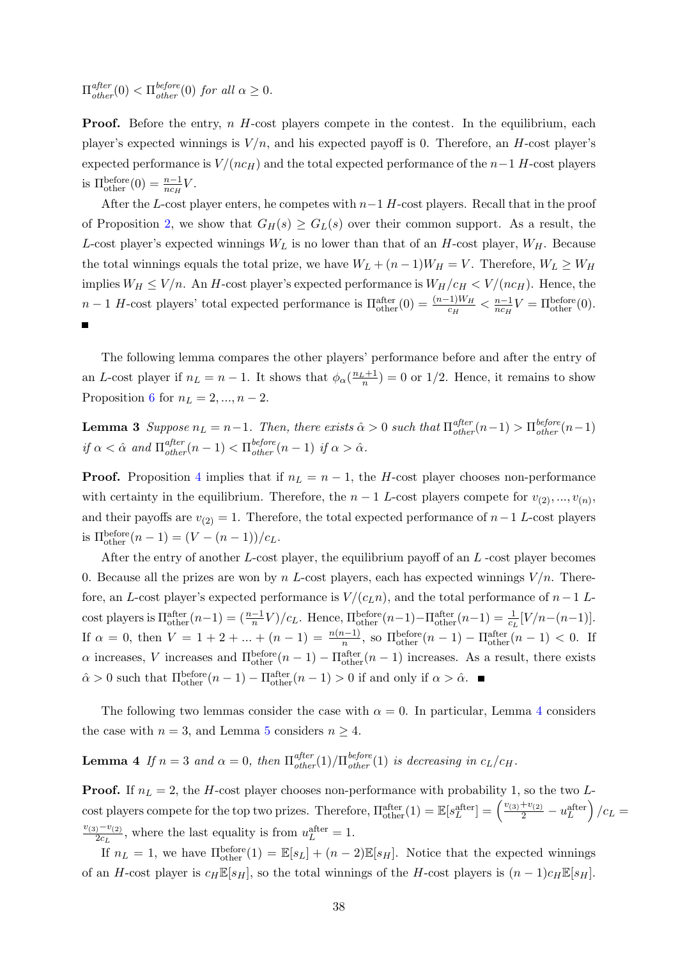$\Pi_{other}^{after}(0) < \Pi_{other}^{before}(0)$  for all  $\alpha \geq 0$ .

**Proof.** Before the entry,  $n$  H-cost players compete in the contest. In the equilibrium, each player's expected winnings is  $V/n$ , and his expected payoff is 0. Therefore, an H-cost player's expected performance is  $V/(nc_H)$  and the total expected performance of the  $n-1$  H-cost players is  $\Pi_{\text{other}}^{\text{before}}(0) = \frac{n-1}{nc_H}V.$ 

After the L-cost player enters, he competes with  $n-1$  H-cost players. Recall that in the proof of Proposition [2,](#page-9-3) we show that  $G_H(s) \geq G_L(s)$  over their common support. As a result, the L-cost player's expected winnings  $W_L$  is no lower than that of an H-cost player,  $W_H$ . Because the total winnings equals the total prize, we have  $W_L + (n-1)W_H = V$ . Therefore,  $W_L \geq W_H$ implies  $W_H \leq V/n$ . An H-cost player's expected performance is  $W_H/c_H \lt V/(nc_H)$ . Hence, the  $n-1$  H-cost players' total expected performance is  $\Pi_{\text{other}}^{\text{after}}(0) = \frac{(n-1)W_H}{c_H} < \frac{n-1}{nc_H}$  $\frac{n-1}{nc_H}V = \Pi_{\text{other}}^{\text{before}}(0).$ 

<span id="page-37-1"></span>The following lemma compares the other players' performance before and after the entry of an L-cost player if  $n_L = n - 1$ . It shows that  $\phi_\alpha(\frac{n_L+1}{n}) = 0$  or 1/2. Hence, it remains to show Proposition [6](#page-14-1) for  $n_L = 2, ..., n - 2$ .

**Lemma 3** Suppose  $n_L = n-1$ . Then, there exists  $\hat{\alpha} > 0$  such that  $\Pi_{other}^{after}(n-1) > \Pi_{other}^{before}(n-1)$ if  $\alpha < \hat{\alpha}$  and  $\Pi_{other}^{after}(n-1) < \Pi_{other}^{before}(n-1)$  if  $\alpha > \hat{\alpha}$ .

**Proof.** Proposition [4](#page-11-4) implies that if  $n_L = n - 1$ , the H-cost player chooses non-performance with certainty in the equilibrium. Therefore, the  $n-1$  L-cost players compete for  $v_{(2)},...,v_{(n)}$ , and their payoffs are  $v_{(2)} = 1$ . Therefore, the total expected performance of  $n-1$  L-cost players is  $\Pi_{\text{other}}^{\text{before}}(n-1) = (V - (n-1))/c_L.$ 

After the entry of another  $L$ -cost player, the equilibrium payoff of an  $L$ -cost player becomes 0. Because all the prizes are won by n L-cost players, each has expected winnings  $V/n$ . Therefore, an L-cost player's expected performance is  $V/(c_L n)$ , and the total performance of  $n-1$  Lcost players is  $\Pi_{\text{other}}^{\text{after}}(n-1) = \left(\frac{n-1}{n}V\right)/c_L$ . Hence,  $\Pi_{\text{other}}^{\text{before}}(n-1) - \Pi_{\text{other}}^{\text{after}}(n-1) = \frac{1}{c_L}[V/n-(n-1)].$ If  $\alpha = 0$ , then  $V = 1 + 2 + ... + (n - 1) = \frac{n(n-1)}{n}$ , so  $\Pi_{\text{other}}^{\text{before}}(n-1) - \Pi_{\text{other}}^{\text{after}}(n-1) < 0$ . If  $\alpha$  increases, V increases and  $\Pi_{\text{other}}^{\text{before}}(n-1) - \Pi_{\text{other}}^{\text{after}}(n-1)$  increases. As a result, there exists  $\hat{\alpha} > 0$  such that  $\Pi_{\text{other}}^{\text{before}}(n-1) - \Pi_{\text{other}}^{\text{after}}(n-1) > 0$  if and only if  $\alpha > \hat{\alpha}$ .

<span id="page-37-0"></span>The following two lemmas consider the case with  $\alpha = 0$ . In particular, Lemma [4](#page-37-0) considers the case with  $n = 3$ , and Lemma [5](#page-38-0) considers  $n \geq 4$ .

# **Lemma 4** If  $n = 3$  and  $\alpha = 0$ , then  $\Pi_{other}^{after}(1)/\Pi_{other}^{before}(1)$  is decreasing in  $c_L/c_H$ .

**Proof.** If  $n_L = 2$ , the H-cost player chooses non-performance with probability 1, so the two Lcost players compete for the top two prizes. Therefore,  $\Pi_{\text{other}}^{\text{after}}(1) = \mathbb{E}[s_L^{\text{after}}] = \left(\frac{v_{(3)}+v_{(2)}}{2} - u_L^{\text{after}}\right)/c_L =$  $v_{(3)}-v_{(2)}$  $\frac{10^{-10}(2)}{2c_L}$ , where the last equality is from  $u_L^{\text{after}} = 1$ .

If  $n_L = 1$ , we have  $\Pi_{\text{other}}^{\text{before}}(1) = \mathbb{E}[s_L] + (n-2)\mathbb{E}[s_H]$ . Notice that the expected winnings of an H-cost player is  $c_H \mathbb{E}[s_H]$ , so the total winnings of the H-cost players is  $(n-1)c_H \mathbb{E}[s_H]$ .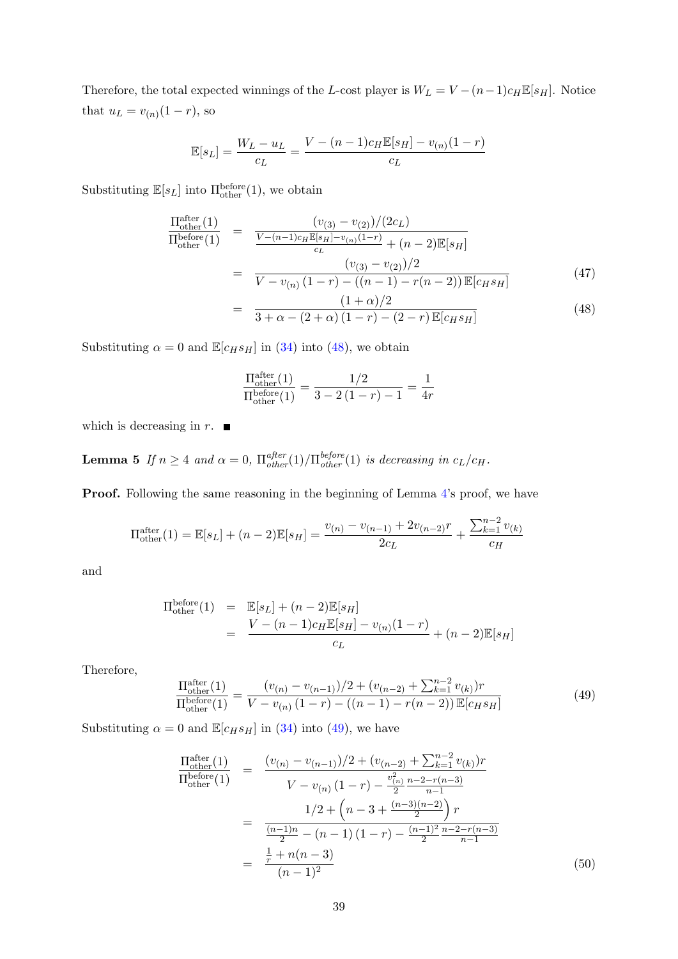Therefore, the total expected winnings of the L-cost player is  $W_L = V - (n-1)c_H \mathbb{E}[s_H]$ . Notice that  $u_L = v_{(n)}(1 - r)$ , so

$$
\mathbb{E}[s_L] = \frac{W_L - u_L}{c_L} = \frac{V - (n-1)c_H \mathbb{E}[s_H] - v_{(n)}(1-r)}{c_L}
$$

Substituting  $\mathbb{E}[s_L]$  into  $\Pi_{\text{other}}^{\text{before}}(1)$ , we obtain

<span id="page-38-1"></span>
$$
\frac{\Pi_{\text{other}}^{\text{after}}(1)}{\Pi_{\text{other}}^{\text{before}}(1)} = \frac{(v_{(3)} - v_{(2)})/(2c_L)}{\frac{V - (n-1)c_H \mathbb{E}[s_H] - v_{(n)}(1-r)}{c_L} + (n-2)\mathbb{E}[s_H]} \\
= \frac{(v_{(3)} - v_{(2)})/2}{V - v_{(n)}(1-r) - ((n-1) - r(n-2))\mathbb{E}[c_H s_H]} \\
= \frac{(1+\alpha)/2}{3 + \alpha - (2+\alpha)(1-r) - (2-r)\mathbb{E}[c_H s_H]} \tag{48}
$$

Substituting  $\alpha = 0$  and  $\mathbb{E}[c_H s_H]$  in [\(34\)](#page-30-3) into [\(48\)](#page-38-1), we obtain

$$
\frac{\Pi_{\text{other}}^{\text{after}}(1)}{\Pi_{\text{other}}^{\text{before}}(1)} = \frac{1/2}{3 - 2(1 - r) - 1} = \frac{1}{4r}
$$

<span id="page-38-0"></span>which is decreasing in  $r$ .  $\blacksquare$ 

**Lemma 5** If  $n \geq 4$  and  $\alpha = 0$ ,  $\prod_{other}^{after}(1)/\prod_{other}^{before}(1)$  is decreasing in  $c_L/c_H$ .

Proof. Following the same reasoning in the beginning of Lemma [4'](#page-37-0)s proof, we have

<span id="page-38-2"></span>
$$
\Pi_{\text{other}}^{\text{after}}(1) = \mathbb{E}[s_L] + (n-2)\mathbb{E}[s_H] = \frac{v_{(n)} - v_{(n-1)} + 2v_{(n-2)}r}{2c_L} + \frac{\sum_{k=1}^{n-2} v_{(k)}}{c_H}
$$

and

$$
\Pi_{\text{other}}^{\text{before}}(1) = \mathbb{E}[s_L] + (n-2)\mathbb{E}[s_H] \n= \frac{V - (n-1)c_H \mathbb{E}[s_H] - v_{(n)}(1-r)}{c_L} + (n-2)\mathbb{E}[s_H]
$$

Therefore,

$$
\frac{\Pi_{\text{other}}^{\text{after}}(1)}{\Pi_{\text{other}}^{\text{before}}(1)} = \frac{(v_{(n)} - v_{(n-1)})/2 + (v_{(n-2)} + \sum_{k=1}^{n-2} v_{(k)})r}{V - v_{(n)}(1-r) - ((n-1) - r(n-2))\mathbb{E}[c_H s_H]}
$$
(49)

Substituting  $\alpha = 0$  and  $\mathbb{E}[c_H s_H]$  in [\(34\)](#page-30-3) into [\(49\)](#page-38-2), we have

<span id="page-38-3"></span>
$$
\frac{\Pi_{\text{other}}^{\text{after}}(1)}{\Pi_{\text{other}}^{\text{before}}(1)} = \frac{(v_{(n)} - v_{(n-1)})/2 + (v_{(n-2)} + \sum_{k=1}^{n-2} v_{(k)})r}{V - v_{(n)}(1-r) - \frac{v_{(n)}^2 n - 2 - r(n-3)}{2} \over n-1}
$$
\n
$$
= \frac{1/2 + \left(n - 3 + \frac{(n-3)(n-2)}{2}\right)r}{\frac{(n-1)n}{2} - (n-1)(1-r) - \frac{(n-1)^2}{2} \frac{n-2 - r(n-3)}{n-1}}
$$
\n
$$
= \frac{\frac{1}{r} + n(n-3)}{(n-1)^2} \tag{50}
$$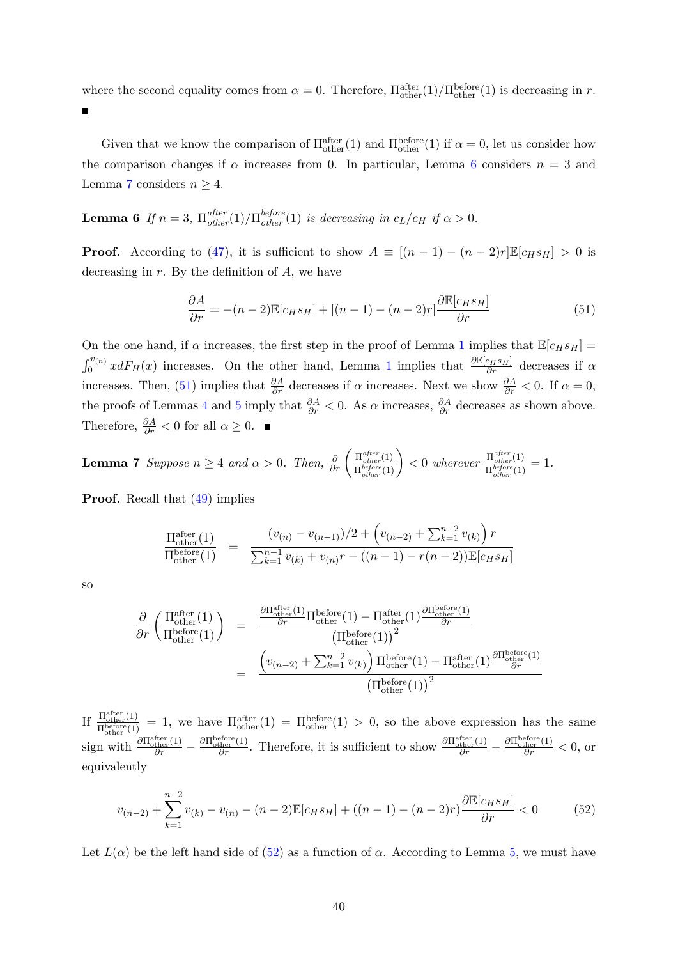where the second equality comes from  $\alpha = 0$ . Therefore,  $\Pi_{\text{other}}^{\text{after}}(1)/\Pi_{\text{other}}^{\text{before}}(1)$  is decreasing in r.

Given that we know the comparison of  $\Pi_{\text{other}}^{\text{after}}(1)$  and  $\Pi_{\text{other}}^{\text{before}}(1)$  if  $\alpha = 0$ , let us consider how the comparison changes if  $\alpha$  increases from 0. In particular, Lemma [6](#page-39-0) considers  $n = 3$  and Lemma [7](#page-39-1) considers  $n \geq 4$ .

<span id="page-39-0"></span>**Lemma 6** If  $n = 3$ ,  $\prod_{other}^{after}(1)/\prod_{other}^{before}(1)$  is decreasing in  $c_L/c_H$  if  $\alpha > 0$ .

**Proof.** According to [\(47\)](#page-38-1), it is sufficient to show  $A \equiv [(n-1)-(n-2)r]\mathbb{E}[c_H s_H] > 0$  is decreasing in  $r$ . By the definition of  $A$ , we have

<span id="page-39-2"></span>
$$
\frac{\partial A}{\partial r} = -(n-2)\mathbb{E}[c_H s_H] + [(n-1) - (n-2)r] \frac{\partial \mathbb{E}[c_H s_H]}{\partial r}
$$
(51)

On the one hand, if  $\alpha$  increases, the first step in the proof of Lemma [1](#page-30-2) implies that  $\mathbb{E}[c_H s_H] =$  $\int_0^{v_{(n)}} x dF_H(x)$  increases. On the other hand, Lemma [1](#page-30-2) implies that  $\frac{\partial \mathbb{E}[c_H s_H]}{\partial r}$  decreases if  $\alpha$ increases. Then, [\(51\)](#page-39-2) implies that  $\frac{\partial A}{\partial r}$  decreases if  $\alpha$  increases. Next we show  $\frac{\partial A}{\partial r} < 0$ . If  $\alpha = 0$ , the proofs of Lemmas [4](#page-37-0) and [5](#page-38-0) imply that  $\frac{\partial A}{\partial r} < 0$ . As  $\alpha$  increases,  $\frac{\partial A}{\partial r}$  decreases as shown above. Therefore,  $\frac{\partial A}{\partial r} < 0$  for all  $\alpha \geq 0$ .

<span id="page-39-1"></span>**Lemma 7** Suppose  $n \geq 4$  and  $\alpha > 0$ . Then,  $\frac{\partial}{\partial r} \left( \frac{\Pi_{other}^{after}(1)}{\Pi^{before}(1)} \right)$  $\frac{\Pi_{other}^{after}(1)}{\Pi_{other}^{before}(1)}$  > 0 wherever  $\frac{\Pi_{other}^{after}(1)}{\Pi_{other}^{before}(1)}$  $\frac{\prod_{other}^{(1)}(1)}{\prod_{other}^{before}(1)}=1.$ 

Proof. Recall that [\(49\)](#page-38-2) implies

$$
\frac{\Pi_{\text{other}}^{\text{after}}(1)}{\Pi_{\text{other}}^{\text{before}}(1)} = \frac{(v_{(n)} - v_{(n-1)})/2 + \left(v_{(n-2)} + \sum_{k=1}^{n-2} v_{(k)}\right)r}{\sum_{k=1}^{n-1} v_{(k)} + v_{(n)}r - ((n-1) - r(n-2))\mathbb{E}[c_H s_H]}
$$

so

<span id="page-39-3"></span>
$$
\frac{\partial}{\partial r} \left( \frac{\Pi_{\text{other}}^{\text{after}}(1)}{\Pi_{\text{other}}^{\text{before}}(1)} \right) = \frac{\frac{\partial \Pi_{\text{other}}^{\text{after}}(1)}{\partial r} \Pi_{\text{other}}^{\text{before}}(1) - \Pi_{\text{other}}^{\text{after}}(1) \frac{\partial \Pi_{\text{other}}^{\text{before}}(1)}{\partial r}}{\left( \Pi_{\text{other}}^{\text{before}}(1) \right)^2} \n= \frac{\left( v_{(n-2)} + \sum_{k=1}^{n-2} v_{(k)} \right) \Pi_{\text{other}}^{\text{before}}(1) - \Pi_{\text{other}}^{\text{after}}(1) \frac{\partial \Pi_{\text{other}}^{\text{before}}(1)}{\partial r}}{\left( \Pi_{\text{other}}^{\text{before}}(1) \right)^2}
$$

If  $\frac{\Pi_{\text{other}}^{\text{after}}(1)}{\Pi_{\text{before}(1)}}$  $\frac{\Pi_{\text{other}}^{\text{other}}(1)}{\Pi_{\text{other}}^{\text{before}}(1)} = 1$ , we have  $\Pi_{\text{other}}^{\text{after}}(1) = \Pi_{\text{other}}^{\text{before}}(1) > 0$ , so the above expression has the same sign with  $\frac{\partial \Pi_{\text{other}}^{\text{after}}(1)}{\partial r} - \frac{\partial \Pi_{\text{other}}^{\text{before}}(1)}{\partial r}$ . Therefore, it is sufficient to show  $\frac{\partial \Pi_{\text{other}}^{\text{after}}(1)}{\partial r} - \frac{\partial \Pi_{\text{other}}^{\text{before}}(1)}{\partial r} < 0$ , or equivalently

$$
v_{(n-2)} + \sum_{k=1}^{n-2} v_{(k)} - v_{(n)} - (n-2) \mathbb{E}[c_H s_H] + ((n-1) - (n-2)r) \frac{\partial \mathbb{E}[c_H s_H]}{\partial r} < 0 \tag{52}
$$

Let  $L(\alpha)$  be the left hand side of [\(52\)](#page-39-3) as a function of  $\alpha$ . According to Lemma [5,](#page-38-0) we must have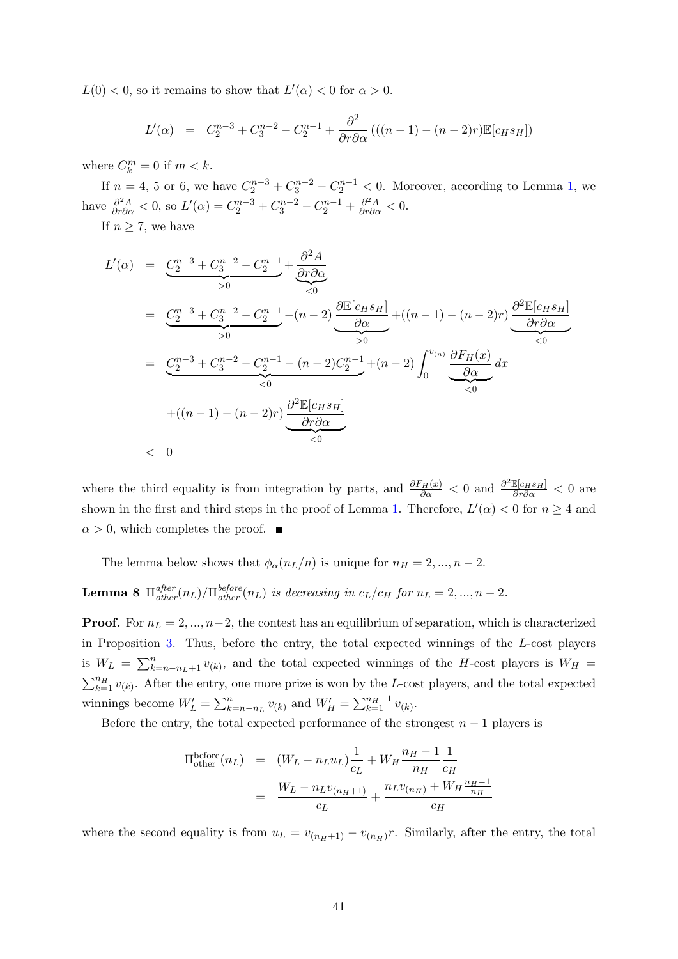$L(0) < 0$ , so it remains to show that  $L'(\alpha) < 0$  for  $\alpha > 0$ .

<span id="page-40-1"></span>
$$
L'(\alpha) = C_2^{n-3} + C_3^{n-2} - C_2^{n-1} + \frac{\partial^2}{\partial r \partial \alpha} \left( ((n-1) - (n-2)r) \mathbb{E}[c_H s_H] \right)
$$

where  $C_k^m = 0$  if  $m < k$ .

If  $n = 4, 5$  or 6, we have  $C_2^{n-3} + C_3^{n-2} - C_2^{n-1} < 0$ . Moreover, according to Lemma [1,](#page-30-2) we have  $\frac{\partial^2 A}{\partial r \partial \alpha} < 0$ , so  $L'(\alpha) = C_2^{n-3} + C_3^{n-2} - C_2^{n-1} + \frac{\partial^2 A}{\partial r \partial \alpha} < 0$ .

If  $n \geq 7$ , we have

$$
L'(\alpha) = \underbrace{C_2^{n-3} + C_3^{n-2} - C_2^{n-1}}_{>0} + \underbrace{\frac{\partial^2 A}{\partial r \partial \alpha}}_{< 0}
$$
\n
$$
= \underbrace{C_2^{n-3} + C_3^{n-2} - C_2^{n-1}}_{>0} - (n-2) \underbrace{\frac{\partial \mathbb{E}[c_H s_H]}{\partial \alpha}}_{> 0} + ((n-1) - (n-2)r) \underbrace{\frac{\partial^2 \mathbb{E}[c_H s_H]}{\partial r \partial \alpha}}_{< 0}
$$
\n
$$
= \underbrace{C_2^{n-3} + C_3^{n-2} - C_2^{n-1} - (n-2)C_2^{n-1}}_{< 0} + ((n-1) - (n-2)r) \underbrace{\frac{\partial^2 \mathbb{E}[c_H s_H]}{\partial r \partial \alpha}}_{< 0}
$$
\n
$$
+ ((n-1) - (n-2)r) \underbrace{\frac{\partial^2 \mathbb{E}[c_H s_H]}{\partial r \partial \alpha}}_{< 0}
$$
\n
$$
= 0
$$

where the third equality is from integration by parts, and  $\frac{\partial F_H(x)}{\partial \alpha} < 0$  and  $\frac{\partial^2 \mathbb{E}[c_H s_H]}{\partial r \partial \alpha} < 0$  are shown in the first and third steps in the proof of Lemma [1.](#page-30-2) Therefore,  $L'(\alpha) < 0$  for  $n \geq 4$  and  $\alpha > 0$ , which completes the proof.

The lemma below shows that  $\phi_{\alpha}(n_L/n)$  is unique for  $n_H = 2, ..., n-2$ .

**Lemma 8**  $\Pi_{other}^{after}(n_L)/\Pi_{other}^{before}(n_L)$  is decreasing in  $c_L/c_H$  for  $n_L = 2, ..., n-2$ .

**Proof.** For  $n_l = 2, ..., n-2$ , the contest has an equilibrium of separation, which is characterized in Proposition [3.](#page-11-5) Thus, before the entry, the total expected winnings of the L-cost players is  $W_L = \sum_{k=n-n_L+1}^{n} v_{(k)}$ , and the total expected winnings of the H-cost players is  $W_H =$  $\sum_{k=1}^{n} v_{(k)}$ . After the entry, one more prize is won by the L-cost players, and the total expected winnings become  $W'_L = \sum_{k=n-n_L}^n v_{(k)}$  and  $W'_H = \sum_{k=1}^{n_H-1} v_{(k)}$ .

Before the entry, the total expected performance of the strongest  $n-1$  players is

<span id="page-40-0"></span>
$$
\Pi_{\text{other}}^{\text{before}}(n_L) = (W_L - n_L u_L) \frac{1}{c_L} + W_H \frac{n_H - 1}{n_H} \frac{1}{c_H}
$$
  
= 
$$
\frac{W_L - n_L v_{(n_H+1)}}{c_L} + \frac{n_L v_{(n_H)} + W_H \frac{n_H - 1}{n_H}}{c_H}
$$

where the second equality is from  $u_L = v_{(n_H+1)} - v_{(n_H)}r$ . Similarly, after the entry, the total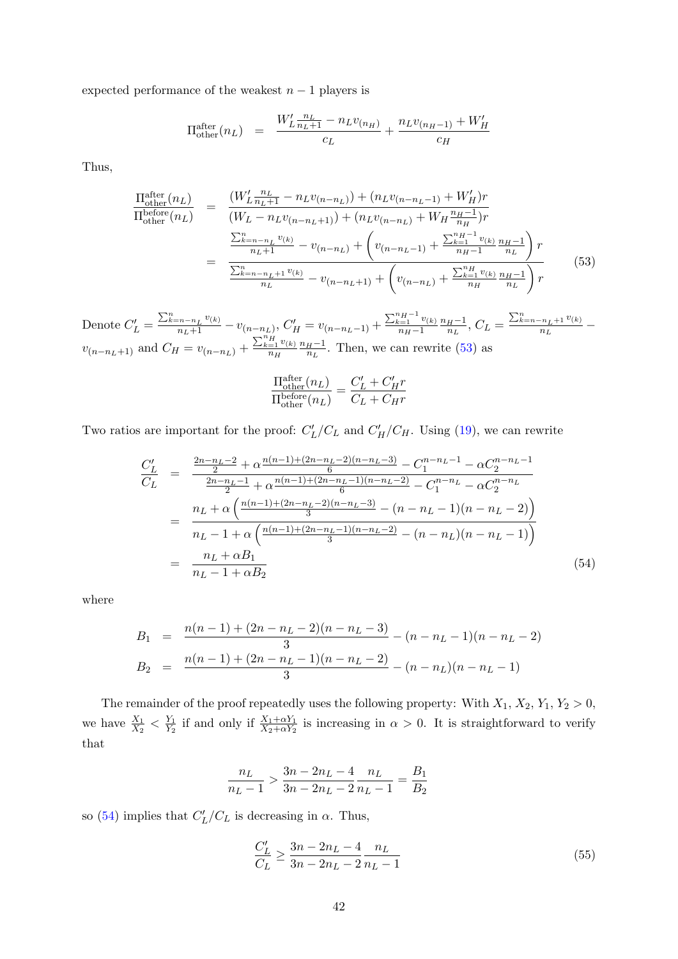expected performance of the weakest  $n - 1$  players is

$$
\Pi_{\text{other}}^{\text{after}}(n_L) = \frac{W'_L \frac{n_L}{n_L + 1} - n_L v_{(n_H)}}{c_L} + \frac{n_L v_{(n_H - 1)} + W'_H}{c_H}
$$

Thus,

$$
\frac{\Pi_{\text{other}}^{\text{after}}(n_L)}{\Pi_{\text{other}}^{\text{before}}(n_L)} = \frac{(W_L' \frac{n_L}{n_L+1} - n_L v_{(n-n_L)}) + (n_L v_{(n-n_L-1)} + W_H')r}{(W_L - n_L v_{(n-n_L+1)}) + (n_L v_{(n-n_L)} + W_H \frac{n_H-1}{n_H})r}
$$
\n
$$
= \frac{\frac{\sum_{k=n-n_L}^{n} v_{(k)}}{n_L+1} - v_{(n-n_L)} + \left(v_{(n-n_L-1)} + \frac{\sum_{k=1}^{n} v_{(k)}}{n_H-1} \frac{n_H-1}{n_L}\right)r}{\frac{\sum_{k=n-n_L+1}^{n} v_{(k)}}{n_L} - v_{(n-n_L+1)} + \left(v_{(n-n_L)} + \frac{\sum_{k=1}^{n} v_{(k)}}{n_H} \frac{n_H-1}{n_L}\right)r}
$$
\n(53)

Denote  $C'_L = \frac{\sum_{k=n-n_L}^{n} v_{(k)}}{n_L+1} - v_{(n-n_L)}, C'_H = v_{(n-n_L-1)} + \frac{\sum_{k=1}^{n_H-1} v_{(k)}}{n_H-1}$  $n_H-1$  $n_H-1$  $\frac{H-1}{n_L}, C_L = \frac{\sum_{k=n-n_L+1}^{n} v_{(k)}}{n_L}$  $\frac{-n_L+1\;\circ(\kappa)}{n_L}$  –  $v_{(n-n_L+1)}$  and  $C_H = v_{(n-n_L)} + \frac{\sum_{k=1}^{n_H} v_{(k)}}{n_H}$  $n_H$  $n_H-1$  $\frac{H^{-1}}{n_L}$ . Then, we can rewrite [\(53\)](#page-40-1) as

$$
\frac{\Pi_{\rm other}^{\rm after}(n_L)}{\Pi_{\rm other}^{\rm before}(n_L)} = \frac{C_L' + C_H' r}{C_L + C_H r}
$$

Two ratios are important for the proof:  $C_L'/C_L$  and  $C_H'/C_H$ . Using [\(19\)](#page-24-3), we can rewrite

<span id="page-41-0"></span>
$$
\frac{C'_L}{C_L} = \frac{\frac{2n - n_L - 2}{2} + \alpha \frac{n(n-1) + (2n - n_L - 2)(n - n_L - 3)}{6} - C_1^{n - n_L - 1} - \alpha C_2^{n - n_L - 1}}{\frac{2n - n_L - 1}{2} + \alpha \frac{n(n-1) + (2n - n_L - 1)(n - n_L - 2)}{6} - C_1^{n - n_L} - \alpha C_2^{n - n_L}}
$$
\n
$$
= \frac{n_L + \alpha \left(\frac{n(n-1) + (2n - n_L - 2)(n - n_L - 3)}{3} - (n - n_L - 1)(n - n_L - 2)\right)}{n_L - 1 + \alpha \left(\frac{n(n-1) + (2n - n_L - 1)(n - n_L - 2)}{3} - (n - n_L)(n - n_L - 1)\right)}
$$
\n
$$
= \frac{n_L + \alpha B_1}{n_L - 1 + \alpha B_2} \tag{54}
$$

where

<span id="page-41-1"></span>
$$
B_1 = \frac{n(n-1) + (2n - n_L - 2)(n - n_L - 3)}{3} - (n - n_L - 1)(n - n_L - 2)
$$
  
\n
$$
B_2 = \frac{n(n-1) + (2n - n_L - 1)(n - n_L - 2)}{3} - (n - n_L)(n - n_L - 1)
$$

The remainder of the proof repeatedly uses the following property: With  $X_1, X_2, Y_1, Y_2 > 0$ , we have  $\frac{X_1}{X_2} < \frac{Y_1}{Y_2}$  $\frac{Y_1}{Y_2}$  if and only if  $\frac{X_1+\alpha Y_1}{X_2+\alpha Y_2}$  is increasing in  $\alpha > 0$ . It is straightforward to verify that

$$
\frac{n_L}{n_L - 1} > \frac{3n - 2n_L - 4}{3n - 2n_L - 2} \frac{n_L}{n_L - 1} = \frac{B_1}{B_2}
$$

so [\(54\)](#page-41-0) implies that  $C'_{L}/C_{L}$  is decreasing in  $\alpha$ . Thus,

$$
\frac{C_L'}{C_L} \ge \frac{3n - 2n_L - 4}{3n - 2n_L - 2} \frac{n_L}{n_L - 1}
$$
\n(55)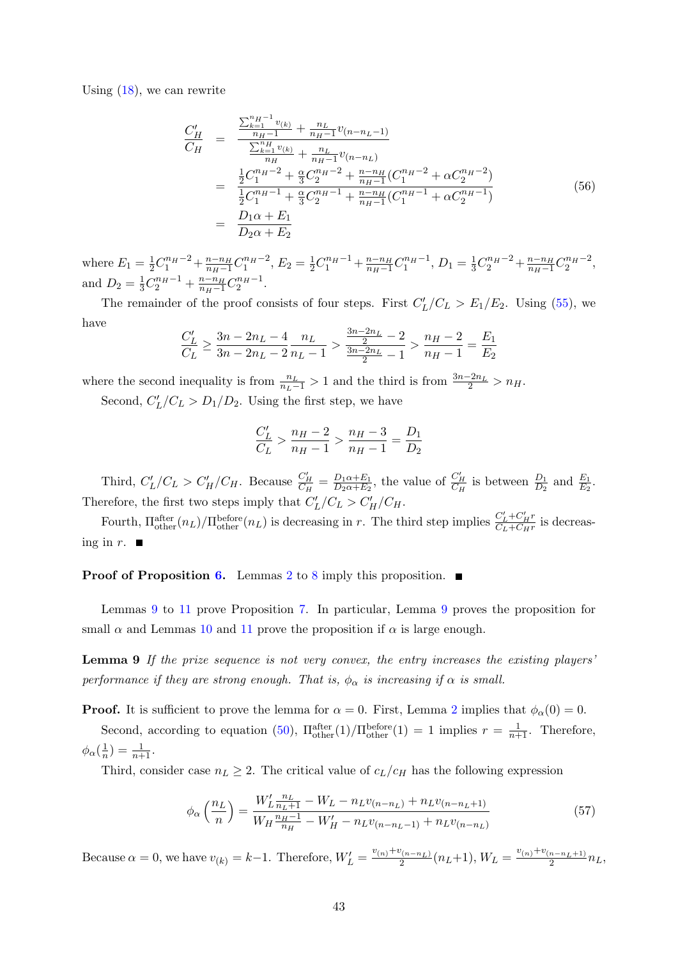Using  $(18)$ , we can rewrite

<span id="page-42-2"></span>
$$
\frac{C'_H}{C_H} = \frac{\frac{\sum_{k=1}^{n_H - 1} v_{(k)} + n_L}{n_H - 1} v_{(n - n_L - 1)}}{\frac{\sum_{k=1}^{n_H} v_{(k)} + n_L}{n_H - 1} v_{(n - n_L)}}
$$
\n
$$
= \frac{\frac{1}{2} C_1^{n_H - 2} + \frac{\alpha}{3} C_2^{n_H - 2} + \frac{n - n_H}{n_H - 1} (C_1^{n_H - 2} + \alpha C_2^{n_H - 2})}{\frac{1}{2} C_1^{n_H - 1} + \frac{\alpha}{3} C_2^{n_H - 1} + \frac{n - n_H}{n_H - 1} (C_1^{n_H - 1} + \alpha C_2^{n_H - 1})}
$$
\n
$$
= \frac{D_1 \alpha + E_1}{D_2 \alpha + E_2}
$$
\n(56)

where  $E_1 = \frac{1}{2}C_1^{n_H-2} + \frac{n-n_H}{n_H-1}C_1^{n_H-2}$ ,  $E_2 = \frac{1}{2}C_1^{n_H-1} + \frac{n-n_H}{n_H-1}C_1^{n_H-1}$ ,  $D_1 = \frac{1}{3}C_2^{n_H-2} + \frac{n-n_H}{n_H-1}C_2^{n_H-2}$ , and  $D_2 = \frac{1}{3}C_2^{n_H-1} + \frac{n-n_H}{n_H-1}C_2^{n_H-1}$ .

The remainder of the proof consists of four steps. First  $C_L'/C_L > E_1/E_2$ . Using [\(55\)](#page-41-1), we have

$$
\frac{C'_L}{C_L} \ge \frac{3n - 2n_L - 4}{3n - 2n_L - 2} \frac{n_L}{n_L - 1} > \frac{\frac{3n - 2n_L}{2} - 2}{\frac{3n - 2n_L}{2} - 1} > \frac{n_H - 2}{n_H - 1} = \frac{E_1}{E_2}
$$

where the second inequality is from  $\frac{n_L}{n_L-1} > 1$  and the third is from  $\frac{3n-2n_L}{2} > n_H$ .

Second,  $C_L'/C_L > D_1/D_2$ . Using the first step, we have

<span id="page-42-0"></span>
$$
\frac{C'_L}{C_L} > \frac{n_H - 2}{n_H - 1} > \frac{n_H - 3}{n_H - 1} = \frac{D_1}{D_2}
$$

Third,  $C'_L/C_L > C'_H/C_H$ . Because  $\frac{C'_H}{C_H} = \frac{D_1\alpha + E_1}{D_2\alpha + E_2}$  $\frac{D_1\alpha+E_1}{D_2\alpha+E_2}$ , the value of  $\frac{C'_H}{C_H}$  is between  $\frac{D_1}{D_2}$  and  $\frac{E_1}{E_2}$ . Therefore, the first two steps imply that  $C_L'/C_L > C_H'/C_H$ .

Fourth,  $\Pi_{\text{other}}^{\text{after}}(n_L)/\Pi_{\text{other}}^{\text{before}}(n_L)$  is decreasing in r. The third step implies  $\frac{C'_L+C'_H r}{C_L+C_H r}$  $\frac{C_L + C_H r}{C_L + C_H r}$  is decreasing in  $r$ .

**Proof of Proposition [6.](#page-14-1)** Lemmas [2](#page-36-0) to [8](#page-40-0) imply this proposition.  $\blacksquare$ 

Lemmas [9](#page-42-0) to [11](#page-44-0) prove Proposition [7.](#page-15-1) In particular, Lemma [9](#page-42-0) proves the proposition for small  $\alpha$  and Lemmas [10](#page-43-0) and [11](#page-44-0) prove the proposition if  $\alpha$  is large enough.

Lemma 9 If the prize sequence is not very convex, the entry increases the existing players' performance if they are strong enough. That is,  $\phi_{\alpha}$  is increasing if  $\alpha$  is small.

**Proof.** It is sufficient to prove the lemma for  $\alpha = 0$ . First, Lemma [2](#page-36-0) implies that  $\phi_{\alpha}(0) = 0$ .

Second, according to equation [\(50\)](#page-38-3),  $\Pi_{\text{other}}^{\text{after}}(1)/\Pi_{\text{other}}^{\text{before}}(1) = 1$  implies  $r = \frac{1}{n+1}$ . Therefore,  $\phi_\alpha(\frac{1}{n}$  $(\frac{1}{n}) = \frac{1}{n+1}.$ 

Third, consider case  $n_L \geq 2$ . The critical value of  $c_L/c_H$  has the following expression

<span id="page-42-1"></span>
$$
\phi_{\alpha}\left(\frac{n_L}{n}\right) = \frac{W_L' \frac{n_L}{n_L + 1} - W_L - n_L v_{(n - n_L)} + n_L v_{(n - n_L + 1)}}{W_H \frac{n_H - 1}{n_H} - W_H' - n_L v_{(n - n_L - 1)} + n_L v_{(n - n_L)}}\tag{57}
$$

Because  $\alpha = 0$ , we have  $v_{(k)} = k-1$ . Therefore,  $W'_{L} = \frac{v_{(n)} + v_{(n-n_{L})}}{2} (n_{L}+1)$ ,  $W_{L} = \frac{v_{(n)} + v_{(n-n_{L}+1)}}{2} n_{L}$ ,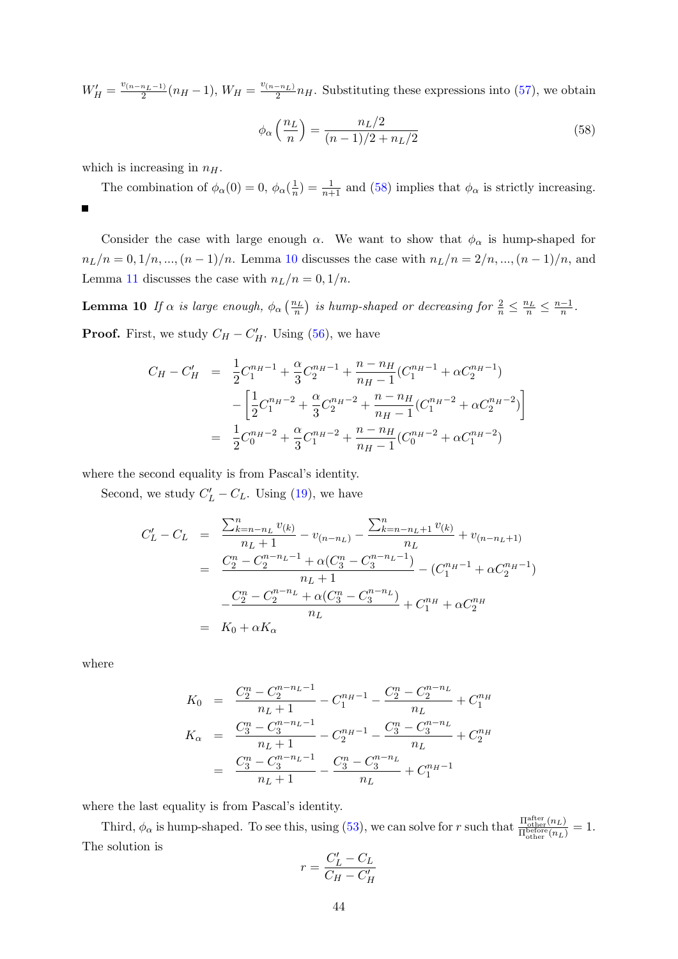$W'_H = \frac{v_{(n-n_L-1)}}{2}(n_H-1), W_H = \frac{v_{(n-n_L)}}{2}n_H$ . Substituting these expressions into [\(57\)](#page-42-1), we obtain

<span id="page-43-1"></span><span id="page-43-0"></span>
$$
\phi_{\alpha}\left(\frac{n_L}{n}\right) = \frac{n_L/2}{(n-1)/2 + n_L/2} \tag{58}
$$

which is increasing in  $n<sub>H</sub>$ .

The combination of  $\phi_{\alpha}(0) = 0, \phi_{\alpha}(\frac{1}{n})$  $\frac{1}{n}$ ) =  $\frac{1}{n+1}$  and [\(58\)](#page-43-1) implies that  $\phi_{\alpha}$  is strictly increasing.  $\blacksquare$ 

Consider the case with large enough  $\alpha$ . We want to show that  $\phi_{\alpha}$  is hump-shaped for  $n_L/n = 0, 1/n, ..., (n - 1)/n$ . Lemma [10](#page-43-0) discusses the case with  $n_L/n = 2/n, ..., (n - 1)/n$ , and Lemma [11](#page-44-0) discusses the case with  $n_L/n = 0, 1/n$ .

**Lemma 10** If  $\alpha$  is large enough,  $\phi_{\alpha}(\frac{n_L}{n})$  is hump-shaped or decreasing for  $\frac{2}{n} \leq \frac{n_L}{n} \leq \frac{n-1}{n}$  $\frac{-1}{n}$ . **Proof.** First, we study  $C_H - C_H'$ . Using [\(56\)](#page-42-2), we have

$$
C_H - C'_H = \frac{1}{2}C_1^{n_H - 1} + \frac{\alpha}{3}C_2^{n_H - 1} + \frac{n - n_H}{n_H - 1}(C_1^{n_H - 1} + \alpha C_2^{n_H - 1})
$$

$$
- \left[\frac{1}{2}C_1^{n_H - 2} + \frac{\alpha}{3}C_2^{n_H - 2} + \frac{n - n_H}{n_H - 1}(C_1^{n_H - 2} + \alpha C_2^{n_H - 2})\right]
$$

$$
= \frac{1}{2}C_0^{n_H - 2} + \frac{\alpha}{3}C_1^{n_H - 2} + \frac{n - n_H}{n_H - 1}(C_0^{n_H - 2} + \alpha C_1^{n_H - 2})
$$

where the second equality is from Pascal's identity.

Second, we study  $C'_{L} - C_{L}$ . Using [\(19\)](#page-24-3), we have

$$
C'_{L} - C_{L} = \frac{\sum_{k=n-n_{L}}^{n} v_{(k)}}{n_{L} + 1} - v_{(n-n_{L})} - \frac{\sum_{k=n-n_{L}+1}^{n} v_{(k)}}{n_{L}} + v_{(n-n_{L}+1)}
$$
  
= 
$$
\frac{C_{2}^{n} - C_{2}^{n-n_{L}-1} + \alpha (C_{3}^{n} - C_{3}^{n-n_{L}-1})}{n_{L} + 1} - (C_{1}^{n_{H}-1} + \alpha C_{2}^{n_{H}-1})
$$
  
= 
$$
\frac{C_{2}^{n} - C_{2}^{n-n_{L}} + \alpha (C_{3}^{n} - C_{3}^{n-n_{L})}{n_{L}} + C_{1}^{n_{H}} + \alpha C_{2}^{n_{H}}
$$
  
= 
$$
K_{0} + \alpha K_{\alpha}
$$

where

$$
K_0 = \frac{C_2^n - C_2^{n-n_L-1}}{n_L + 1} - C_1^{n_H-1} - \frac{C_2^n - C_2^{n-n_L}}{n_L} + C_1^{n_H}
$$
  
\n
$$
K_{\alpha} = \frac{C_3^n - C_3^{n-n_L-1}}{n_L + 1} - C_2^{n_H-1} - \frac{C_3^n - C_3^{n-n_L}}{n_L} + C_2^{n_H}
$$
  
\n
$$
= \frac{C_3^n - C_3^{n-n_L-1}}{n_L + 1} - \frac{C_3^n - C_3^{n-n_L}}{n_L} + C_1^{n_H-1}
$$

where the last equality is from Pascal's identity.

Third,  $\phi_{\alpha}$  is hump-shaped. To see this, using [\(53\)](#page-40-1), we can solve for r such that  $\frac{\Pi_{\text{other}}^{\text{after}}(n_L)}{\Pi_{\text{before}}(n_L)}$  $\frac{\Pi_{\text{other}}(n_L)}{\Pi_{\text{other}}^{\text{before}}(n_L)} = 1.$ The solution is

$$
r = \frac{C_L' - C_L}{C_H - C_H'}
$$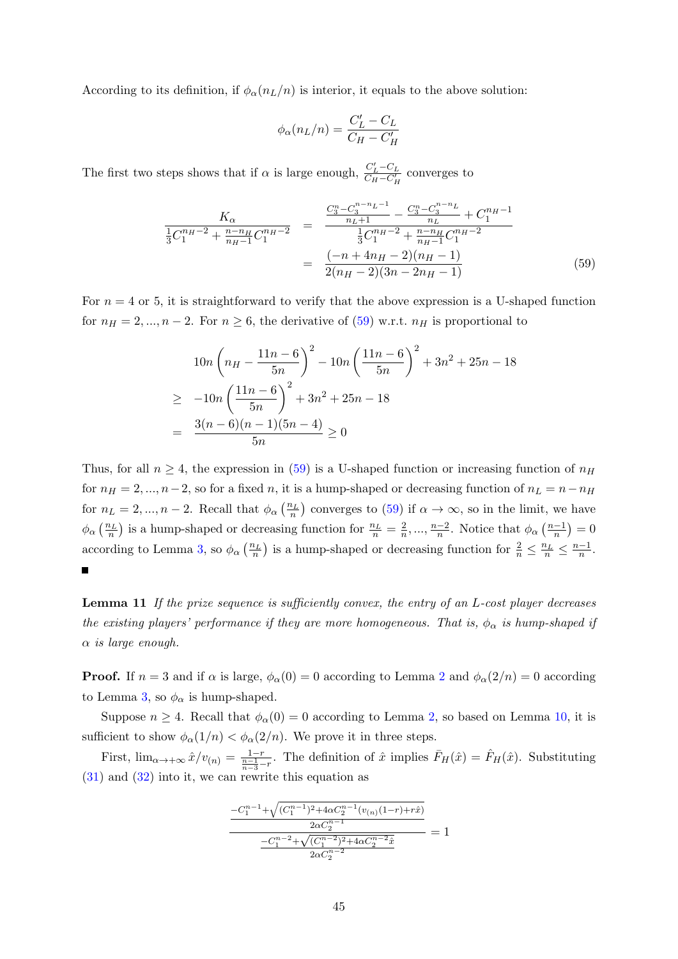According to its definition, if  $\phi_{\alpha}(n_L/n)$  is interior, it equals to the above solution:

$$
\phi_{\alpha}(n_L/n) = \frac{C'_L - C_L}{C_H - C'_H}
$$

The first two steps shows that if  $\alpha$  is large enough,  $\frac{C_L'-C_L}{C_M-C_M'}$  $\frac{C_L - C_L}{C_H - C_H'}$  converges to

<span id="page-44-1"></span>
$$
\frac{K_{\alpha}}{\frac{1}{3}C_{1}^{n_{H}-2} + \frac{n-n_{H}}{n_{H}-1}C_{1}^{n_{H}-2}} = \frac{\frac{C_{3}^{n} - C_{3}^{n-n_{L}-1}}{n_{L}+1} - \frac{C_{3}^{n} - C_{3}^{n-n_{L}}}{n_{L}} + C_{1}^{n_{H}-1}}{\frac{1}{3}C_{1}^{n_{H}-2} + \frac{n-n_{H}}{n_{H}-1}C_{1}^{n_{H}-2}} = \frac{(-n + 4n_{H} - 2)(n_{H} - 1)}{2(n_{H} - 2)(3n - 2n_{H} - 1)}
$$
(59)

For  $n = 4$  or 5, it is straightforward to verify that the above expression is a U-shaped function for  $n_H = 2, ..., n-2$ . For  $n \ge 6$ , the derivative of  $(59)$  w.r.t.  $n_H$  is proportional to

$$
10n\left(n_H - \frac{11n - 6}{5n}\right)^2 - 10n\left(\frac{11n - 6}{5n}\right)^2 + 3n^2 + 25n - 18
$$
  
\n
$$
\geq -10n\left(\frac{11n - 6}{5n}\right)^2 + 3n^2 + 25n - 18
$$
  
\n
$$
= \frac{3(n - 6)(n - 1)(5n - 4)}{5n} \geq 0
$$

Thus, for all  $n \geq 4$ , the expression in [\(59\)](#page-44-1) is a U-shaped function or increasing function of  $n_H$ for  $n_H = 2, ..., n-2$ , so for a fixed n, it is a hump-shaped or decreasing function of  $n_L = n - n_H$ for  $n_L = 2, ..., n-2$ . Recall that  $\phi_\alpha\left(\frac{n_L}{n}\right)$  converges to [\(59\)](#page-44-1) if  $\alpha \to \infty$ , so in the limit, we have  $\phi_{\alpha}\left(\frac{n_L}{n}\right)$  is a hump-shaped or decreasing function for  $\frac{n_L}{n} = \frac{2}{n}$  $\frac{2}{n}, \ldots, \frac{n-2}{n}$  $\frac{n-2}{n}$ . Notice that  $\phi_{\alpha} \left( \frac{n-1}{n} \right)$  $\frac{-1}{n}$ ) = 0 according to Lemma [3,](#page-37-1) so  $\phi_{\alpha}\left(\frac{n_L}{n}\right)$  is a hump-shaped or decreasing function for  $\frac{2}{n} \leq \frac{n_L}{n} \leq \frac{n-1}{n}$  $\frac{-1}{n}$ . г

<span id="page-44-0"></span>Lemma 11 If the prize sequence is sufficiently convex, the entry of an L-cost player decreases the existing players' performance if they are more homogeneous. That is,  $\phi_{\alpha}$  is hump-shaped if  $\alpha$  is large enough.

**Proof.** If  $n = 3$  and if  $\alpha$  is large,  $\phi_{\alpha}(0) = 0$  according to Lemma [2](#page-36-0) and  $\phi_{\alpha}(2/n) = 0$  according to Lemma [3,](#page-37-1) so  $\phi_{\alpha}$  is hump-shaped.

Suppose  $n \geq 4$ . Recall that  $\phi_{\alpha}(0) = 0$  according to Lemma [2,](#page-36-0) so based on Lemma [10,](#page-43-0) it is sufficient to show  $\phi_{\alpha}(1/n) < \phi_{\alpha}(2/n)$ . We prove it in three steps.

First,  $\lim_{\alpha \to +\infty} \hat{x}/v_{(n)} = \frac{1-r}{\frac{n-1}{n-3}-r}$ . The definition of  $\hat{x}$  implies  $\bar{F}_H(\hat{x}) = \hat{F}_H(\hat{x})$ . Substituting [\(31\)](#page-30-1) and [\(32\)](#page-30-1) into it, we can rewrite this equation as

$$
\frac{-C_1^{n-1} + \sqrt{(C_1^{n-1})^2 + 4\alpha C_2^{n-1}(v_{(n)}(1-r) + r\hat{x})}}{2\alpha C_2^{n-1}}
$$

$$
\frac{-C_1^{n-2} + \sqrt{(C_1^{n-2})^2 + 4\alpha C_2^{n-2}\hat{x}}}{2\alpha C_2^{n-2}}
$$

$$
= 1
$$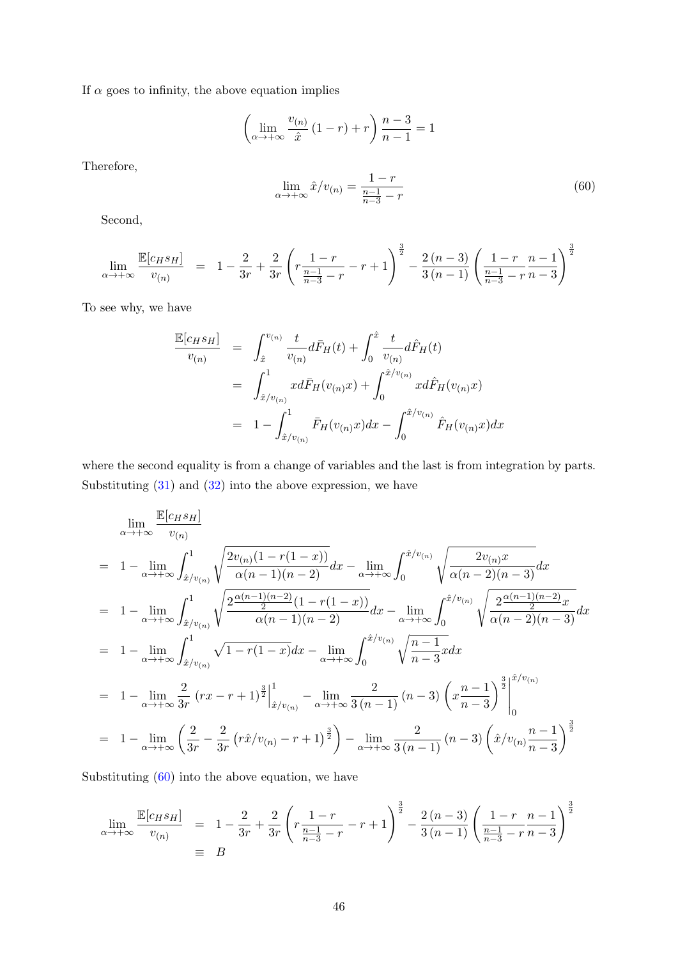If  $\alpha$  goes to infinity, the above equation implies

$$
\left(\lim_{\alpha \to +\infty} \frac{v_{(n)}}{\hat{x}} (1-r) + r\right) \frac{n-3}{n-1} = 1
$$

Therefore,

<span id="page-45-0"></span>
$$
\lim_{\alpha \to +\infty} \hat{x}/v_{(n)} = \frac{1-r}{\frac{n-1}{n-3} - r}
$$
\n(60)

Second,

$$
\lim_{\alpha \to +\infty} \frac{\mathbb{E}[c_H s_H]}{v_{(n)}} = 1 - \frac{2}{3r} + \frac{2}{3r} \left( r \frac{1-r}{\frac{n-1}{n-3} - r} - r + 1 \right)^{\frac{3}{2}} - \frac{2(n-3)}{3(n-1)} \left( \frac{1-r}{\frac{n-1}{n-3} - r} \frac{n-1}{n-3} \right)^{\frac{3}{2}}
$$

To see why, we have

$$
\frac{\mathbb{E}[c_H s_H]}{v_{(n)}} = \int_{\hat{x}}^{v_{(n)}} \frac{t}{v_{(n)}} d\bar{F}_H(t) + \int_0^{\hat{x}} \frac{t}{v_{(n)}} d\hat{F}_H(t)
$$
\n
$$
= \int_{\hat{x}/v_{(n)}}^1 x d\bar{F}_H(v_{(n)}x) + \int_0^{\hat{x}/v_{(n)}} x d\hat{F}_H(v_{(n)}x)
$$
\n
$$
= 1 - \int_{\hat{x}/v_{(n)}}^1 \bar{F}_H(v_{(n)}x) dx - \int_0^{\hat{x}/v_{(n)}} \hat{F}_H(v_{(n)}x) dx
$$

where the second equality is from a change of variables and the last is from integration by parts. Substituting [\(31\)](#page-30-1) and [\(32\)](#page-30-1) into the above expression, we have

$$
\lim_{\alpha \to +\infty} \frac{\mathbb{E}[c_{H}s_{H}]}{v_{(n)}}
$$
\n
$$
= 1 - \lim_{\alpha \to +\infty} \int_{\hat{x}/v_{(n)}}^{1} \sqrt{\frac{2v_{(n)}(1 - r(1 - x))}{\alpha(n - 1)(n - 2)}} dx - \lim_{\alpha \to +\infty} \int_{0}^{\hat{x}/v_{(n)}} \sqrt{\frac{2v_{(n)}x}{\alpha(n - 2)(n - 3)}} dx
$$
\n
$$
= 1 - \lim_{\alpha \to +\infty} \int_{\hat{x}/v_{(n)}}^{1} \sqrt{\frac{2\frac{\alpha(n - 1)(n - 2)}{2}(1 - r(1 - x))}{\alpha(n - 1)(n - 2)}} dx - \lim_{\alpha \to +\infty} \int_{0}^{\hat{x}/v_{(n)}} \sqrt{\frac{2\frac{\alpha(n - 1)(n - 2)}{2}x}{\alpha(n - 2)(n - 3)}} dx
$$
\n
$$
= 1 - \lim_{\alpha \to +\infty} \int_{\hat{x}/v_{(n)}}^{1} \sqrt{1 - r(1 - x)} dx - \lim_{\alpha \to +\infty} \int_{0}^{\hat{x}/v_{(n)}} \sqrt{\frac{n - 1}{n - 3}} x dx
$$
\n
$$
= 1 - \lim_{\alpha \to +\infty} \frac{2}{3r} (rx - r + 1)^{\frac{3}{2}} \Big|_{\hat{x}/v_{(n)}}^{1} - \lim_{\alpha \to +\infty} \frac{2}{3(n - 1)} (n - 3) \left( x \frac{n - 1}{n - 3} \right)^{\frac{3}{2}} \Big|_{0}^{\hat{x}/v_{(n)}}
$$
\n
$$
= 1 - \lim_{\alpha \to +\infty} \left( \frac{2}{3r} - \frac{2}{3r} (r\hat{x}/v_{(n)} - r + 1)^{\frac{3}{2}} \right) - \lim_{\alpha \to +\infty} \frac{2}{3(n - 1)} (n - 3) \left( \hat{x}/v_{(n)} \frac{n - 1}{n - 3} \right)^{\frac{3}{2}}
$$

Substituting [\(60\)](#page-45-0) into the above equation, we have

$$
\lim_{\alpha \to +\infty} \frac{\mathbb{E}[c_H s_H]}{v_{(n)}} = 1 - \frac{2}{3r} + \frac{2}{3r} \left( r \frac{1-r}{\frac{n-1}{n-3} - r} - r + 1 \right)^{\frac{3}{2}} - \frac{2(n-3)}{3(n-1)} \left( \frac{1-r}{\frac{n-1}{n-3} - r} \frac{n-1}{n-3} \right)^{\frac{3}{2}}
$$
\n
$$
\equiv B
$$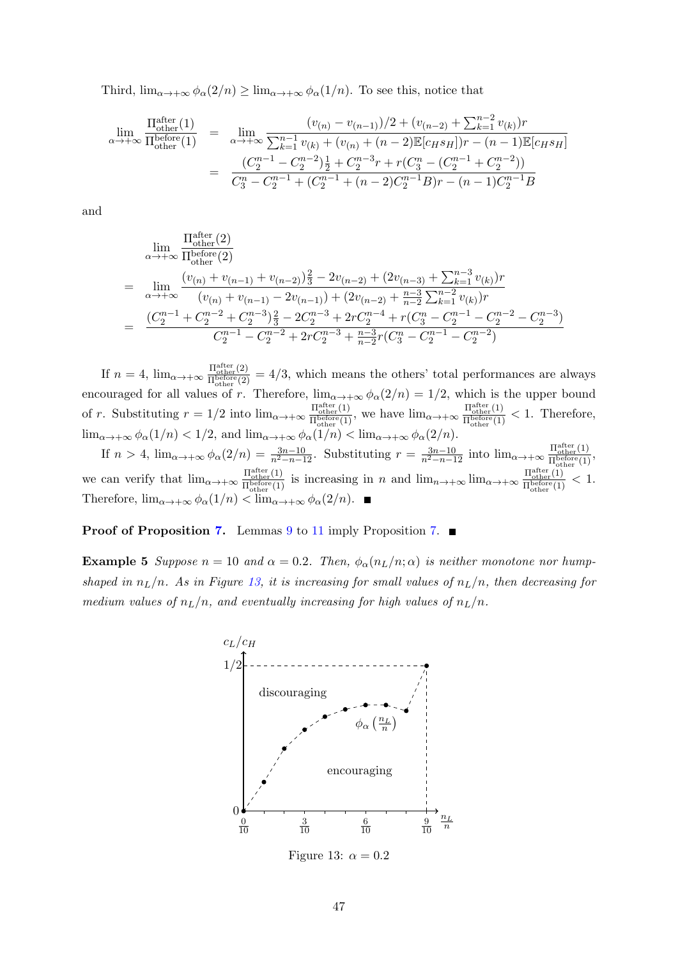Third,  $\lim_{\alpha \to +\infty} \phi_{\alpha}(2/n) \ge \lim_{\alpha \to +\infty} \phi_{\alpha}(1/n)$ . To see this, notice that

$$
\lim_{\alpha \to +\infty} \frac{\Pi_{\text{other}}^{\text{after}}(1)}{\Pi_{\text{other}}^{\text{before}}(1)} = \lim_{\alpha \to +\infty} \frac{(v_{(n)} - v_{(n-1)})/2 + (v_{(n-2)} + \sum_{k=1}^{n-2} v_{(k)})r}{\sum_{k=1}^{n-1} v_{(k)} + (v_{(n)} + (n-2)\mathbb{E}[c_H s_H])r - (n-1)\mathbb{E}[c_H s_H]} \n= \frac{(C_2^{n-1} - C_2^{n-2})\frac{1}{2} + C_2^{n-3}r + r(C_3^n - (C_2^{n-1} + C_2^{n-2}))}{C_3^n - C_2^{n-1} + (C_2^{n-1} + (n-2)C_2^{n-1}B)r - (n-1)C_2^{n-1}B}
$$

and

$$
\lim_{\alpha \to +\infty} \frac{\Pi_{\text{other}}^{\text{after}}(2)}{\Pi_{\text{other}}^{\text{other}}(2)}
$$
\n
$$
= \lim_{\alpha \to +\infty} \frac{(v_{(n)} + v_{(n-1)} + v_{(n-2)})\frac{2}{3} - 2v_{(n-2)} + (2v_{(n-3)} + \sum_{k=1}^{n-3} v_{(k)})r}{(v_{(n)} + v_{(n-1)} - 2v_{(n-1)}) + (2v_{(n-2)} + \frac{n-3}{n-2}\sum_{k=1}^{n-2} v_{(k)})r}
$$
\n
$$
= \frac{(C_2^{n-1} + C_2^{n-2} + C_2^{n-3})\frac{2}{3} - 2C_2^{n-3} + 2rC_2^{n-4} + r(C_3^n - C_2^{n-1} - C_2^{n-2} - C_2^{n-3})}{C_2^{n-1} - C_2^{n-2} + 2rC_2^{n-3} + \frac{n-3}{n-2}r(C_3^n - C_2^{n-1} - C_2^{n-2})}
$$

If  $n = 4$ ,  $\lim_{\alpha \to +\infty} \frac{\Pi_{\text{other}}^{\text{after}}(2)}{\Pi^{\text{before}}(2)}$  $\frac{H_{\text{other}}(2)}{H_{\text{other}}^{\text{before}}(2)} = 4/3$ , which means the others' total performances are always encouraged for all values of r. Therefore,  $\lim_{\alpha \to +\infty} \phi_{\alpha}(2/n) = 1/2$ , which is the upper bound of r. Substituting  $r = 1/2$  into  $\lim_{\alpha \to +\infty} \frac{\Pi_{\text{other}}^{\text{after}}(1)}{\Pi_{\text{before}}^{\text{other}}(1)}$  $\frac{\Pi_{\text{other}}^{\text{after}}(1)}{\Pi_{\text{other}}^{\text{before}}(1)}$ , we have  $\lim_{\alpha \to +\infty} \frac{\Pi_{\text{other}}^{\text{after}}(1)}{\Pi_{\text{other}}^{\text{before}}(1)}$  $\frac{\Pi_{\text{other}}(1)}{\Pi_{\text{other}}^{\text{before}}(1)} < 1.$  Therefore,  $\lim_{\alpha \to +\infty} \phi_{\alpha}(1/n) < 1/2$ , and  $\lim_{\alpha \to +\infty} \phi_{\alpha}(1/n) < \lim_{\alpha \to +\infty} \phi_{\alpha}(2/n)$ .

If  $n > 4$ ,  $\lim_{\alpha \to +\infty} \phi_{\alpha}(2/n) = \frac{3n-10}{n^2-n-12}$ . Substituting  $r = \frac{3n-10}{n^2-n-12}$  into  $\lim_{\alpha \to +\infty} \frac{\Pi_{\text{other}}^{\text{after}}(1)}{\Pi_{\text{before}}^{\text{before}}(1)}$  $\frac{\Pi_{\text{other}}(1)}{\Pi_{\text{other}}^{\text{before}}(1)},$ we can verify that  $\lim_{\alpha \to +\infty} \frac{\Pi_{\text{other}}^{\text{after}}(1)}{\Pi_{\text{before}(1)}}$  $\frac{\Pi_{\text{other}}^{\text{after}}(1)}{\Pi_{\text{other}}^{\text{before}}(1)}$  is increasing in n and  $\lim_{n\to+\infty}\lim_{\alpha\to+\infty}\frac{\Pi_{\text{other}}^{\text{after}}(1)}{\Pi_{\text{other}}^{\text{before}}(1)}$  $\frac{\Pi_{\text{other}}(1)}{\Pi_{\text{other}}^{\text{before}}(1)} < 1.$ Therefore,  $\lim_{\alpha \to +\infty} \phi_{\alpha}(1/n) < \lim_{\alpha \to +\infty} \phi_{\alpha}(2/n)$ .

### <span id="page-46-0"></span>**Proof of Proposition [7.](#page-15-1)** Lemmas [9](#page-42-0) to [11](#page-44-0) imply Proposition 7.  $\blacksquare$

<span id="page-46-1"></span>**Example 5** Suppose  $n = 10$  and  $\alpha = 0.2$ . Then,  $\phi_{\alpha}(n_L/n; \alpha)$  is neither monotone nor humpshaped in  $n_L/n$ . As in Figure [13,](#page-46-1) it is increasing for small values of  $n_L/n$ , then decreasing for medium values of  $n_L/n$ , and eventually increasing for high values of  $n_L/n$ .



Figure 13:  $\alpha = 0.2$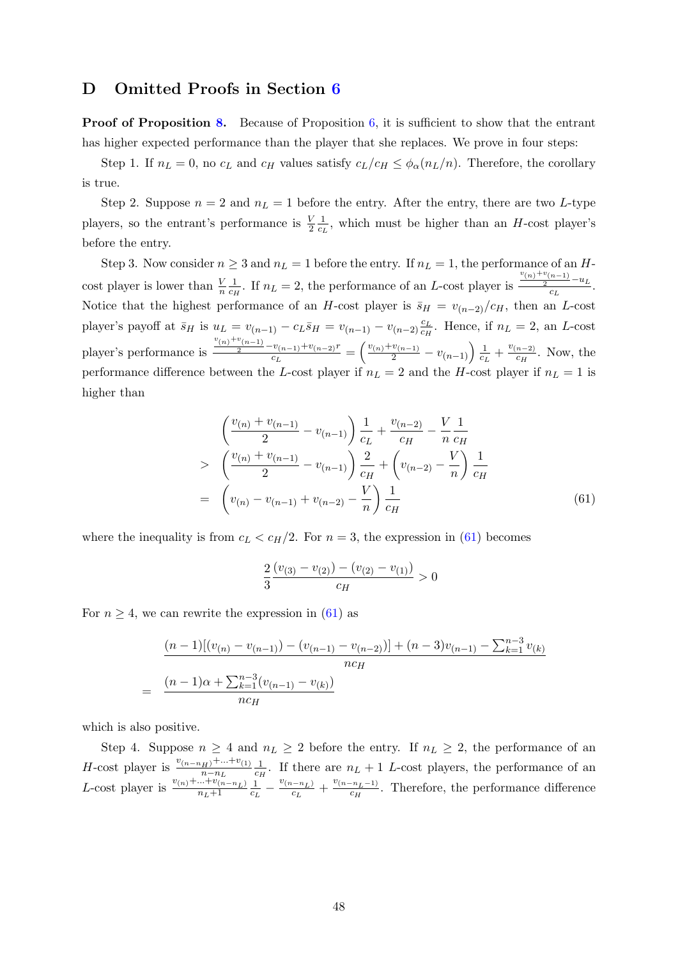## D Omitted Proofs in Section [6](#page-17-0)

**Proof of Proposition [8.](#page-17-2)** Because of Proposition  $6$ , it is sufficient to show that the entrant has higher expected performance than the player that she replaces. We prove in four steps:

Step 1. If  $n_L = 0$ , no  $c_L$  and  $c_H$  values satisfy  $c_L/c_H \leq \phi_\alpha(n_L/n)$ . Therefore, the corollary is true.

Step 2. Suppose  $n = 2$  and  $n_L = 1$  before the entry. After the entry, there are two L-type players, so the entrant's performance is  $\frac{V}{2}$ 1  $\frac{1}{c_L}$ , which must be higher than an H-cost player's before the entry.

Step 3. Now consider  $n \geq 3$  and  $n_L = 1$  before the entry. If  $n_L = 1$ , the performance of an Hcost player is lower than  $\frac{V}{n}$ 1  $\frac{1}{c_H}$ . If  $n_L = 2$ , the performance of an L-cost player is  $\frac{v_{(n)}+v_{(n-1)}}{2}-u_L$  $\frac{1}{c_L}$ . Notice that the highest performance of an H-cost player is  $\bar{s}_H = v_{(n-2)}/c_H$ , then an L-cost player's payoff at  $\bar{s}_H$  is  $u_L = v_{(n-1)} - c_L \bar{s}_H = v_{(n-1)} - v_{(n-2)} \frac{c_L}{c_H}$  $\frac{c_L}{c_H}$ . Hence, if  $n_L = 2$ , an L-cost player's performance is  $\frac{v(n)^{+v(n-1)}}{2} - v(n-1)^{+v(n-2)}$  $\frac{v_{(n-1)}+v_{(n-2)}r}{c_L}=\left(\frac{v_{(n)}+v_{(n-1)}}{2}-v_{(n-1)}\right)\frac{1}{c_L}$  $\frac{1}{c_L} + \frac{v_{(n-2)}}{c_H}$  $\frac{n-2}{c_H}$ . Now, the performance difference between the L-cost player if  $n_L = 2$  and the H-cost player if  $n_L = 1$  is higher than

<span id="page-47-0"></span>
$$
\begin{aligned}\n&\left(\frac{v_{(n)} + v_{(n-1)}}{2} - v_{(n-1)}\right) \frac{1}{c_L} + \frac{v_{(n-2)}}{c_H} - \frac{V}{n} \frac{1}{c_H} \\
&\geq \left(\frac{v_{(n)} + v_{(n-1)}}{2} - v_{(n-1)}\right) \frac{2}{c_H} + \left(v_{(n-2)} - \frac{V}{n}\right) \frac{1}{c_H} \\
&= \left(v_{(n)} - v_{(n-1)} + v_{(n-2)} - \frac{V}{n}\right) \frac{1}{c_H}\n\end{aligned} \tag{61}
$$

where the inequality is from  $c_L < c_H/2$ . For  $n = 3$ , the expression in [\(61\)](#page-47-0) becomes

<span id="page-47-1"></span>
$$
\frac{2}{3}\frac{(v_{(3)} - v_{(2)}) - (v_{(2)} - v_{(1)})}{c_H} > 0
$$

For  $n \geq 4$ , we can rewrite the expression in [\(61\)](#page-47-0) as

$$
\frac{(n-1)[(v_{(n)} - v_{(n-1)}) - (v_{(n-1)} - v_{(n-2)})] + (n-3)v_{(n-1)} - \sum_{k=1}^{n-3} v_{(k)}}{nc_H}
$$
\n
$$
= \frac{(n-1)\alpha + \sum_{k=1}^{n-3} (v_{(n-1)} - v_{(k)})}{nc_H}
$$

which is also positive.

Step 4. Suppose  $n \geq 4$  and  $n_L \geq 2$  before the entry. If  $n_L \geq 2$ , the performance of an *H*-cost player is  $\frac{v_{(n-n_H)} + ... + v_{(1)}}{n-n_L} \frac{1}{c_H}$  $\frac{1}{c_H}$ . If there are  $n_L + 1$  L-cost players, the performance of an L-cost player is  $\frac{v_{(n)} + ... + v_{(n-n_L)}}{n_L+1}$ 1  $\frac{1}{c_L} - \frac{v_{(n-n_L)}}{c_L}$  $\frac{(c_{L}-n_{L})}{c_{L}}+\frac{v_{(n-n_{L}-1)}}{c_{H}}$  $\frac{c_{H} - n_{L} - 1}{c_{H}}$ . Therefore, the performance difference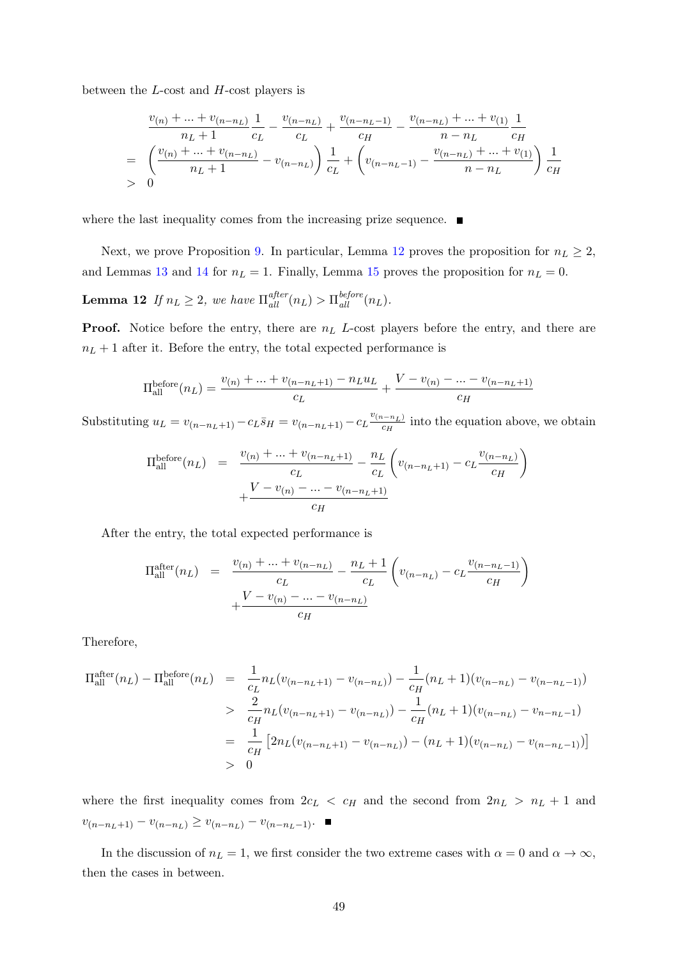between the L-cost and H-cost players is

$$
\frac{v_{(n)} + \dots + v_{(n-n_L)}}{n_L + 1} \frac{1}{c_L} - \frac{v_{(n-n_L)}}{c_L} + \frac{v_{(n-n_L-1)}}{c_H} - \frac{v_{(n-n_L)} + \dots + v_{(1)}}{n - n_L} \frac{1}{c_H}
$$
\n
$$
= \left(\frac{v_{(n)} + \dots + v_{(n-n_L)}}{n_L + 1} - v_{(n-n_L)}\right) \frac{1}{c_L} + \left(v_{(n-n_L-1)} - \frac{v_{(n-n_L)} + \dots + v_{(1)}}{n - n_L}\right) \frac{1}{c_H}
$$
\n
$$
> 0
$$

where the last inequality comes from the increasing prize sequence.  $\blacksquare$ 

Next, we prove Proposition [9.](#page-18-1) In particular, Lemma [12](#page-48-0) proves the proposition for  $n_L \geq 2$ , and Lemmas [13](#page-48-1) and [14](#page-51-0) for  $n_L = 1$ . Finally, Lemma [15](#page-51-1) proves the proposition for  $n_L = 0$ .

**Lemma 12** If  $n_L \geq 2$ , we have  $\Pi_{all}^{after}(n_L) > \Pi_{all}^{before}(n_L)$ .

**Proof.** Notice before the entry, there are  $n<sub>L</sub>$  L-cost players before the entry, and there are  $n_L + 1$  after it. Before the entry, the total expected performance is

<span id="page-48-0"></span>
$$
\Pi_{\text{all}}^{\text{before}}(n_L) = \frac{v_{(n)} + \dots + v_{(n-n_L+1)} - n_L u_L}{c_L} + \frac{V - v_{(n)} - \dots - v_{(n-n_L+1)}}{c_H}
$$

Substituting  $u_L = v_{(n-n_L+1)} - c_L \bar{s}_H = v_{(n-n_L+1)} - c_L \frac{v_{(n-n_L)}}{c_H}$  $\frac{i-n_L}{c_H}$  into the equation above, we obtain

$$
\Pi_{\text{all}}^{\text{before}}(n_L) = \frac{v_{(n)} + \dots + v_{(n-n_L+1)}}{c_L} - \frac{n_L}{c_L} \left( v_{(n-n_L+1)} - c_L \frac{v_{(n-n_L)}}{c_H} \right) + \frac{V - v_{(n)} - \dots - v_{(n-n_L+1)}}{c_H}
$$

After the entry, the total expected performance is

$$
\Pi_{\text{all}}^{\text{after}}(n_L) = \frac{v_{(n)} + \dots + v_{(n-n_L)}}{c_L} - \frac{n_L + 1}{c_L} \left( v_{(n-n_L)} - c_L \frac{v_{(n-n_L-1)}}{c_H} \right) + \frac{V - v_{(n)} - \dots - v_{(n-n_L)}}{c_H}
$$

Therefore,

$$
\Pi_{\text{all}}^{\text{after}}(n_L) - \Pi_{\text{all}}^{\text{before}}(n_L) = \frac{1}{c_L} n_L (v_{(n-n_L+1)} - v_{(n-n_L)}) - \frac{1}{c_H} (n_L + 1)(v_{(n-n_L)} - v_{(n-n_L-1)})
$$
  
> 
$$
\frac{2}{c_H} n_L (v_{(n-n_L+1)} - v_{(n-n_L)}) - \frac{1}{c_H} (n_L + 1)(v_{(n-n_L)} - v_{n-n_L-1})
$$
  
= 
$$
\frac{1}{c_H} [2n_L (v_{(n-n_L+1)} - v_{(n-n_L)}) - (n_L + 1)(v_{(n-n_L)} - v_{(n-n_L-1)})]
$$
  
> 0

where the first inequality comes from  $2c_L < c_H$  and the second from  $2n_L > n_L + 1$  and  $v_{(n-n_L+1)} - v_{(n-n_L)} \ge v_{(n-n_L)} - v_{(n-n_L-1)}$ . ■

<span id="page-48-1"></span>In the discussion of  $n_L = 1$ , we first consider the two extreme cases with  $\alpha = 0$  and  $\alpha \to \infty$ , then the cases in between.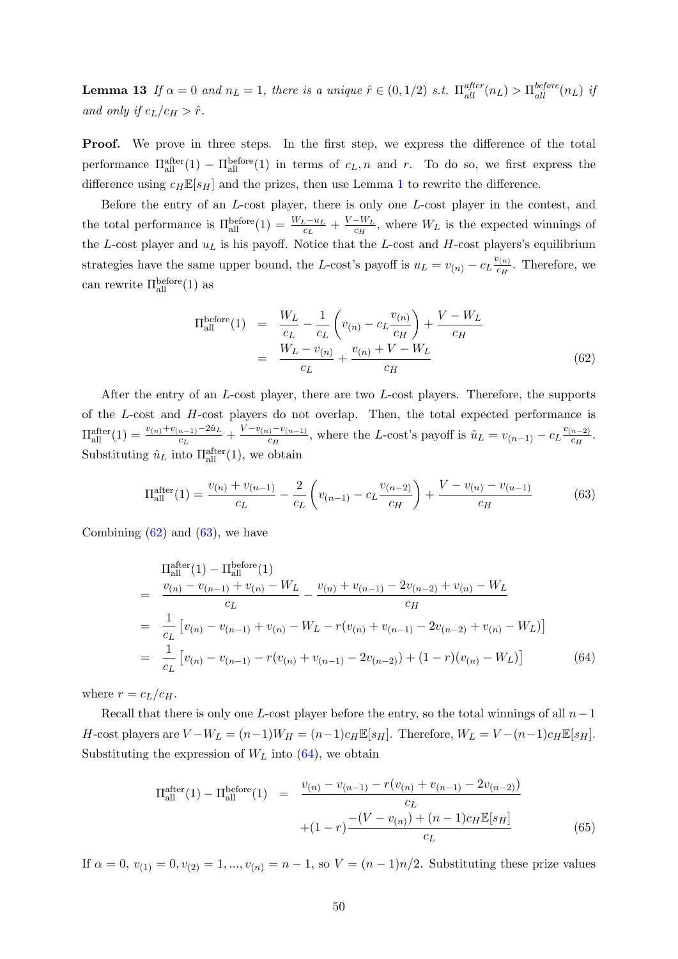**Lemma 13** If  $\alpha = 0$  and  $n_L = 1$ , there is a unique  $\hat{r} \in (0, 1/2)$  s.t.  $\Pi_{all}^{after}(n_L) > \Pi_{all}^{before}(n_L)$  if and only if  $c_L/c_H > \hat{r}$ .

Proof. We prove in three steps. In the first step, we express the difference of the total performance  $\Pi_{\text{all}}^{\text{after}}(1) - \Pi_{\text{all}}^{\text{before}}(1)$  in terms of  $c_L$ , n and r. To do so, we first express the difference using  $c_H \mathbb{E}[s_H]$  and the prizes, then use Lemma [1](#page-30-2) to rewrite the difference.

Before the entry of an L-cost player, there is only one L-cost player in the contest, and the total performance is  $\Pi_{\text{all}}^{\text{before}}(1) = \frac{W_L - u_L}{c_L} + \frac{V - W_L}{c_H}$  $\frac{-W_L}{c_H}$ , where  $W_L$  is the expected winnings of the L-cost player and  $u<sub>L</sub>$  is his payoff. Notice that the L-cost and H-cost players's equilibrium strategies have the same upper bound, the L-cost's payoff is  $u_L = v_{(n)} - c_L \frac{v_{(n)}}{c_H}$  $\frac{C(n)}{c_H}$ . Therefore, we can rewrite  $\Pi_{\text{all}}^{\text{before}}(1)$  as

$$
\Pi_{\text{all}}^{\text{before}}(1) = \frac{W_L}{c_L} - \frac{1}{c_L} \left( v_{(n)} - c_L \frac{v_{(n)}}{c_H} \right) + \frac{V - W_L}{c_H}
$$
\n
$$
= \frac{W_L - v_{(n)}}{c_L} + \frac{v_{(n)} + V - W_L}{c_H} \tag{62}
$$

After the entry of an L-cost player, there are two L-cost players. Therefore, the supports of the  $L$ -cost and  $H$ -cost players do not overlap. Then, the total expected performance is  $\Pi_{\text{all}}^{\text{after}}(1) = \frac{v_{(n)} + v_{(n-1)} - 2\hat{u}_L}{c_L} + \frac{V - v_{(n)} - v_{(n-1)}}{c_H}$  $\frac{c_H}{c_H}$ , where the L-cost's payoff is  $\hat{u}_L = v_{(n-1)} - c_L \frac{v_{(n-2)}}{c_H}$  $\frac{n-2)}{c_H}$ . Substituting  $\hat{u}_L$  into  $\Pi_{\text{all}}^{\text{after}}(1)$ , we obtain

<span id="page-49-0"></span>
$$
\Pi_{\text{all}}^{\text{after}}(1) = \frac{v_{(n)} + v_{(n-1)}}{c_L} - \frac{2}{c_L} \left( v_{(n-1)} - c_L \frac{v_{(n-2)}}{c_H} \right) + \frac{V - v_{(n)} - v_{(n-1)}}{c_H} \tag{63}
$$

Combining  $(62)$  and  $(63)$ , we have

<span id="page-49-1"></span>
$$
\Pi_{\text{all}}^{\text{after}}(1) - \Pi_{\text{all}}^{\text{before}}(1)
$$
\n
$$
= \frac{v_{(n)} - v_{(n-1)} + v_{(n)} - W_L}{c_L} - \frac{v_{(n)} + v_{(n-1)} - 2v_{(n-2)} + v_{(n)} - W_L}{c_H}
$$
\n
$$
= \frac{1}{c_L} \left[ v_{(n)} - v_{(n-1)} + v_{(n)} - W_L - r(v_{(n)} + v_{(n-1)} - 2v_{(n-2)} + v_{(n)} - W_L) \right]
$$
\n
$$
= \frac{1}{c_L} \left[ v_{(n)} - v_{(n-1)} - r(v_{(n)} + v_{(n-1)} - 2v_{(n-2)}) + (1 - r)(v_{(n)} - W_L) \right]
$$
\n(64)

where  $r = c_L/c_H$ .

Recall that there is only one L-cost player before the entry, so the total winnings of all  $n-1$ H-cost players are  $V - W_L = (n-1)W_H = (n-1)c_H \mathbb{E}[s_H]$ . Therefore,  $W_L = V - (n-1)c_H \mathbb{E}[s_H]$ . Substituting the expression of  $W_L$  into [\(64\)](#page-49-1), we obtain

<span id="page-49-2"></span>
$$
\Pi_{\text{all}}^{\text{after}}(1) - \Pi_{\text{all}}^{\text{before}}(1) = \frac{v_{(n)} - v_{(n-1)} - r(v_{(n)} + v_{(n-1)} - 2v_{(n-2)})}{c_L}
$$

$$
+ (1 - r) \frac{-(V - v_{(n)}) + (n - 1)c_H \mathbb{E}[s_H]}{c_L}
$$
(65)

If  $\alpha = 0, v_{(1)} = 0, v_{(2)} = 1, ..., v_{(n)} = n - 1$ , so  $V = (n - 1)n/2$ . Substituting these prize values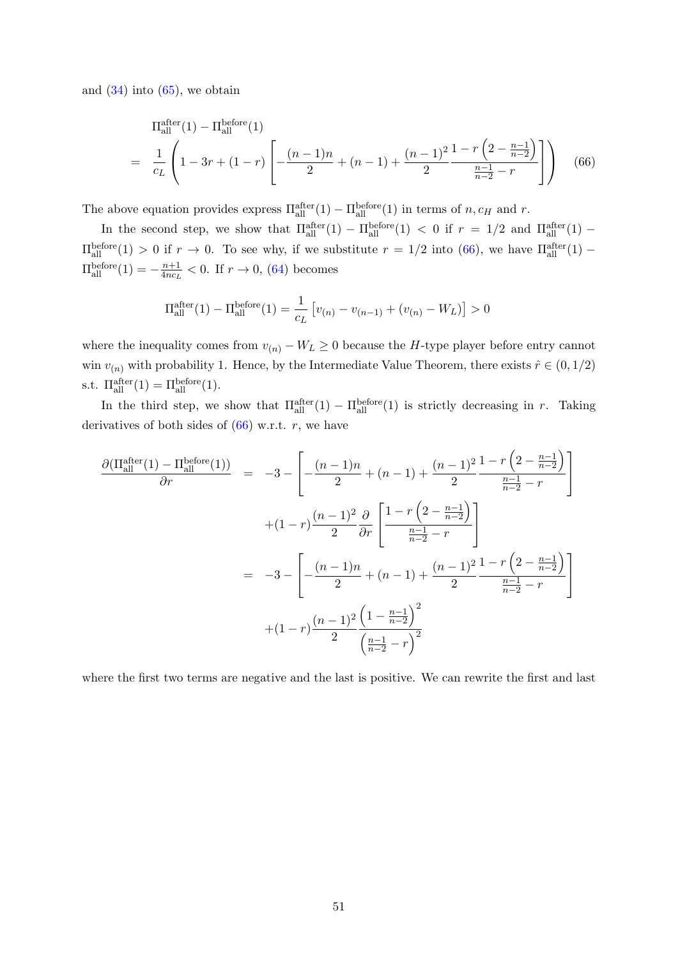and  $(34)$  into  $(65)$ , we obtain

<span id="page-50-0"></span>
$$
\Pi_{\text{all}}^{\text{after}}(1) - \Pi_{\text{all}}^{\text{before}}(1)
$$
\n
$$
= \frac{1}{c_L} \left( 1 - 3r + (1 - r) \left[ -\frac{(n - 1)n}{2} + (n - 1) + \frac{(n - 1)^2}{2} \frac{1 - r \left( 2 - \frac{n - 1}{n - 2} \right)}{\frac{n - 1}{n - 2} - r} \right] \right) \tag{66}
$$

The above equation provides express  $\Pi_{\text{all}}^{\text{after}}(1) - \Pi_{\text{all}}^{\text{before}}(1)$  in terms of  $n, c_H$  and  $r$ .

In the second step, we show that  $\Pi_{\text{all}}^{\text{after}}(1) - \Pi_{\text{all}}^{\text{before}}(1) < 0$  if  $r = 1/2$  and  $\Pi_{\text{all}}^{\text{after}}(1) \Pi_{\text{all}}^{\text{before}}(1) > 0$  if  $r \to 0$ . To see why, if we substitute  $r = 1/2$  into [\(66\)](#page-50-0), we have  $\Pi_{\text{all}}^{\text{after}}(1)$  –  $\Pi_{\text{all}}^{\text{before}}(1) = -\frac{n+1}{4nc_L}$  $\frac{n+1}{4nc_L}$  < 0. If  $r \to 0$ , [\(64\)](#page-49-1) becomes

$$
\Pi_{\text{all}}^{\text{after}}(1) - \Pi_{\text{all}}^{\text{before}}(1) = \frac{1}{c_L} \left[ v_{(n)} - v_{(n-1)} + (v_{(n)} - W_L) \right] > 0
$$

where the inequality comes from  $v_{(n)} - W_L \geq 0$  because the H-type player before entry cannot win  $v_{(n)}$  with probability 1. Hence, by the Intermediate Value Theorem, there exists  $\hat{r} \in (0, 1/2)$ s.t.  $\Pi_{\text{all}}^{\text{after}}(1) = \Pi_{\text{all}}^{\text{before}}(1)$ .

In the third step, we show that  $\Pi_{\text{all}}^{\text{after}}(1) - \Pi_{\text{all}}^{\text{before}}(1)$  is strictly decreasing in r. Taking derivatives of both sides of  $(66)$  w.r.t. r, we have

<span id="page-50-1"></span>
$$
\frac{\partial(\Pi_{\text{all}}^{\text{after}}(1) - \Pi_{\text{all}}^{\text{before}}(1))}{\partial r} = -3 - \left[ -\frac{(n-1)n}{2} + (n-1) + \frac{(n-1)^2}{2} \frac{1 - r\left(2 - \frac{n-1}{n-2}\right)}{\frac{n-1}{n-2} - r} \right]
$$

$$
+ (1-r)\frac{(n-1)^2}{2} \frac{\partial}{\partial r} \left[ \frac{1 - r\left(2 - \frac{n-1}{n-2}\right)}{\frac{n-1}{n-2} - r} \right]
$$

$$
= -3 - \left[ -\frac{(n-1)n}{2} + (n-1) + \frac{(n-1)^2}{2} \frac{1 - r\left(2 - \frac{n-1}{n-2}\right)}{\frac{n-1}{n-2} - r} \right]
$$

$$
+ (1-r)\frac{(n-1)^2}{2} \frac{\left(1 - \frac{n-1}{n-2}\right)^2}{\left(\frac{n-1}{n-2} - r\right)^2}
$$

where the first two terms are negative and the last is positive. We can rewrite the first and last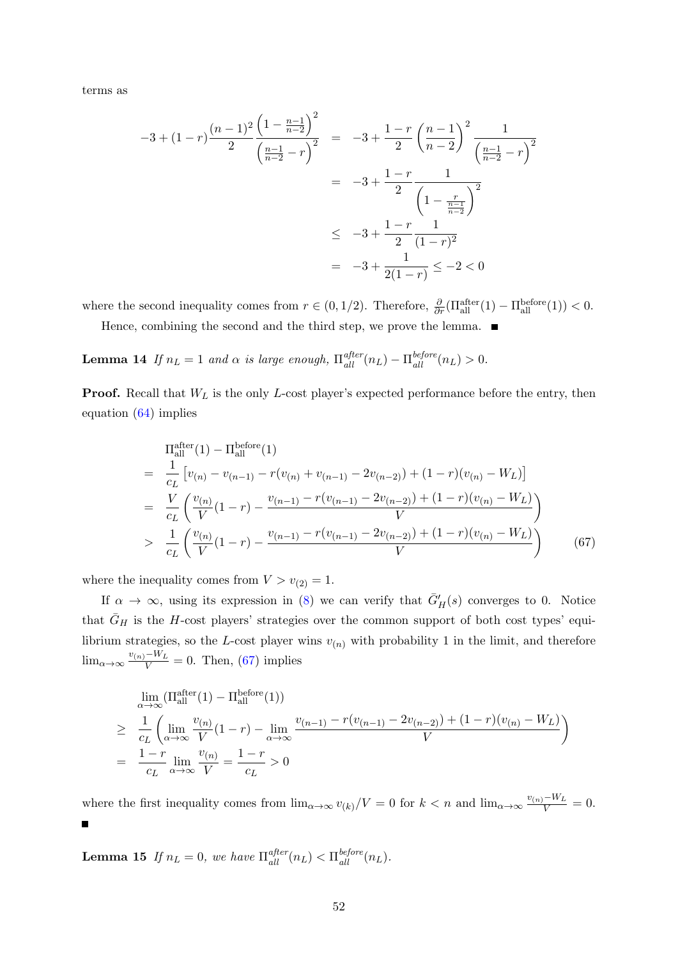terms as

$$
-3 + (1 - r)\frac{(n - 1)^2}{2} \frac{\left(1 - \frac{n - 1}{n - 2}\right)^2}{\left(\frac{n - 1}{n - 2} - r\right)^2} = -3 + \frac{1 - r}{2} \left(\frac{n - 1}{n - 2}\right)^2 \frac{1}{\left(\frac{n - 1}{n - 2} - r\right)^2}
$$

$$
= -3 + \frac{1 - r}{2} \frac{1}{\left(1 - \frac{r}{n - 2}\right)^2}
$$

$$
\leq -3 + \frac{1 - r}{2} \frac{1}{(1 - r)^2}
$$

$$
= -3 + \frac{1}{2(1 - r)} \leq -2 < 0
$$

where the second inequality comes from  $r \in (0, 1/2)$ . Therefore,  $\frac{\partial}{\partial r}(\Pi_{\text{all}}^{\text{after}}(1) - \Pi_{\text{all}}^{\text{before}}(1)) < 0$ .

Hence, combining the second and the third step, we prove the lemma.  $\blacksquare$ 

<span id="page-51-0"></span>**Lemma 14** If  $n_L = 1$  and  $\alpha$  is large enough,  $\Pi_{all}^{after}(n_L) - \Pi_{all}^{before}(n_L) > 0$ .

**Proof.** Recall that  $W_L$  is the only L-cost player's expected performance before the entry, then equation [\(64\)](#page-49-1) implies

$$
\Pi_{\text{all}}^{\text{after}}(1) - \Pi_{\text{all}}^{\text{before}}(1)
$$
\n
$$
= \frac{1}{c_L} \left[ v_{(n)} - v_{(n-1)} - r(v_{(n)} + v_{(n-1)} - 2v_{(n-2)}) + (1 - r)(v_{(n)} - W_L) \right]
$$
\n
$$
= \frac{V}{c_L} \left( \frac{v_{(n)}}{V} (1 - r) - \frac{v_{(n-1)} - r(v_{(n-1)} - 2v_{(n-2)}) + (1 - r)(v_{(n)} - W_L)}{V} \right)
$$
\n
$$
> \frac{1}{c_L} \left( \frac{v_{(n)}}{V} (1 - r) - \frac{v_{(n-1)} - r(v_{(n-1)} - 2v_{(n-2)}) + (1 - r)(v_{(n)} - W_L)}{V} \right) \tag{67}
$$

where the inequality comes from  $V > v_{(2)} = 1$ .

If  $\alpha \to \infty$ , using its expression in [\(8\)](#page-9-1) we can verify that  $\bar{G}'_H(s)$  converges to 0. Notice that  $\bar{G}_H$  is the H-cost players' strategies over the common support of both cost types' equilibrium strategies, so the L-cost player wins  $v_{(n)}$  with probability 1 in the limit, and therefore  $\lim_{\alpha \to \infty} \frac{v_{(n)} - W_L}{V} = 0$ . Then, [\(67\)](#page-50-1) implies

$$
\lim_{\alpha \to \infty} (\Pi_{\text{all}}^{\text{after}}(1) - \Pi_{\text{all}}^{\text{before}}(1))
$$
\n
$$
\geq \frac{1}{c_L} \left( \lim_{\alpha \to \infty} \frac{v_{(n)}}{V} (1 - r) - \lim_{\alpha \to \infty} \frac{v_{(n-1)} - r(v_{(n-1)} - 2v_{(n-2)}) + (1 - r)(v_{(n)} - W_L)}{V} \right)
$$
\n
$$
= \frac{1 - r}{c_L} \lim_{\alpha \to \infty} \frac{v_{(n)}}{V} = \frac{1 - r}{c_L} > 0
$$

where the first inequality comes from  $\lim_{\alpha\to\infty} v_{(k)}/V = 0$  for  $k < n$  and  $\lim_{\alpha\to\infty} \frac{v_{(n)}-W_L}{V} = 0$ .  $\blacksquare$ 

<span id="page-51-1"></span>**Lemma 15** If  $n_L = 0$ , we have  $\Pi_{all}^{after}(n_L) < \Pi_{all}^{before}(n_L)$ .